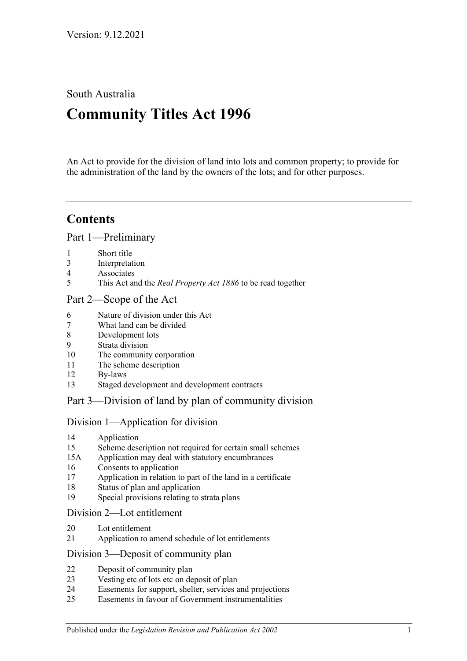South Australia

# **Community Titles Act 1996**

An Act to provide for the division of land into lots and common property; to provide for the administration of the land by the owners of the lots; and for other purposes.

## **Contents**

[Part 1—Preliminary](#page-6-0)

- [Short title](#page-6-1)
- [Interpretation](#page-6-2)
- [Associates](#page-13-0)
- This Act and the *Real Property Act 1886* [to be read together](#page-13-1)

## [Part 2—Scope of the Act](#page-14-0)

- [Nature of division under this Act](#page-14-1)
- [What land can be divided](#page-14-2)
- [Development lots](#page-14-3)
- [Strata division](#page-14-4)
- [The community corporation](#page-15-0)
- [The scheme description](#page-15-1)
- [By-laws](#page-15-2)
- [Staged development and development contracts](#page-15-3)

## [Part 3—Division of land by plan of community division](#page-18-0)

## [Division 1—Application for division](#page-18-1)

- [Application](#page-18-2)
- [Scheme description not required for certain small schemes](#page-19-0)
- 15A [Application may deal with statutory encumbrances](#page-20-0)
- [Consents to application](#page-20-1)
- [Application in relation to part of the land in a certificate](#page-21-0)
- [Status of plan and application](#page-21-1)
- [Special provisions relating to strata plans](#page-21-2)

## [Division 2—Lot entitlement](#page-22-0)

- [Lot entitlement](#page-22-1)
- [Application to amend schedule of lot entitlements](#page-22-2)

## [Division 3—Deposit of community plan](#page-24-0)

- [Deposit of community plan](#page-24-1)
- [Vesting etc of lots etc on deposit of plan](#page-25-0)
- [Easements for support, shelter, services and projections](#page-26-0)
- [Easements in favour of Government instrumentalities](#page-27-0)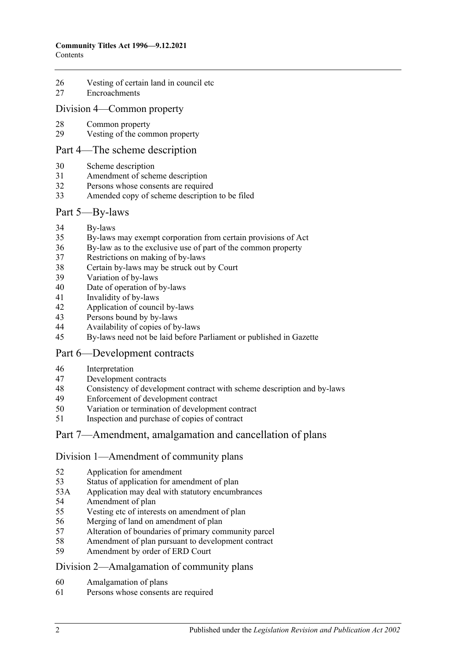- [Vesting of certain land in council etc](#page-27-1)
- [Encroachments](#page-28-0)

### [Division 4—Common property](#page-29-0)

- [Common property](#page-29-1)
- [Vesting of the common property](#page-29-2)

#### [Part 4—The scheme description](#page-32-0)

- [Scheme description](#page-32-1)
- [Amendment of scheme description](#page-33-0)
- Persons whose [consents are required](#page-34-0)
- [Amended copy of scheme description to be filed](#page-35-0)

#### [Part 5—By-laws](#page-36-0)

- [By-laws](#page-36-1)
- [By-laws may exempt corporation from certain provisions of Act](#page-38-0)
- [By-law as to the exclusive use of part of the common property](#page-38-1)
- [Restrictions on making of by-laws](#page-39-0)
- [Certain by-laws may be struck out by Court](#page-40-0)
- [Variation of by-laws](#page-40-1)
- [Date of operation of by-laws](#page-41-0)
- [Invalidity of by-laws](#page-41-1)
- [Application of council by-laws](#page-41-2)
- [Persons bound by by-laws](#page-41-3)
- [Availability of copies of by-laws](#page-42-0)
- [By-laws need not be laid before Parliament or published in Gazette](#page-42-1)

## [Part 6—Development contracts](#page-44-0)

- [Interpretation](#page-44-1)
- [Development contracts](#page-44-2)
- [Consistency of development contract with scheme description and by-laws](#page-46-0)
- [Enforcement of development contract](#page-46-1)
- [Variation or termination of development contract](#page-47-0)
- [Inspection and purchase of copies of contract](#page-48-0)

## [Part 7—Amendment, amalgamation and cancellation of plans](#page-50-0)

#### [Division 1—Amendment of community plans](#page-50-1)

- [Application for amendment](#page-50-2)
- [Status of application for amendment of plan](#page-52-0)
- 53A [Application may deal with statutory encumbrances](#page-52-1)
- [Amendment of plan](#page-53-0)
- [Vesting etc of interests on amendment of plan](#page-53-1)
- [Merging of land on amendment of plan](#page-54-0)
- [Alteration of boundaries of primary community parcel](#page-54-1)
- [Amendment of plan pursuant to development contract](#page-55-0)
- [Amendment by order of ERD Court](#page-56-0)

#### [Division 2—Amalgamation of community plans](#page-57-0)

- [Amalgamation of plans](#page-57-1)
- [Persons whose consents are required](#page-58-0)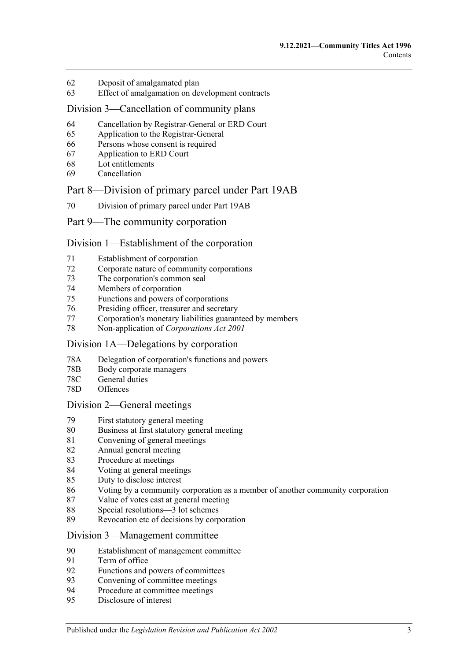- [Deposit of amalgamated plan](#page-60-0)
- [Effect of amalgamation on development contracts](#page-61-0)

#### [Division 3—Cancellation of community plans](#page-61-1)

- [Cancellation by Registrar-General or ERD Court](#page-61-2)
- [Application to the Registrar-General](#page-61-3)
- [Persons whose consent is required](#page-61-4)
- [Application to ERD Court](#page-62-0)
- [Lot entitlements](#page-63-0)
- [Cancellation](#page-63-1)

#### [Part 8—Division of primary parcel under Part 19AB](#page-66-0)

[Division of primary parcel under Part 19AB](#page-66-1)

#### [Part 9—The community corporation](#page-68-0)

#### [Division 1—Establishment of the corporation](#page-68-1)

- [Establishment of corporation](#page-68-2)
- [Corporate nature of community corporations](#page-68-3)
- [The corporation's common seal](#page-68-4)
- [Members of corporation](#page-68-5)
- Functions [and powers of corporations](#page-69-0)
- [Presiding officer, treasurer and secretary](#page-69-1)
- [Corporation's monetary liabilities guaranteed by members](#page-70-0)
- [Non-application of](#page-71-0) *Corporations Act 2001*

### [Division 1A—Delegations by corporation](#page-71-1)

- 78A [Delegation of corporation's functions and powers](#page-71-2)
- 78B [Body corporate managers](#page-72-0)
- 78C [General duties](#page-74-0)
- 78D [Offences](#page-74-1)

#### [Division 2—General meetings](#page-75-0)

- [First statutory general meeting](#page-75-1)
- [Business at first statutory general meeting](#page-75-2)
- [Convening of general meetings](#page-76-0)
- [Annual general meeting](#page-77-0)
- [Procedure at meetings](#page-77-1)
- [Voting at general meetings](#page-78-0)
- [Duty to disclose interest](#page-81-0)
- [Voting by a community corporation as a member of another community corporation](#page-82-0)
- [Value of votes cast at general meeting](#page-82-1)
- [Special resolutions—3 lot schemes](#page-83-0)
- [Revocation etc of decisions by corporation](#page-83-1)

#### [Division 3—Management committee](#page-84-0)

- [Establishment of management committee](#page-84-1)
- [Term of office](#page-84-2)
- [Functions and powers of committees](#page-85-0)
- [Convening of committee meetings](#page-85-1)
- [Procedure at committee meetings](#page-85-2)
- [Disclosure of interest](#page-86-0)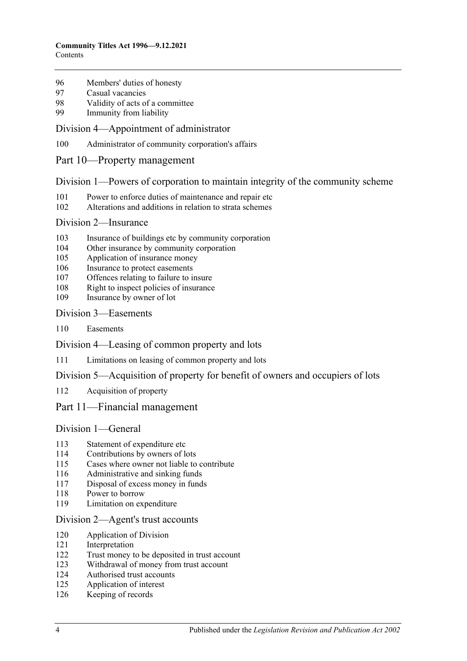- [Members' duties of honesty](#page-86-1)
- [Casual vacancies](#page-86-2)
- [Validity of acts of a committee](#page-87-0)
- [Immunity from liability](#page-87-1)

#### [Division 4—Appointment of administrator](#page-87-2)

- [Administrator of community corporation's affairs](#page-87-3)
- [Part 10—Property management](#page-90-0)

#### [Division 1—Powers of corporation to maintain integrity of the community scheme](#page-90-1)

- [Power to enforce duties of maintenance and repair etc](#page-90-2)
- [Alterations and additions in relation to strata schemes](#page-91-0)

#### [Division 2—Insurance](#page-92-0)

- [Insurance of buildings etc by community corporation](#page-92-1)
- [Other insurance by community corporation](#page-92-2)
- [Application of insurance money](#page-93-0)
- [Insurance to protect easements](#page-93-1)
- [Offences relating to failure to insure](#page-93-2)
- [Right to inspect policies of insurance](#page-94-0)
- [Insurance by owner of lot](#page-94-1)

#### [Division 3—Easements](#page-95-0)

[Easements](#page-95-1)

[Division 4—Leasing of common property and lots](#page-96-0)

[Limitations on leasing of common property and lots](#page-96-1)

#### [Division 5—Acquisition of property for benefit of owners and occupiers of lots](#page-96-2)

[Acquisition of property](#page-96-3)

#### [Part 11—Financial management](#page-98-0)

## [Division 1—General](#page-98-1)

- [Statement of expenditure etc](#page-98-2)
- [Contributions by owners of lots](#page-98-3)
- [Cases where owner not liable to contribute](#page-99-0)
- [Administrative and sinking funds](#page-99-1)
- [Disposal of excess money in funds](#page-100-0)
- [Power to borrow](#page-100-1)
- [Limitation on expenditure](#page-100-2)

#### [Division 2—Agent's trust accounts](#page-101-0)

- [Application of Division](#page-101-1)
- [Interpretation](#page-101-2)
- [Trust money to be deposited in trust account](#page-101-3)
- [Withdrawal of money from trust account](#page-101-4)
- [Authorised trust accounts](#page-102-0)
- [Application of interest](#page-102-1)
- [Keeping of records](#page-102-2)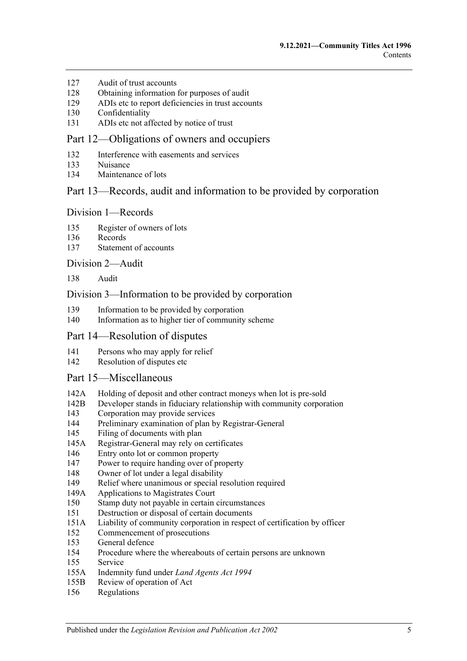- [Audit of trust accounts](#page-102-3)
- [Obtaining information for purposes of audit](#page-103-0)
- [ADIs etc to report deficiencies in trust accounts](#page-103-1)
- [Confidentiality](#page-103-2)
- [ADIs etc not affected by notice of trust](#page-104-0)

#### [Part 12—Obligations of owners and occupiers](#page-106-0)

- [Interference with easements and services](#page-106-1)
- [Nuisance](#page-106-2)
- [Maintenance of lots](#page-106-3)

## [Part 13—Records, audit and information to be provided by corporation](#page-108-0)

#### [Division 1—Records](#page-108-1)

- [Register of owners of lots](#page-108-2)
- [Records](#page-108-3)
- [Statement of accounts](#page-108-4)

#### [Division 2—Audit](#page-109-0)

[Audit](#page-109-1)

#### [Division 3—Information to be provided by corporation](#page-109-2)

- [Information to be provided by corporation](#page-109-3)
- [Information as to higher tier of community scheme](#page-111-0)

#### [Part 14—Resolution of disputes](#page-112-0)

- [Persons who may apply for relief](#page-112-1)
- [Resolution of disputes etc](#page-112-2)

#### [Part 15—Miscellaneous](#page-116-0)

- 142A [Holding of deposit and other contract moneys when lot is pre-sold](#page-116-1)
- 142B [Developer stands in fiduciary relationship with community corporation](#page-117-0)
- [Corporation may provide services](#page-117-1)
- [Preliminary examination of plan by Registrar-General](#page-117-2)
- [Filing of documents with plan](#page-117-3)
- 145A [Registrar-General may rely on certificates](#page-117-4)
- [Entry onto lot or common property](#page-118-0)
- [Power to require handing over of property](#page-118-1)
- [Owner of lot under a legal disability](#page-119-0)
- [Relief where unanimous or special resolution required](#page-119-1)
- 149A [Applications to Magistrates Court](#page-120-0)
- [Stamp duty not payable in certain circumstances](#page-120-1)
- [Destruction or disposal of certain documents](#page-120-2)
- 151A [Liability of community corporation in respect of certification by officer](#page-120-3)
- [Commencement of prosecutions](#page-120-4)
- [General defence](#page-121-0)
- [Procedure where the whereabouts of certain persons are unknown](#page-121-1)
- [Service](#page-121-2)
- 155A [Indemnity fund under](#page-122-0) *Land Agents Act 1994*
- 155B [Review of operation of Act](#page-122-1)
- [Regulations](#page-122-2)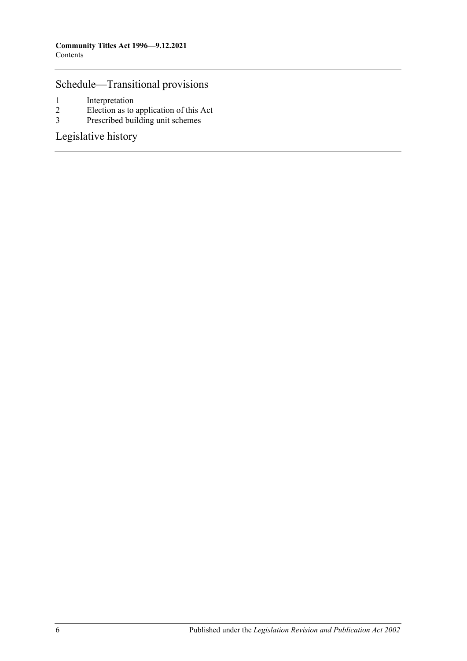## [Schedule—Transitional provisions](#page-124-0)

- 1 [Interpretation](#page-124-1)<br>2 Election as to
- 2 [Election as to application of this Act](#page-124-2)<br>3 Prescribed building unit schemes
- [Prescribed building unit schemes](#page-125-0)

[Legislative history](#page-128-0)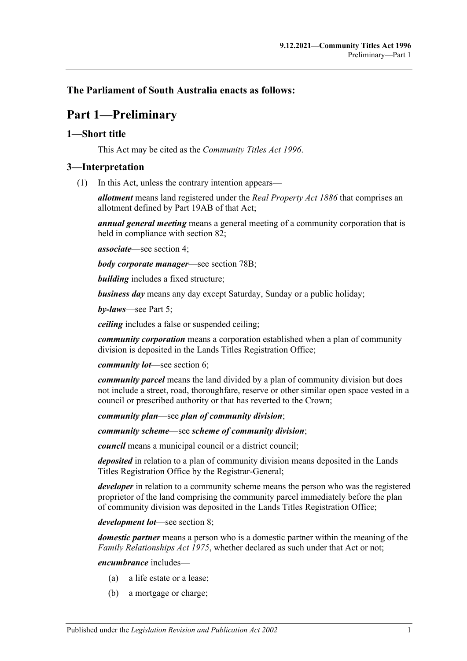## <span id="page-6-0"></span>**The Parliament of South Australia enacts as follows:**

## **Part 1—Preliminary**

### <span id="page-6-1"></span>**1—Short title**

This Act may be cited as the *Community Titles Act 1996*.

## <span id="page-6-2"></span>**3—Interpretation**

(1) In this Act, unless the contrary intention appears—

*allotment* means land registered under the *[Real Property Act](http://www.legislation.sa.gov.au/index.aspx?action=legref&type=act&legtitle=Real%20Property%20Act%201886) 1886* that comprises an allotment defined by Part 19AB of that Act;

*annual general meeting* means a general meeting of a community corporation that is held in compliance with [section](#page-77-0) 82;

*associate*—see [section](#page-13-0) 4;

*body corporate manager*—see [section](#page-72-0) 78B;

*building* includes a fixed structure;

*business day* means any day except Saturday, Sunday or a public holiday;

*by-laws*—see [Part 5;](#page-36-0)

*ceiling* includes a false or suspended ceiling;

*community corporation* means a corporation established when a plan of community division is deposited in the Lands Titles Registration Office;

*community lot*—see [section](#page-14-1) 6;

*community parcel* means the land divided by a plan of community division but does not include a street, road, thoroughfare, reserve or other similar open space vested in a council or prescribed authority or that has reverted to the Crown;

*community plan*—see *plan of community division*;

*community scheme*—see *scheme of community division*;

*council* means a municipal council or a district council;

*deposited* in relation to a plan of community division means deposited in the Lands Titles Registration Office by the Registrar-General;

*developer* in relation to a community scheme means the person who was the registered proprietor of the land comprising the community parcel immediately before the plan of community division was deposited in the Lands Titles Registration Office;

*development lot*—see [section](#page-14-3) 8;

*domestic partner* means a person who is a domestic partner within the meaning of the *[Family Relationships Act](http://www.legislation.sa.gov.au/index.aspx?action=legref&type=act&legtitle=Family%20Relationships%20Act%201975) 1975*, whether declared as such under that Act or not;

*encumbrance* includes—

- (a) a life estate or a lease;
- (b) a mortgage or charge;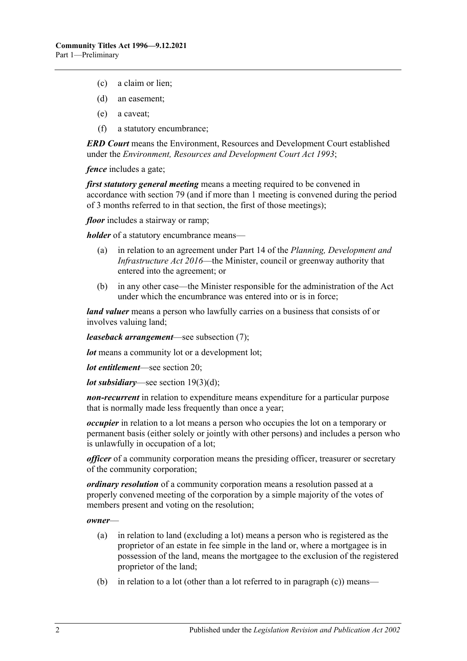- (c) a claim or lien;
- (d) an easement;
- (e) a caveat;
- (f) a statutory encumbrance;

*ERD Court* means the Environment, Resources and Development Court established under the *[Environment, Resources and Development Court Act](http://www.legislation.sa.gov.au/index.aspx?action=legref&type=act&legtitle=Environment%20Resources%20and%20Development%20Court%20Act%201993) 1993*;

*fence* includes a gate;

*first statutory general meeting* means a meeting required to be convened in accordance with [section](#page-75-1) 79 (and if more than 1 meeting is convened during the period of 3 months referred to in that section, the first of those meetings);

*floor* includes a stairway or ramp;

*holder* of a statutory encumbrance means—

- (a) in relation to an agreement under Part 14 of the *[Planning, Development and](http://www.legislation.sa.gov.au/index.aspx?action=legref&type=act&legtitle=Planning%20Development%20and%20Infrastructure%20Act%202016)  [Infrastructure Act](http://www.legislation.sa.gov.au/index.aspx?action=legref&type=act&legtitle=Planning%20Development%20and%20Infrastructure%20Act%202016) 2016*—the Minister, council or greenway authority that entered into the agreement; or
- (b) in any other case—the Minister responsible for the administration of the Act under which the encumbrance was entered into or is in force;

*land valuer* means a person who lawfully carries on a business that consists of or involves valuing land;

*leaseback arrangement*—see [subsection](#page-11-0) (7);

*lot* means a community lot or a development lot;

*lot entitlement*—see [section](#page-22-1) 20;

*lot subsidiary*—see section [19\(3\)\(d\);](#page-22-3)

*non-recurrent* in relation to expenditure means expenditure for a particular purpose that is normally made less frequently than once a year;

*occupier* in relation to a lot means a person who occupies the lot on a temporary or permanent basis (either solely or jointly with other persons) and includes a person who is unlawfully in occupation of a lot;

*officer* of a community corporation means the presiding officer, treasurer or secretary of the community corporation;

*ordinary resolution* of a community corporation means a resolution passed at a properly convened meeting of the corporation by a simple majority of the votes of members present and voting on the resolution;

*owner*—

- (a) in relation to land (excluding a lot) means a person who is registered as the proprietor of an estate in fee simple in the land or, where a mortgagee is in possession of the land, means the mortgagee to the exclusion of the registered proprietor of the land;
- (b) in relation to a lot (other than a lot referred to in [paragraph](#page-8-0)  $(c)$ ) means—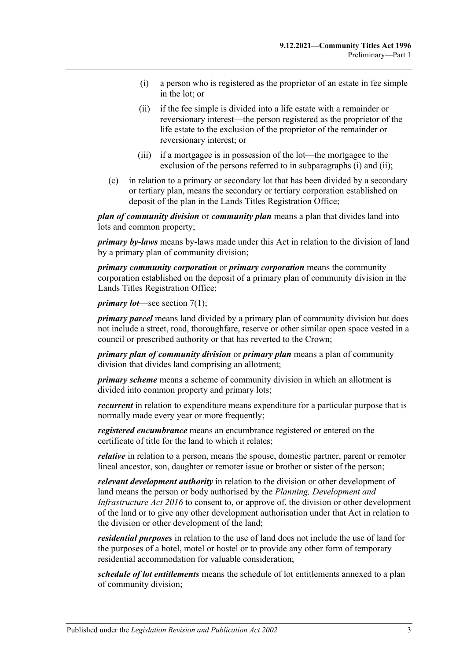- <span id="page-8-1"></span>(i) a person who is registered as the proprietor of an estate in fee simple in the lot; or
- <span id="page-8-2"></span>(ii) if the fee simple is divided into a life estate with a remainder or reversionary interest—the person registered as the proprietor of the life estate to the exclusion of the proprietor of the remainder or reversionary interest; or
- (iii) if a mortgagee is in possession of the lot—the mortgagee to the exclusion of the persons referred to in [subparagraphs](#page-8-1) (i) and [\(ii\);](#page-8-2)
- <span id="page-8-0"></span>(c) in relation to a primary or secondary lot that has been divided by a secondary or tertiary plan, means the secondary or tertiary corporation established on deposit of the plan in the Lands Titles Registration Office;

*plan of community division* or *community plan* means a plan that divides land into lots and common property;

*primary by-laws* means by-laws made under this Act in relation to the division of land by a primary plan of community division;

*primary community corporation* or *primary corporation* means the community corporation established on the deposit of a primary plan of community division in the Lands Titles Registration Office;

*primary lot*—see [section](#page-14-5) 7(1);

*primary parcel* means land divided by a primary plan of community division but does not include a street, road, thoroughfare, reserve or other similar open space vested in a council or prescribed authority or that has reverted to the Crown;

*primary plan of community division* or *primary plan* means a plan of community division that divides land comprising an allotment;

*primary scheme* means a scheme of community division in which an allotment is divided into common property and primary lots;

*recurrent* in relation to expenditure means expenditure for a particular purpose that is normally made every year or more frequently;

*registered encumbrance* means an encumbrance registered or entered on the certificate of title for the land to which it relates;

*relative* in relation to a person, means the spouse, domestic partner, parent or remoter lineal ancestor, son, daughter or remoter issue or brother or sister of the person;

*relevant development authority* in relation to the division or other development of land means the person or body authorised by the *[Planning, Development and](http://www.legislation.sa.gov.au/index.aspx?action=legref&type=act&legtitle=Planning%20Development%20and%20Infrastructure%20Act%202016)  [Infrastructure Act](http://www.legislation.sa.gov.au/index.aspx?action=legref&type=act&legtitle=Planning%20Development%20and%20Infrastructure%20Act%202016) 2016* to consent to, or approve of, the division or other development of the land or to give any other development authorisation under that Act in relation to the division or other development of the land;

*residential purposes* in relation to the use of land does not include the use of land for the purposes of a hotel, motel or hostel or to provide any other form of temporary residential accommodation for valuable consideration;

*schedule of lot entitlements* means the schedule of lot entitlements annexed to a plan of community division;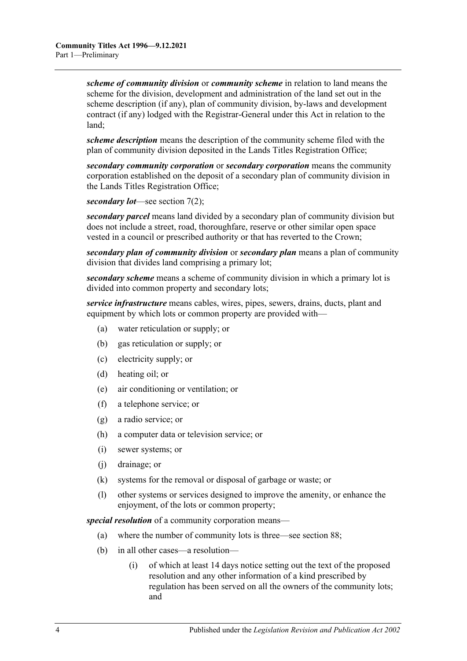*scheme of community division* or *community scheme* in relation to land means the scheme for the division, development and administration of the land set out in the scheme description (if any), plan of community division, by-laws and development contract (if any) lodged with the Registrar-General under this Act in relation to the land;

*scheme description* means the description of the community scheme filed with the plan of community division deposited in the Lands Titles Registration Office;

*secondary community corporation* or *secondary corporation* means the community corporation established on the deposit of a secondary plan of community division in the Lands Titles Registration Office;

*secondary lot*—see [section](#page-14-6) 7(2);

*secondary parcel* means land divided by a secondary plan of community division but does not include a street, road, thoroughfare, reserve or other similar open space vested in a council or prescribed authority or that has reverted to the Crown;

*secondary plan of community division* or *secondary plan* means a plan of community division that divides land comprising a primary lot;

*secondary scheme* means a scheme of community division in which a primary lot is divided into common property and secondary lots;

*service infrastructure* means cables, wires, pipes, sewers, drains, ducts, plant and equipment by which lots or common property are provided with—

- (a) water reticulation or supply; or
- (b) gas reticulation or supply; or
- (c) electricity supply; or
- (d) heating oil; or
- (e) air conditioning or ventilation; or
- (f) a telephone service; or
- (g) a radio service; or
- (h) a computer data or television service; or
- (i) sewer systems; or
- (j) drainage; or
- (k) systems for the removal or disposal of garbage or waste; or
- (l) other systems or services designed to improve the amenity, or enhance the enjoyment, of the lots or common property;

*special resolution* of a community corporation means—

- (a) where the number of community lots is three—see [section](#page-83-0) 88;
- (b) in all other cases—a resolution—
	- (i) of which at least 14 days notice setting out the text of the proposed resolution and any other information of a kind prescribed by regulation has been served on all the owners of the community lots; and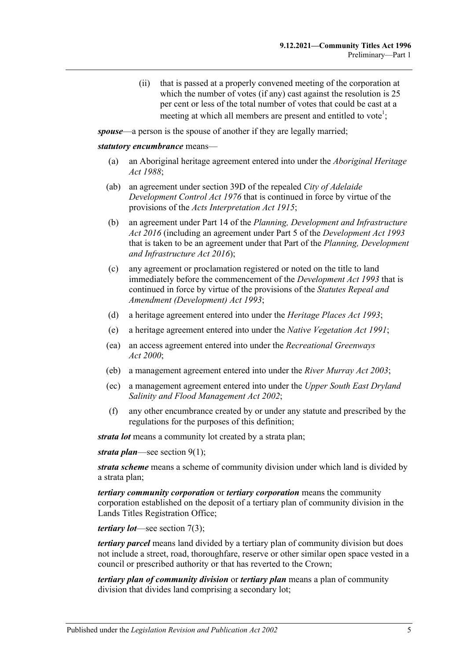(ii) that is passed at a properly convened meeting of the corporation at which the number of votes (if any) cast against the resolution is 25 per cent or less of the total number of votes that could be cast at a meeting at which all members are present and entitled to vote<sup>1</sup>;

<span id="page-10-0"></span>*spouse*—a person is the spouse of another if they are legally married;

#### *statutory encumbrance* means—

- (a) an Aboriginal heritage agreement entered into under the *[Aboriginal Heritage](http://www.legislation.sa.gov.au/index.aspx?action=legref&type=act&legtitle=Aboriginal%20Heritage%20Act%201988)  Act [1988](http://www.legislation.sa.gov.au/index.aspx?action=legref&type=act&legtitle=Aboriginal%20Heritage%20Act%201988)*;
- (ab) an agreement under section 39D of the repealed *[City of Adelaide](http://www.legislation.sa.gov.au/index.aspx?action=legref&type=act&legtitle=City%20of%20Adelaide%20Development%20Control%20Act%201976)  [Development Control Act](http://www.legislation.sa.gov.au/index.aspx?action=legref&type=act&legtitle=City%20of%20Adelaide%20Development%20Control%20Act%201976) 1976* that is continued in force by virtue of the provisions of the *[Acts Interpretation Act](http://www.legislation.sa.gov.au/index.aspx?action=legref&type=act&legtitle=Acts%20Interpretation%20Act%201915) 1915*;
- (b) an agreement under Part 14 of the *[Planning, Development and Infrastructure](http://www.legislation.sa.gov.au/index.aspx?action=legref&type=act&legtitle=Planning%20Development%20and%20Infrastructure%20Act%202016)  Act [2016](http://www.legislation.sa.gov.au/index.aspx?action=legref&type=act&legtitle=Planning%20Development%20and%20Infrastructure%20Act%202016)* (including an agreement under Part 5 of the *[Development Act](http://www.legislation.sa.gov.au/index.aspx?action=legref&type=act&legtitle=Development%20Act%201993) 1993* that is taken to be an agreement under that Part of the *[Planning, Development](http://www.legislation.sa.gov.au/index.aspx?action=legref&type=act&legtitle=Planning%20Development%20and%20Infrastructure%20Act%202016)  [and Infrastructure Act](http://www.legislation.sa.gov.au/index.aspx?action=legref&type=act&legtitle=Planning%20Development%20and%20Infrastructure%20Act%202016) 2016*);
- (c) any agreement or proclamation registered or noted on the title to land immediately before the commencement of the *[Development Act](http://www.legislation.sa.gov.au/index.aspx?action=legref&type=act&legtitle=Development%20Act%201993) 1993* that is continued in force by virtue of the provisions of the *[Statutes Repeal and](http://www.legislation.sa.gov.au/index.aspx?action=legref&type=act&legtitle=Statutes%20Repeal%20and%20Amendment%20(Development)%20Act%201993)  [Amendment \(Development\) Act](http://www.legislation.sa.gov.au/index.aspx?action=legref&type=act&legtitle=Statutes%20Repeal%20and%20Amendment%20(Development)%20Act%201993) 1993*;
- (d) a heritage agreement entered into under the *[Heritage Places Act](http://www.legislation.sa.gov.au/index.aspx?action=legref&type=act&legtitle=Heritage%20Places%20Act%201993) 1993*;
- (e) a heritage agreement entered into under the *[Native Vegetation Act](http://www.legislation.sa.gov.au/index.aspx?action=legref&type=act&legtitle=Native%20Vegetation%20Act%201991) 1991*;
- (ea) an access agreement entered into under the *[Recreational Greenways](http://www.legislation.sa.gov.au/index.aspx?action=legref&type=act&legtitle=Recreational%20Greenways%20Act%202000)  Act [2000](http://www.legislation.sa.gov.au/index.aspx?action=legref&type=act&legtitle=Recreational%20Greenways%20Act%202000)*;
- (eb) a management agreement entered into under the *[River Murray Act](http://www.legislation.sa.gov.au/index.aspx?action=legref&type=act&legtitle=River%20Murray%20Act%202003) 2003*;
- (ec) a management agreement entered into under the *[Upper South East](http://www.legislation.sa.gov.au/index.aspx?action=legref&type=act&legtitle=Upper%20South%20East%20Dryland%20Salinity%20and%20Flood%20Management%20Act%202002) Dryland [Salinity and Flood Management Act](http://www.legislation.sa.gov.au/index.aspx?action=legref&type=act&legtitle=Upper%20South%20East%20Dryland%20Salinity%20and%20Flood%20Management%20Act%202002) 2002*;
- (f) any other encumbrance created by or under any statute and prescribed by the regulations for the purposes of this definition;

*strata lot* means a community lot created by a strata plan;

*strata plan*—see [section](#page-14-7) 9(1);

*strata scheme* means a scheme of community division under which land is divided by a strata plan;

*tertiary community corporation* or *tertiary corporation* means the community corporation established on the deposit of a tertiary plan of community division in the Lands Titles Registration Office;

*tertiary lot*—see [section](#page-14-8) 7(3);

*tertiary parcel* means land divided by a tertiary plan of community division but does not include a street, road, thoroughfare, reserve or other similar open space vested in a council or prescribed authority or that has reverted to the Crown;

*tertiary plan of community division* or *tertiary plan* means a plan of community division that divides land comprising a secondary lot;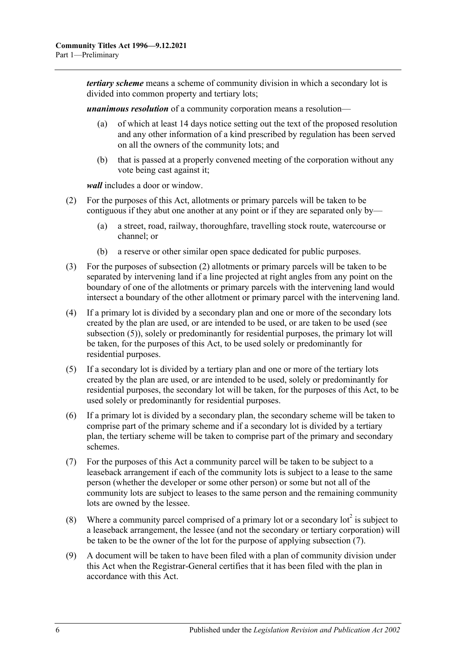*tertiary scheme* means a scheme of community division in which a secondary lot is divided into common property and tertiary lots;

*unanimous resolution* of a community corporation means a resolution—

- (a) of which at least 14 days notice setting out the text of the proposed resolution and any other information of a kind prescribed by regulation has been served on all the owners of the community lots; and
- (b) that is passed at a properly convened meeting of the corporation without any vote being cast against it;

*wall* includes a door or window.

- <span id="page-11-1"></span>(2) For the purposes of this Act, allotments or primary parcels will be taken to be contiguous if they abut one another at any point or if they are separated only by—
	- (a) a street, road, railway, thoroughfare, travelling stock route, watercourse or channel; or
	- (b) a reserve or other similar open space dedicated for public purposes.
- (3) For the purposes of [subsection](#page-11-1) (2) allotments or primary parcels will be taken to be separated by intervening land if a line projected at right angles from any point on the boundary of one of the allotments or primary parcels with the intervening land would intersect a boundary of the other allotment or primary parcel with the intervening land.
- (4) If a primary lot is divided by a secondary plan and one or more of the secondary lots created by the plan are used, or are intended to be used, or are taken to be used (see [subsection](#page-11-2) (5)), solely or predominantly for residential purposes, the primary lot will be taken, for the purposes of this Act, to be used solely or predominantly for residential purposes.
- <span id="page-11-2"></span>(5) If a secondary lot is divided by a tertiary plan and one or more of the tertiary lots created by the plan are used, or are intended to be used, solely or predominantly for residential purposes, the secondary lot will be taken, for the purposes of this Act, to be used solely or predominantly for residential purposes.
- (6) If a primary lot is divided by a secondary plan, the secondary scheme will be taken to comprise part of the primary scheme and if a secondary lot is divided by a tertiary plan, the tertiary scheme will be taken to comprise part of the primary and secondary schemes.
- <span id="page-11-0"></span>(7) For the purposes of this Act a community parcel will be taken to be subject to a leaseback arrangement if each of the community lots is subject to a lease to the same person (whether the developer or some other person) or some but not all of the community lots are subject to leases to the same person and the remaining community lots are owned by the lessee.
- (8) Where a community parcel comprised of a primary lot or a secondary lot<sup>2</sup> is subject to a leaseback arrangement, the lessee (and not the secondary or tertiary corporation) will be taken to be the owner of the lot for the purpose of applying [subsection](#page-11-0) (7).
- (9) A document will be taken to have been filed with a plan of community division under this Act when the Registrar-General certifies that it has been filed with the plan in accordance with this Act.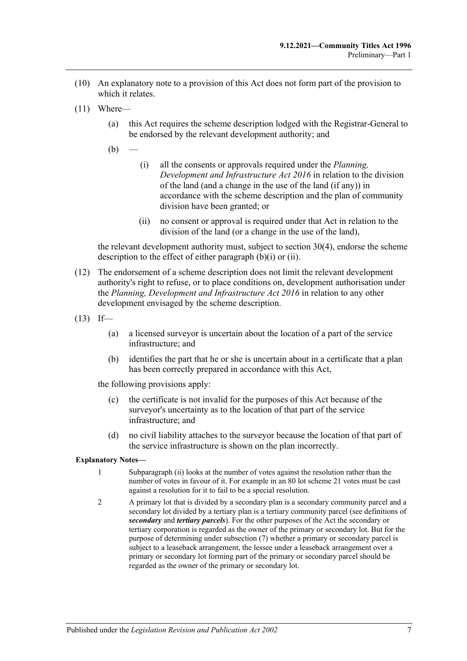- (10) An explanatory note to a provision of this Act does not form part of the provision to which it relates.
- <span id="page-12-0"></span>(11) Where—
	- (a) this Act requires the scheme description lodged with the Registrar-General to be endorsed by the relevant development authority; and
	- $(b)$
- (i) all the consents or approvals required under the *[Planning,](http://www.legislation.sa.gov.au/index.aspx?action=legref&type=act&legtitle=Planning%20Development%20and%20Infrastructure%20Act%202016)  [Development and Infrastructure Act](http://www.legislation.sa.gov.au/index.aspx?action=legref&type=act&legtitle=Planning%20Development%20and%20Infrastructure%20Act%202016) 2016* in relation to the division of the land (and a change in the use of the land (if any)) in accordance with the scheme description and the plan of community division have been granted; or
- (ii) no consent or approval is required under that Act in relation to the division of the land (or a change in the use of the land),

<span id="page-12-1"></span>the relevant development authority must, subject to [section](#page-33-1) 30(4), endorse the scheme description to the effect of either [paragraph](#page-12-0)  $(b)(i)$  or  $(ii)$ .

- (12) The endorsement of a scheme description does not limit the relevant development authority's right to refuse, or to place conditions on, development authorisation under the *[Planning, Development and Infrastructure Act](http://www.legislation.sa.gov.au/index.aspx?action=legref&type=act&legtitle=Planning%20Development%20and%20Infrastructure%20Act%202016) 2016* in relation to any other development envisaged by the scheme description.
- $(13)$  If—
	- (a) a licensed surveyor is uncertain about the location of a part of the service infrastructure; and
	- (b) identifies the part that he or she is uncertain about in a certificate that a plan has been correctly prepared in accordance with this Act,

the following provisions apply:

- (c) the certificate is not invalid for the purposes of this Act because of the surveyor's uncertainty as to the location of that part of the service infrastructure; and
- (d) no civil liability attaches to the surveyor because the location of that part of the service infrastructure is shown on the plan incorrectly.

#### **Explanatory Notes—**

- 1 [Subparagraph](#page-10-0) (ii) looks at the number of votes against the resolution rather than the number of votes in favour of it. For example in an 80 lot scheme 21 votes must be cast against a resolution for it to fail to be a special resolution.
- 2 A primary lot that is divided by a secondary plan is a secondary community parcel and a secondary lot divided by a tertiary plan is a tertiary community parcel (see definitions of *secondary* and *tertiary parcels*). For the other purposes of the Act the secondary or tertiary corporation is regarded as the owner of the primary or secondary lot. But for the purpose of determining unde[r subsection](#page-11-0) (7) whether a primary or secondary parcel is subject to a leaseback arrangement, the lessee under a leaseback arrangement over a primary or secondary lot forming part of the primary or secondary parcel should be regarded as the owner of the primary or secondary lot.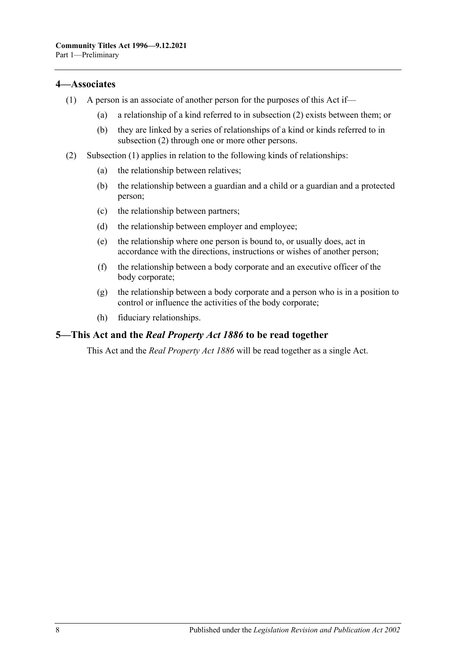## <span id="page-13-3"></span><span id="page-13-0"></span>**4—Associates**

- (1) A person is an associate of another person for the purposes of this Act if—
	- (a) a relationship of a kind referred to in [subsection](#page-13-2) (2) exists between them; or
	- (b) they are linked by a series of relationships of a kind or kinds referred to in [subsection](#page-13-2) (2) through one or more other persons.
- <span id="page-13-2"></span>(2) [Subsection](#page-13-3) (1) applies in relation to the following kinds of relationships:
	- (a) the relationship between relatives;
	- (b) the relationship between a guardian and a child or a guardian and a protected person;
	- (c) the relationship between partners;
	- (d) the relationship between employer and employee;
	- (e) the relationship where one person is bound to, or usually does, act in accordance with the directions, instructions or wishes of another person;
	- (f) the relationship between a body corporate and an executive officer of the body corporate;
	- (g) the relationship between a body corporate and a person who is in a position to control or influence the activities of the body corporate;
	- (h) fiduciary relationships.

## <span id="page-13-1"></span>**5—This Act and the** *Real Property Act 1886* **to be read together**

This Act and the *[Real Property Act](http://www.legislation.sa.gov.au/index.aspx?action=legref&type=act&legtitle=Real%20Property%20Act%201886) 1886* will be read together as a single Act.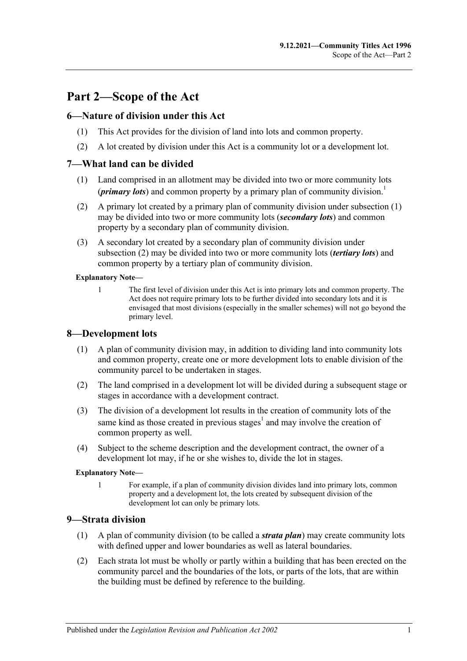## <span id="page-14-0"></span>**Part 2—Scope of the Act**

## <span id="page-14-1"></span>**6—Nature of division under this Act**

- (1) This Act provides for the division of land into lots and common property.
- (2) A lot created by division under this Act is a community lot or a development lot.

## <span id="page-14-5"></span><span id="page-14-2"></span>**7—What land can be divided**

- (1) Land comprised in an allotment may be divided into two or more community lots (*primary lots*) and common property by a primary plan of community division.<sup>1</sup>
- <span id="page-14-6"></span>(2) A primary lot created by a primary plan of community division under [subsection](#page-14-5) (1) may be divided into two or more community lots (*secondary lots*) and common property by a secondary plan of community division.
- <span id="page-14-8"></span>(3) A secondary lot created by a secondary plan of community division under [subsection](#page-14-6) (2) may be divided into two or more community lots (*tertiary lots*) and common property by a tertiary plan of community division.

#### **Explanatory Note—**

1 The first level of division under this Act is into primary lots and common property. The Act does not require primary lots to be further divided into secondary lots and it is envisaged that most divisions (especially in the smaller schemes) will not go beyond the primary level.

## <span id="page-14-3"></span>**8—Development lots**

- (1) A plan of community division may, in addition to dividing land into community lots and common property, create one or more development lots to enable division of the community parcel to be undertaken in stages.
- (2) The land comprised in a development lot will be divided during a subsequent stage or stages in accordance with a development contract.
- (3) The division of a development lot results in the creation of community lots of the same kind as those created in previous stages<sup>1</sup> and may involve the creation of common property as well.
- (4) Subject to the scheme description and the development contract, the owner of a development lot may, if he or she wishes to, divide the lot in stages.

#### **Explanatory Note—**

1 For example, if a plan of community division divides land into primary lots, common property and a development lot, the lots created by subsequent division of the development lot can only be primary lots.

#### <span id="page-14-7"></span><span id="page-14-4"></span>**9—Strata division**

- (1) A plan of community division (to be called a *strata plan*) may create community lots with defined upper and lower boundaries as well as lateral boundaries.
- (2) Each strata lot must be wholly or partly within a building that has been erected on the community parcel and the boundaries of the lots, or parts of the lots, that are within the building must be defined by reference to the building.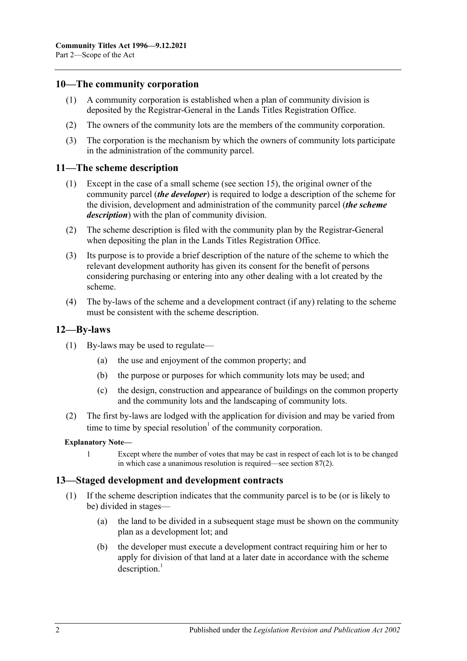### <span id="page-15-0"></span>**10—The community corporation**

- (1) A community corporation is established when a plan of community division is deposited by the Registrar-General in the Lands Titles Registration Office.
- (2) The owners of the community lots are the members of the community corporation.
- (3) The corporation is the mechanism by which the owners of community lots participate in the administration of the community parcel.

#### <span id="page-15-1"></span>**11—The scheme description**

- (1) Except in the case of a small scheme (see [section](#page-19-0) 15), the original owner of the community parcel (*the developer*) is required to lodge a description of the scheme for the division, development and administration of the community parcel (*the scheme description*) with the plan of community division.
- (2) The scheme description is filed with the community plan by the Registrar-General when depositing the plan in the Lands Titles Registration Office.
- (3) Its purpose is to provide a brief description of the nature of the scheme to which the relevant development authority has given its consent for the benefit of persons considering purchasing or entering into any other dealing with a lot created by the scheme.
- (4) The by-laws of the scheme and a development contract (if any) relating to the scheme must be consistent with the scheme description.

#### <span id="page-15-2"></span>**12—By-laws**

- (1) By-laws may be used to regulate—
	- (a) the use and enjoyment of the common property; and
	- (b) the purpose or purposes for which community lots may be used; and
	- (c) the design, construction and appearance of buildings on the common property and the community lots and the landscaping of community lots.
- (2) The first by-laws are lodged with the application for division and may be varied from time to time by special resolution<sup> $1$ </sup> of the community corporation.

#### **Explanatory Note—**

1 Except where the number of votes that may be cast in respect of each lot is to be changed in which case a unanimous resolution is required—see [section](#page-82-2) 87(2).

#### <span id="page-15-3"></span>**13—Staged development and development contracts**

- (1) If the scheme description indicates that the community parcel is to be (or is likely to be) divided in stages—
	- (a) the land to be divided in a subsequent stage must be shown on the community plan as a development lot; and
	- (b) the developer must execute a development contract requiring him or her to apply for division of that land at a later date in accordance with the scheme  $description.<sup>1</sup>$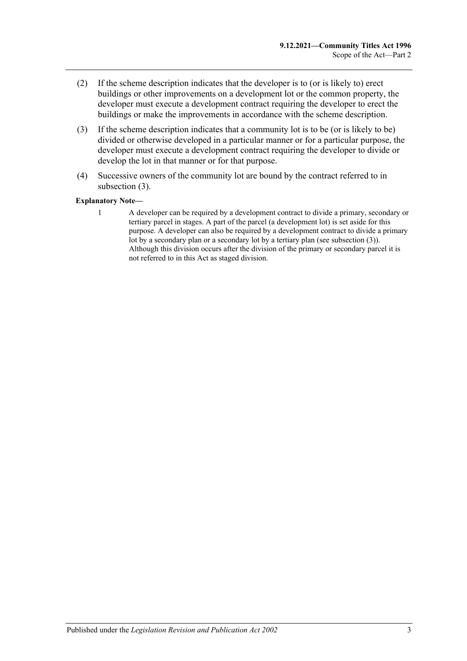- (2) If the scheme description indicates that the developer is to (or is likely to) erect buildings or other improvements on a development lot or the common property, the developer must execute a development contract requiring the developer to erect the buildings or make the improvements in accordance with the scheme description.
- <span id="page-16-0"></span>(3) If the scheme description indicates that a community lot is to be (or is likely to be) divided or otherwise developed in a particular manner or for a particular purpose, the developer must execute a development contract requiring the developer to divide or develop the lot in that manner or for that purpose.
- (4) Successive owners of the community lot are bound by the contract referred to in [subsection](#page-16-0) (3).

#### **Explanatory Note—**

1 A developer can be required by a development contract to divide a primary, secondary or tertiary parcel in stages. A part of the parcel (a development lot) is set aside for this purpose. A developer can also be required by a development contract to divide a primary lot by a secondary plan or a secondary lot by a tertiary plan (se[e subsection](#page-16-0) (3)). Although this division occurs after the division of the primary or secondary parcel it is not referred to in this Act as staged division.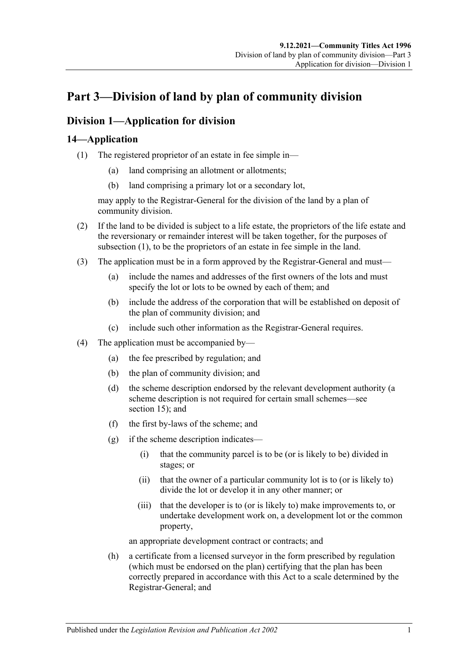## <span id="page-18-0"></span>**Part 3—Division of land by plan of community division**

## <span id="page-18-1"></span>**Division 1—Application for division**

## <span id="page-18-3"></span><span id="page-18-2"></span>**14—Application**

- (1) The registered proprietor of an estate in fee simple in—
	- (a) land comprising an allotment or allotments;
	- (b) land comprising a primary lot or a secondary lot,

may apply to the Registrar-General for the division of the land by a plan of community division.

- (2) If the land to be divided is subject to a life estate, the proprietors of the life estate and the reversionary or remainder interest will be taken together, for the purposes of [subsection](#page-18-3) (1), to be the proprietors of an estate in fee simple in the land.
- (3) The application must be in a form approved by the Registrar-General and must—
	- (a) include the names and addresses of the first owners of the lots and must specify the lot or lots to be owned by each of them; and
	- (b) include the address of the corporation that will be established on deposit of the plan of community division; and
	- (c) include such other information as the Registrar-General requires.
- (4) The application must be accompanied by—
	- (a) the fee prescribed by regulation; and
	- (b) the plan of community division; and
	- (d) the scheme description endorsed by the relevant development authority (a scheme description is not required for certain small schemes—see [section](#page-19-0) 15); and
	- (f) the first by-laws of the scheme; and
	- (g) if the scheme description indicates—
		- (i) that the community parcel is to be (or is likely to be) divided in stages; or
		- (ii) that the owner of a particular community lot is to (or is likely to) divide the lot or develop it in any other manner; or
		- (iii) that the developer is to (or is likely to) make improvements to, or undertake development work on, a development lot or the common property,

an appropriate development contract or contracts; and

(h) a certificate from a licensed surveyor in the form prescribed by regulation (which must be endorsed on the plan) certifying that the plan has been correctly prepared in accordance with this Act to a scale determined by the Registrar-General; and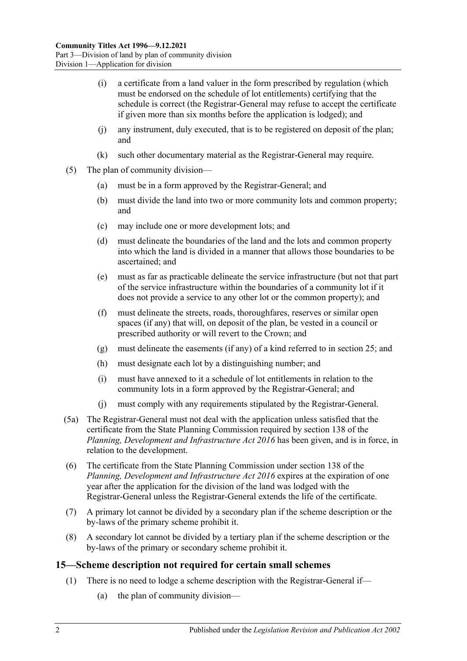- (i) a certificate from a land valuer in the form prescribed by regulation (which must be endorsed on the schedule of lot entitlements) certifying that the schedule is correct (the Registrar-General may refuse to accept the certificate if given more than six months before the application is lodged); and
- (j) any instrument, duly executed, that is to be registered on deposit of the plan; and
- (k) such other documentary material as the Registrar-General may require.
- (5) The plan of community division—
	- (a) must be in a form approved by the Registrar-General; and
	- (b) must divide the land into two or more community lots and common property; and
	- (c) may include one or more development lots; and
	- (d) must delineate the boundaries of the land and the lots and common property into which the land is divided in a manner that allows those boundaries to be ascertained; and
	- (e) must as far as practicable delineate the service infrastructure (but not that part of the service infrastructure within the boundaries of a community lot if it does not provide a service to any other lot or the common property); and
	- (f) must delineate the streets, roads, thoroughfares, reserves or similar open spaces (if any) that will, on deposit of the plan, be vested in a council or prescribed authority or will revert to the Crown; and
	- (g) must delineate the easements (if any) of a kind referred to in [section](#page-27-0) 25; and
	- (h) must designate each lot by a distinguishing number; and
	- (i) must have annexed to it a schedule of lot entitlements in relation to the community lots in a form approved by the Registrar-General; and
	- (j) must comply with any requirements stipulated by the Registrar-General.
- (5a) The Registrar-General must not deal with the application unless satisfied that the certificate from the State Planning Commission required by section 138 of the *[Planning, Development and Infrastructure Act](http://www.legislation.sa.gov.au/index.aspx?action=legref&type=act&legtitle=Planning%20Development%20and%20Infrastructure%20Act%202016) 2016* has been given, and is in force, in relation to the development.
- (6) The certificate from the State Planning Commission under section 138 of the *[Planning, Development and Infrastructure Act](http://www.legislation.sa.gov.au/index.aspx?action=legref&type=act&legtitle=Planning%20Development%20and%20Infrastructure%20Act%202016) 2016* expires at the expiration of one year after the application for the division of the land was lodged with the Registrar-General unless the Registrar-General extends the life of the certificate.
- (7) A primary lot cannot be divided by a secondary plan if the scheme description or the by-laws of the primary scheme prohibit it.
- (8) A secondary lot cannot be divided by a tertiary plan if the scheme description or the by-laws of the primary or secondary scheme prohibit it.

## <span id="page-19-0"></span>**15—Scheme description not required for certain small schemes**

- (1) There is no need to lodge a scheme description with the Registrar-General if—
	- (a) the plan of community division—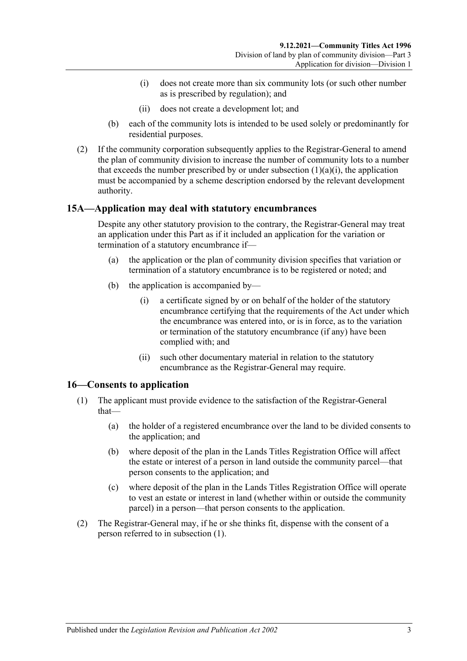- (i) does not create more than six community lots (or such other number as is prescribed by regulation); and
- (ii) does not create a development lot; and
- <span id="page-20-2"></span>(b) each of the community lots is intended to be used solely or predominantly for residential purposes.
- (2) If the community corporation subsequently applies to the Registrar-General to amend the plan of community division to increase the number of community lots to a number that exceeds the number prescribed by or under [subsection](#page-20-2)  $(1)(a)(i)$ , the application must be accompanied by a scheme description endorsed by the relevant development authority.

## <span id="page-20-0"></span>**15A—Application may deal with statutory encumbrances**

Despite any other statutory provision to the contrary, the Registrar-General may treat an application under this Part as if it included an application for the variation or termination of a statutory encumbrance if—

- (a) the application or the plan of community division specifies that variation or termination of a statutory encumbrance is to be registered or noted; and
- (b) the application is accompanied by—
	- (i) a certificate signed by or on behalf of the holder of the statutory encumbrance certifying that the requirements of the Act under which the encumbrance was entered into, or is in force, as to the variation or termination of the statutory encumbrance (if any) have been complied with; and
	- (ii) such other documentary material in relation to the statutory encumbrance as the Registrar-General may require.

## <span id="page-20-3"></span><span id="page-20-1"></span>**16—Consents to application**

- (1) The applicant must provide evidence to the satisfaction of the Registrar-General that—
	- (a) the holder of a registered encumbrance over the land to be divided consents to the application; and
	- (b) where deposit of the plan in the Lands Titles Registration Office will affect the estate or interest of a person in land outside the community parcel—that person consents to the application; and
	- (c) where deposit of the plan in the Lands Titles Registration Office will operate to vest an estate or interest in land (whether within or outside the community parcel) in a person—that person consents to the application.
- (2) The Registrar-General may, if he or she thinks fit, dispense with the consent of a person referred to in [subsection](#page-20-3) (1).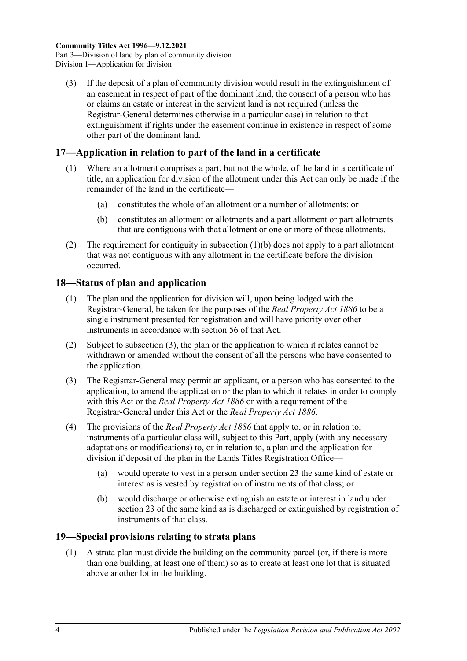(3) If the deposit of a plan of community division would result in the extinguishment of an easement in respect of part of the dominant land, the consent of a person who has or claims an estate or interest in the servient land is not required (unless the Registrar-General determines otherwise in a particular case) in relation to that extinguishment if rights under the easement continue in existence in respect of some other part of the dominant land.

## <span id="page-21-0"></span>**17—Application in relation to part of the land in a certificate**

- (1) Where an allotment comprises a part, but not the whole, of the land in a certificate of title, an application for division of the allotment under this Act can only be made if the remainder of the land in the certificate—
	- (a) constitutes the whole of an allotment or a number of allotments; or
	- (b) constitutes an allotment or allotments and a part allotment or part allotments that are contiguous with that allotment or one or more of those allotments.
- <span id="page-21-3"></span>(2) The requirement for contiguity in [subsection](#page-21-3) (1)(b) does not apply to a part allotment that was not contiguous with any allotment in the certificate before the division occurred.

## <span id="page-21-1"></span>**18—Status of plan and application**

- (1) The plan and the application for division will, upon being lodged with the Registrar-General, be taken for the purposes of the *[Real Property Act](http://www.legislation.sa.gov.au/index.aspx?action=legref&type=act&legtitle=Real%20Property%20Act%201886) 1886* to be a single instrument presented for registration and will have priority over other instruments in accordance with section 56 of that Act.
- (2) Subject to [subsection](#page-21-4) (3), the plan or the application to which it relates cannot be withdrawn or amended without the consent of all the persons who have consented to the application.
- <span id="page-21-4"></span>(3) The Registrar-General may permit an applicant, or a person who has consented to the application, to amend the application or the plan to which it relates in order to comply with this Act or the *[Real Property Act](http://www.legislation.sa.gov.au/index.aspx?action=legref&type=act&legtitle=Real%20Property%20Act%201886) 1886* or with a requirement of the Registrar-General under this Act or the *[Real Property Act](http://www.legislation.sa.gov.au/index.aspx?action=legref&type=act&legtitle=Real%20Property%20Act%201886) 1886*.
- (4) The provisions of the *[Real Property Act](http://www.legislation.sa.gov.au/index.aspx?action=legref&type=act&legtitle=Real%20Property%20Act%201886) 1886* that apply to, or in relation to, instruments of a particular class will, subject to this Part, apply (with any necessary adaptations or modifications) to, or in relation to, a plan and the application for division if deposit of the plan in the Lands Titles Registration Office—
	- (a) would operate to vest in a person under [section](#page-25-0) 23 the same kind of estate or interest as is vested by registration of instruments of that class; or
	- (b) would discharge or otherwise extinguish an estate or interest in land under [section](#page-25-0) 23 of the same kind as is discharged or extinguished by registration of instruments of that class.

## <span id="page-21-5"></span><span id="page-21-2"></span>**19—Special provisions relating to strata plans**

(1) A strata plan must divide the building on the community parcel (or, if there is more than one building, at least one of them) so as to create at least one lot that is situated above another lot in the building.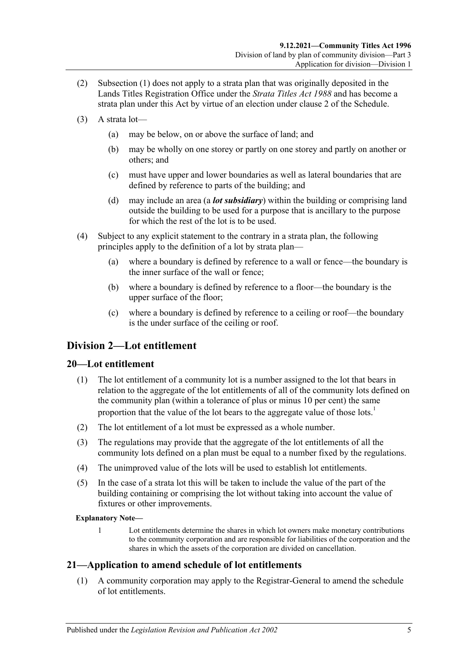- (2) [Subsection](#page-21-5) (1) does not apply to a strata plan that was originally deposited in the Lands Titles Registration Office under the *[Strata Titles Act](http://www.legislation.sa.gov.au/index.aspx?action=legref&type=act&legtitle=Strata%20Titles%20Act%201988) 1988* and has become a strata plan under this Act by virtue of an election under [clause](#page-124-2) 2 of the [Schedule.](#page-124-0)
- (3) A strata lot—
	- (a) may be below, on or above the surface of land; and
	- (b) may be wholly on one storey or partly on one storey and partly on another or others; and
	- (c) must have upper and lower boundaries as well as lateral boundaries that are defined by reference to parts of the building; and
	- (d) may include an area (a *lot subsidiary*) within the building or comprising land outside the building to be used for a purpose that is ancillary to the purpose for which the rest of the lot is to be used.
- <span id="page-22-3"></span>(4) Subject to any explicit statement to the contrary in a strata plan, the following principles apply to the definition of a lot by strata plan—
	- (a) where a boundary is defined by reference to a wall or fence—the boundary is the inner surface of the wall or fence;
	- (b) where a boundary is defined by reference to a floor—the boundary is the upper surface of the floor;
	- (c) where a boundary is defined by reference to a ceiling or roof—the boundary is the under surface of the ceiling or roof.

## <span id="page-22-0"></span>**Division 2—Lot entitlement**

## <span id="page-22-1"></span>**20—Lot entitlement**

- (1) The lot entitlement of a community lot is a number assigned to the lot that bears in relation to the aggregate of the lot entitlements of all of the community lots defined on the community plan (within a tolerance of plus or minus 10 per cent) the same proportion that the value of the lot bears to the aggregate value of those lots.<sup>1</sup>
- (2) The lot entitlement of a lot must be expressed as a whole number.
- (3) The regulations may provide that the aggregate of the lot entitlements of all the community lots defined on a plan must be equal to a number fixed by the regulations.
- (4) The unimproved value of the lots will be used to establish lot entitlements.
- (5) In the case of a strata lot this will be taken to include the value of the part of the building containing or comprising the lot without taking into account the value of fixtures or other improvements.

#### **Explanatory Note—**

1 Lot entitlements determine the shares in which lot owners make monetary contributions to the community corporation and are responsible for liabilities of the corporation and the shares in which the assets of the corporation are divided on cancellation.

## <span id="page-22-2"></span>**21—Application to amend schedule of lot entitlements**

(1) A community corporation may apply to the Registrar-General to amend the schedule of lot entitlements.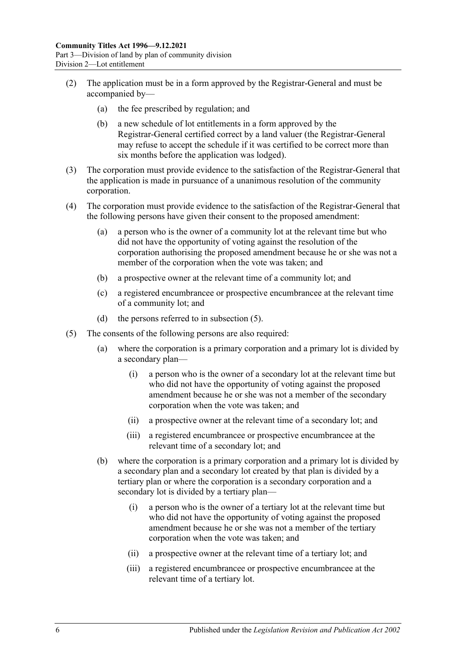- (2) The application must be in a form approved by the Registrar-General and must be accompanied by—
	- (a) the fee prescribed by regulation; and
	- (b) a new schedule of lot entitlements in a form approved by the Registrar-General certified correct by a land valuer (the Registrar-General may refuse to accept the schedule if it was certified to be correct more than six months before the application was lodged).
- (3) The corporation must provide evidence to the satisfaction of the Registrar-General that the application is made in pursuance of a unanimous resolution of the community corporation.
- (4) The corporation must provide evidence to the satisfaction of the Registrar-General that the following persons have given their consent to the proposed amendment:
	- (a) a person who is the owner of a community lot at the relevant time but who did not have the opportunity of voting against the resolution of the corporation authorising the proposed amendment because he or she was not a member of the corporation when the vote was taken; and
	- (b) a prospective owner at the relevant time of a community lot; and
	- (c) a registered encumbrancee or prospective encumbrancee at the relevant time of a community lot; and
	- (d) the persons referred to in [subsection](#page-23-0) (5).
- <span id="page-23-0"></span>(5) The consents of the following persons are also required:
	- (a) where the corporation is a primary corporation and a primary lot is divided by a secondary plan—
		- (i) a person who is the owner of a secondary lot at the relevant time but who did not have the opportunity of voting against the proposed amendment because he or she was not a member of the secondary corporation when the vote was taken; and
		- (ii) a prospective owner at the relevant time of a secondary lot; and
		- (iii) a registered encumbrancee or prospective encumbrancee at the relevant time of a secondary lot; and
	- (b) where the corporation is a primary corporation and a primary lot is divided by a secondary plan and a secondary lot created by that plan is divided by a tertiary plan or where the corporation is a secondary corporation and a secondary lot is divided by a tertiary plan—
		- (i) a person who is the owner of a tertiary lot at the relevant time but who did not have the opportunity of voting against the proposed amendment because he or she was not a member of the tertiary corporation when the vote was taken; and
		- (ii) a prospective owner at the relevant time of a tertiary lot; and
		- (iii) a registered encumbrancee or prospective encumbrancee at the relevant time of a tertiary lot.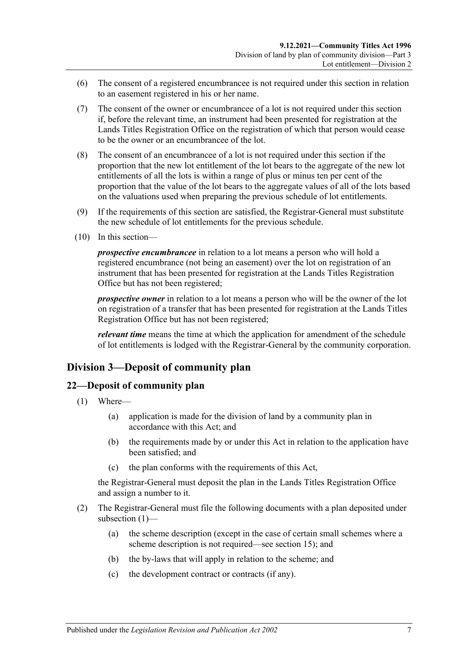- (6) The consent of a registered encumbrancee is not required under this section in relation to an easement registered in his or her name.
- (7) The consent of the owner or encumbrancee of a lot is not required under this section if, before the relevant time, an instrument had been presented for registration at the Lands Titles Registration Office on the registration of which that person would cease to be the owner or an encumbrancee of the lot.
- (8) The consent of an encumbrancee of a lot is not required under this section if the proportion that the new lot entitlement of the lot bears to the aggregate of the new lot entitlements of all the lots is within a range of plus or minus ten per cent of the proportion that the value of the lot bears to the aggregate values of all of the lots based on the valuations used when preparing the previous schedule of lot entitlements.
- (9) If the requirements of this section are satisfied, the Registrar-General must substitute the new schedule of lot entitlements for the previous schedule.
- (10) In this section—

*prospective encumbrancee* in relation to a lot means a person who will hold a registered encumbrance (not being an easement) over the lot on registration of an instrument that has been presented for registration at the Lands Titles Registration Office but has not been registered;

*prospective owner* in relation to a lot means a person who will be the owner of the lot on registration of a transfer that has been presented for registration at the Lands Titles Registration Office but has not been registered;

*relevant time* means the time at which the application for amendment of the schedule of lot entitlements is lodged with the Registrar-General by the community corporation.

## <span id="page-24-0"></span>**Division 3—Deposit of community plan**

## <span id="page-24-2"></span><span id="page-24-1"></span>**22—Deposit of community plan**

- (1) Where—
	- (a) application is made for the division of land by a community plan in accordance with this Act; and
	- (b) the requirements made by or under this Act in relation to the application have been satisfied; and
	- (c) the plan conforms with the requirements of this Act,

the Registrar-General must deposit the plan in the Lands Titles Registration Office and assign a number to it.

- (2) The Registrar-General must file the following documents with a plan deposited under [subsection](#page-24-2) (1)—
	- (a) the scheme description (except in the case of certain small schemes where a scheme description is not required—see [section](#page-19-0) 15); and
	- (b) the by-laws that will apply in relation to the scheme; and
	- (c) the development contract or contracts (if any).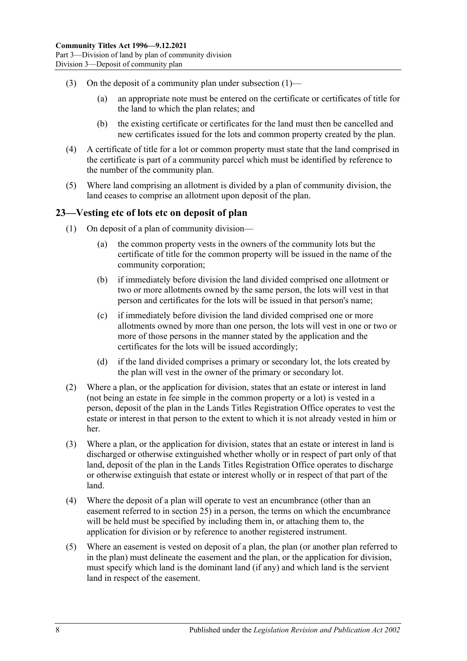- (3) On the deposit of a community plan under [subsection](#page-24-2)  $(1)$ 
	- (a) an appropriate note must be entered on the certificate or certificates of title for the land to which the plan relates; and
	- (b) the existing certificate or certificates for the land must then be cancelled and new certificates issued for the lots and common property created by the plan.
- (4) A certificate of title for a lot or common property must state that the land comprised in the certificate is part of a community parcel which must be identified by reference to the number of the community plan.
- (5) Where land comprising an allotment is divided by a plan of community division, the land ceases to comprise an allotment upon deposit of the plan.

## <span id="page-25-0"></span>**23—Vesting etc of lots etc on deposit of plan**

- (1) On deposit of a plan of community division—
	- (a) the common property vests in the owners of the community lots but the certificate of title for the common property will be issued in the name of the community corporation;
	- (b) if immediately before division the land divided comprised one allotment or two or more allotments owned by the same person, the lots will vest in that person and certificates for the lots will be issued in that person's name;
	- (c) if immediately before division the land divided comprised one or more allotments owned by more than one person, the lots will vest in one or two or more of those persons in the manner stated by the application and the certificates for the lots will be issued accordingly;
	- (d) if the land divided comprises a primary or secondary lot, the lots created by the plan will vest in the owner of the primary or secondary lot.
- (2) Where a plan, or the application for division, states that an estate or interest in land (not being an estate in fee simple in the common property or a lot) is vested in a person, deposit of the plan in the Lands Titles Registration Office operates to vest the estate or interest in that person to the extent to which it is not already vested in him or her.
- (3) Where a plan, or the application for division, states that an estate or interest in land is discharged or otherwise extinguished whether wholly or in respect of part only of that land, deposit of the plan in the Lands Titles Registration Office operates to discharge or otherwise extinguish that estate or interest wholly or in respect of that part of the land.
- (4) Where the deposit of a plan will operate to vest an encumbrance (other than an easement referred to in [section](#page-27-0) 25) in a person, the terms on which the encumbrance will be held must be specified by including them in, or attaching them to, the application for division or by reference to another registered instrument.
- (5) Where an easement is vested on deposit of a plan, the plan (or another plan referred to in the plan) must delineate the easement and the plan, or the application for division, must specify which land is the dominant land (if any) and which land is the servient land in respect of the easement.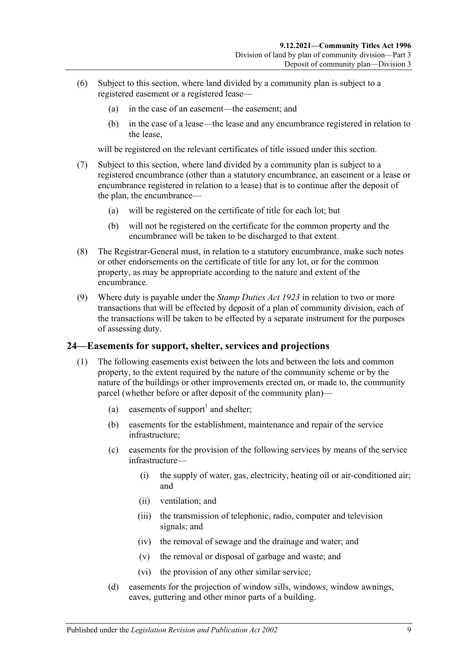- (6) Subject to this section, where land divided by a community plan is subject to a registered easement or a registered lease—
	- (a) in the case of an easement—the easement; and
	- (b) in the case of a lease—the lease and any encumbrance registered in relation to the lease,

will be registered on the relevant certificates of title issued under this section.

- (7) Subject to this section, where land divided by a community plan is subject to a registered encumbrance (other than a statutory encumbrance, an easement or a lease or encumbrance registered in relation to a lease) that is to continue after the deposit of the plan, the encumbrance—
	- (a) will be registered on the certificate of title for each lot; but
	- (b) will not be registered on the certificate for the common property and the encumbrance will be taken to be discharged to that extent.
- (8) The Registrar-General must, in relation to a statutory encumbrance, make such notes or other endorsements on the certificate of title for any lot, or for the common property, as may be appropriate according to the nature and extent of the encumbrance.
- (9) Where duty is payable under the *[Stamp Duties Act](http://www.legislation.sa.gov.au/index.aspx?action=legref&type=act&legtitle=Stamp%20Duties%20Act%201923) 1923* in relation to two or more transactions that will be effected by deposit of a plan of community division, each of the transactions will be taken to be effected by a separate instrument for the purposes of assessing duty.

## <span id="page-26-1"></span><span id="page-26-0"></span>**24—Easements for support, shelter, services and projections**

- <span id="page-26-2"></span>(1) The following easements exist between the lots and between the lots and common property, to the extent required by the nature of the community scheme or by the nature of the buildings or other improvements erected on, or made to, the community parcel (whether before or after deposit of the community plan)—
	- (a) easements of support<sup>1</sup> and shelter;
	- (b) easements for the establishment, maintenance and repair of the service infrastructure;
	- (c) easements for the provision of the following services by means of the service infrastructure—
		- (i) the supply of water, gas, electricity, heating oil or air-conditioned air; and
		- (ii) ventilation; and
		- (iii) the transmission of telephonic, radio, computer and television signals; and
		- (iv) the removal of sewage and the drainage and water; and
		- (v) the removal or disposal of garbage and waste; and
		- (vi) the provision of any other similar service;
	- (d) easements for the projection of window sills, windows, window awnings, eaves, guttering and other minor parts of a building.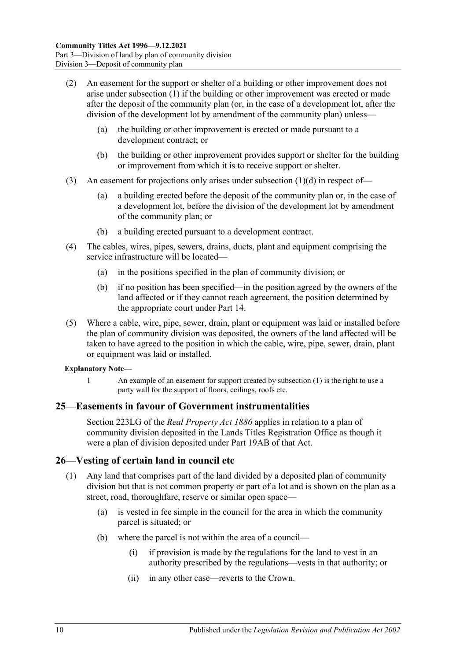- (2) An easement for the support or shelter of a building or other improvement does not arise under [subsection](#page-26-1) (1) if the building or other improvement was erected or made after the deposit of the community plan (or, in the case of a development lot, after the division of the development lot by amendment of the community plan) unless—
	- (a) the building or other improvement is erected or made pursuant to a development contract; or
	- (b) the building or other improvement provides support or shelter for the building or improvement from which it is to receive support or shelter.
- (3) An easement for projections only arises under [subsection](#page-26-2) (1)(d) in respect of—
	- (a) a building erected before the deposit of the community plan or, in the case of a development lot, before the division of the development lot by amendment of the community plan; or
	- (b) a building erected pursuant to a development contract.
- (4) The cables, wires, pipes, sewers, drains, ducts, plant and equipment comprising the service infrastructure will be located—
	- (a) in the positions specified in the plan of community division; or
	- (b) if no position has been specified—in the position agreed by the owners of the land affected or if they cannot reach agreement, the position determined by the appropriate court under [Part 14.](#page-112-0)
- (5) Where a cable, wire, pipe, sewer, drain, plant or equipment was laid or installed before the plan of community division was deposited, the owners of the land affected will be taken to have agreed to the position in which the cable, wire, pipe, sewer, drain, plant or equipment was laid or installed.

#### **Explanatory Note—**

1 An example of an easement for support created by [subsection](#page-26-1) (1) is the right to use a party wall for the support of floors, ceilings, roofs etc.

## <span id="page-27-0"></span>**25—Easements in favour of Government instrumentalities**

Section 223LG of the *[Real Property Act](http://www.legislation.sa.gov.au/index.aspx?action=legref&type=act&legtitle=Real%20Property%20Act%201886) 1886* applies in relation to a plan of community division deposited in the Lands Titles Registration Office as though it were a plan of division deposited under Part 19AB of that Act.

## <span id="page-27-1"></span>**26—Vesting of certain land in council etc**

- (1) Any land that comprises part of the land divided by a deposited plan of community division but that is not common property or part of a lot and is shown on the plan as a street, road, thoroughfare, reserve or similar open space—
	- (a) is vested in fee simple in the council for the area in which the community parcel is situated; or
	- (b) where the parcel is not within the area of a council—
		- (i) if provision is made by the regulations for the land to vest in an authority prescribed by the regulations—vests in that authority; or
		- (ii) in any other case—reverts to the Crown.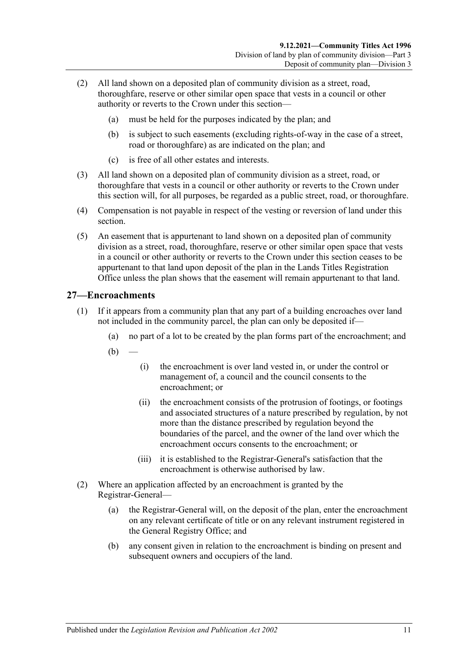- (2) All land shown on a deposited plan of community division as a street, road, thoroughfare, reserve or other similar open space that vests in a council or other authority or reverts to the Crown under this section—
	- (a) must be held for the purposes indicated by the plan; and
	- (b) is subject to such easements (excluding rights-of-way in the case of a street, road or thoroughfare) as are indicated on the plan; and
	- (c) is free of all other estates and interests.
- (3) All land shown on a deposited plan of community division as a street, road, or thoroughfare that vests in a council or other authority or reverts to the Crown under this section will, for all purposes, be regarded as a public street, road, or thoroughfare.
- (4) Compensation is not payable in respect of the vesting or reversion of land under this section.
- (5) An easement that is appurtenant to land shown on a deposited plan of community division as a street, road, thoroughfare, reserve or other similar open space that vests in a council or other authority or reverts to the Crown under this section ceases to be appurtenant to that land upon deposit of the plan in the Lands Titles Registration Office unless the plan shows that the easement will remain appurtenant to that land.

## <span id="page-28-0"></span>**27—Encroachments**

- (1) If it appears from a community plan that any part of a building encroaches over land not included in the community parcel, the plan can only be deposited if—
	- (a) no part of a lot to be created by the plan forms part of the encroachment; and
	- $(b)$ 
		- (i) the encroachment is over land vested in, or under the control or management of, a council and the council consents to the encroachment; or
		- (ii) the encroachment consists of the protrusion of footings, or footings and associated structures of a nature prescribed by regulation, by not more than the distance prescribed by regulation beyond the boundaries of the parcel, and the owner of the land over which the encroachment occurs consents to the encroachment; or
		- (iii) it is established to the Registrar-General's satisfaction that the encroachment is otherwise authorised by law.
- (2) Where an application affected by an encroachment is granted by the Registrar-General—
	- (a) the Registrar-General will, on the deposit of the plan, enter the encroachment on any relevant certificate of title or on any relevant instrument registered in the General Registry Office; and
	- (b) any consent given in relation to the encroachment is binding on present and subsequent owners and occupiers of the land.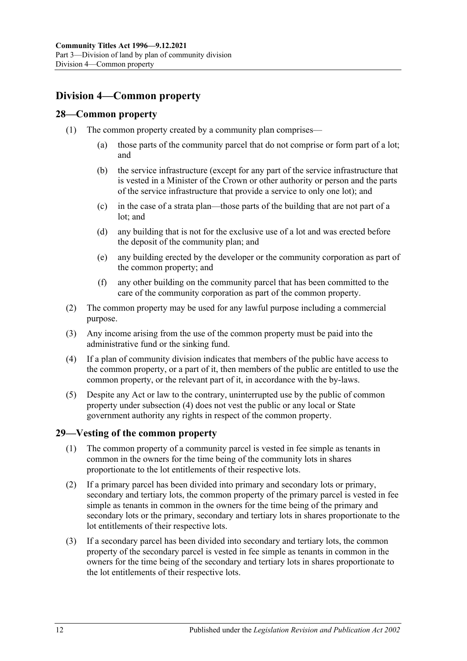## <span id="page-29-0"></span>**Division 4—Common property**

## <span id="page-29-1"></span>**28—Common property**

- (1) The common property created by a community plan comprises—
	- (a) those parts of the community parcel that do not comprise or form part of a lot; and
	- (b) the service infrastructure (except for any part of the service infrastructure that is vested in a Minister of the Crown or other authority or person and the parts of the service infrastructure that provide a service to only one lot); and
	- (c) in the case of a strata plan—those parts of the building that are not part of a lot; and
	- (d) any building that is not for the exclusive use of a lot and was erected before the deposit of the community plan; and
	- (e) any building erected by the developer or the community corporation as part of the common property; and
	- (f) any other building on the community parcel that has been committed to the care of the community corporation as part of the common property.
- (2) The common property may be used for any lawful purpose including a commercial purpose.
- (3) Any income arising from the use of the common property must be paid into the administrative fund or the sinking fund.
- <span id="page-29-3"></span>(4) If a plan of community division indicates that members of the public have access to the common property, or a part of it, then members of the public are entitled to use the common property, or the relevant part of it, in accordance with the by-laws.
- (5) Despite any Act or law to the contrary, uninterrupted use by the public of common property under [subsection](#page-29-3) (4) does not vest the public or any local or State government authority any rights in respect of the common property.

## <span id="page-29-2"></span>**29—Vesting of the common property**

- (1) The common property of a community parcel is vested in fee simple as tenants in common in the owners for the time being of the community lots in shares proportionate to the lot entitlements of their respective lots.
- (2) If a primary parcel has been divided into primary and secondary lots or primary, secondary and tertiary lots, the common property of the primary parcel is vested in fee simple as tenants in common in the owners for the time being of the primary and secondary lots or the primary, secondary and tertiary lots in shares proportionate to the lot entitlements of their respective lots.
- (3) If a secondary parcel has been divided into secondary and tertiary lots, the common property of the secondary parcel is vested in fee simple as tenants in common in the owners for the time being of the secondary and tertiary lots in shares proportionate to the lot entitlements of their respective lots.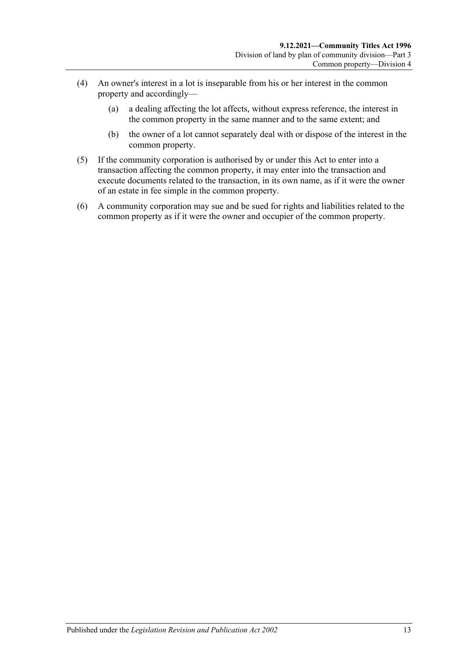- (4) An owner's interest in a lot is inseparable from his or her interest in the common property and accordingly—
	- (a) a dealing affecting the lot affects, without express reference, the interest in the common property in the same manner and to the same extent; and
	- (b) the owner of a lot cannot separately deal with or dispose of the interest in the common property.
- (5) If the community corporation is authorised by or under this Act to enter into a transaction affecting the common property, it may enter into the transaction and execute documents related to the transaction, in its own name, as if it were the owner of an estate in fee simple in the common property.
- (6) A community corporation may sue and be sued for rights and liabilities related to the common property as if it were the owner and occupier of the common property.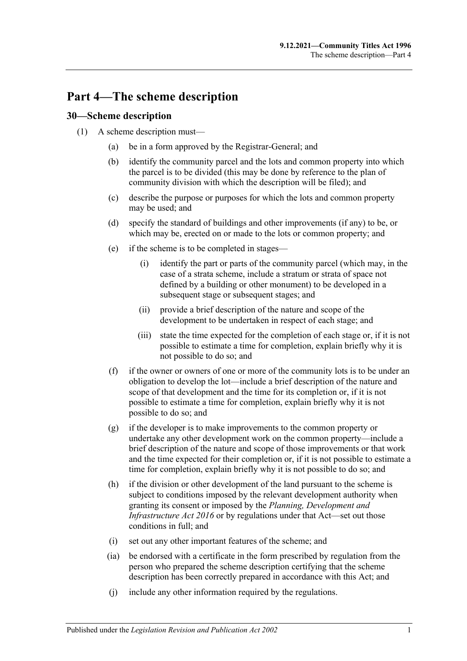## <span id="page-32-0"></span>**Part 4—The scheme description**

## <span id="page-32-1"></span>**30—Scheme description**

- (1) A scheme description must—
	- (a) be in a form approved by the Registrar-General; and
	- (b) identify the community parcel and the lots and common property into which the parcel is to be divided (this may be done by reference to the plan of community division with which the description will be filed); and
	- (c) describe the purpose or purposes for which the lots and common property may be used; and
	- (d) specify the standard of buildings and other improvements (if any) to be, or which may be, erected on or made to the lots or common property; and
	- (e) if the scheme is to be completed in stages—
		- (i) identify the part or parts of the community parcel (which may, in the case of a strata scheme, include a stratum or strata of space not defined by a building or other monument) to be developed in a subsequent stage or subsequent stages; and
		- (ii) provide a brief description of the nature and scope of the development to be undertaken in respect of each stage; and
		- (iii) state the time expected for the completion of each stage or, if it is not possible to estimate a time for completion, explain briefly why it is not possible to do so; and
	- (f) if the owner or owners of one or more of the community lots is to be under an obligation to develop the lot—include a brief description of the nature and scope of that development and the time for its completion or, if it is not possible to estimate a time for completion, explain briefly why it is not possible to do so; and
	- (g) if the developer is to make improvements to the common property or undertake any other development work on the common property—include a brief description of the nature and scope of those improvements or that work and the time expected for their completion or, if it is not possible to estimate a time for completion, explain briefly why it is not possible to do so; and
	- (h) if the division or other development of the land pursuant to the scheme is subject to conditions imposed by the relevant development authority when granting its consent or imposed by the *[Planning, Development and](http://www.legislation.sa.gov.au/index.aspx?action=legref&type=act&legtitle=Planning%20Development%20and%20Infrastructure%20Act%202016)  [Infrastructure Act](http://www.legislation.sa.gov.au/index.aspx?action=legref&type=act&legtitle=Planning%20Development%20and%20Infrastructure%20Act%202016) 2016* or by regulations under that Act—set out those conditions in full; and
	- (i) set out any other important features of the scheme; and
	- (ia) be endorsed with a certificate in the form prescribed by regulation from the person who prepared the scheme description certifying that the scheme description has been correctly prepared in accordance with this Act; and
	- (j) include any other information required by the regulations.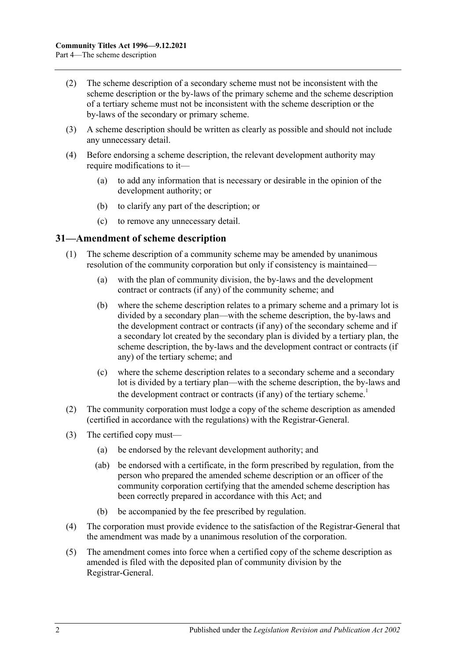- (2) The scheme description of a secondary scheme must not be inconsistent with the scheme description or the by-laws of the primary scheme and the scheme description of a tertiary scheme must not be inconsistent with the scheme description or the by-laws of the secondary or primary scheme.
- (3) A scheme description should be written as clearly as possible and should not include any unnecessary detail.
- <span id="page-33-1"></span>(4) Before endorsing a scheme description, the relevant development authority may require modifications to it—
	- (a) to add any information that is necessary or desirable in the opinion of the development authority; or
	- (b) to clarify any part of the description; or
	- (c) to remove any unnecessary detail.

#### <span id="page-33-0"></span>**31—Amendment of scheme description**

- (1) The scheme description of a community scheme may be amended by unanimous resolution of the community corporation but only if consistency is maintained—
	- (a) with the plan of community division, the by-laws and the development contract or contracts (if any) of the community scheme; and
	- (b) where the scheme description relates to a primary scheme and a primary lot is divided by a secondary plan—with the scheme description, the by-laws and the development contract or contracts (if any) of the secondary scheme and if a secondary lot created by the secondary plan is divided by a tertiary plan, the scheme description, the by-laws and the development contract or contracts (if any) of the tertiary scheme; and
	- (c) where the scheme description relates to a secondary scheme and a secondary lot is divided by a tertiary plan—with the scheme description, the by-laws and the development contract or contracts (if any) of the tertiary scheme.<sup>1</sup>
- (2) The community corporation must lodge a copy of the scheme description as amended (certified in accordance with the regulations) with the Registrar-General.
- (3) The certified copy must—
	- (a) be endorsed by the relevant development authority; and
	- (ab) be endorsed with a certificate, in the form prescribed by regulation, from the person who prepared the amended scheme description or an officer of the community corporation certifying that the amended scheme description has been correctly prepared in accordance with this Act; and
	- (b) be accompanied by the fee prescribed by regulation.
- (4) The corporation must provide evidence to the satisfaction of the Registrar-General that the amendment was made by a unanimous resolution of the corporation.
- (5) The amendment comes into force when a certified copy of the scheme description as amended is filed with the deposited plan of community division by the Registrar-General.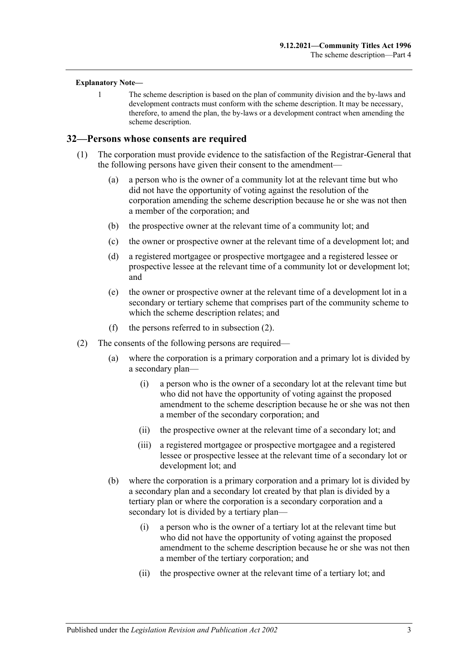#### **Explanatory Note—**

1 The scheme description is based on the plan of community division and the by-laws and development contracts must conform with the scheme description. It may be necessary, therefore, to amend the plan, the by-laws or a development contract when amending the scheme description.

#### <span id="page-34-0"></span>**32—Persons whose consents are required**

- (1) The corporation must provide evidence to the satisfaction of the Registrar-General that the following persons have given their consent to the amendment—
	- (a) a person who is the owner of a community lot at the relevant time but who did not have the opportunity of voting against the resolution of the corporation amending the scheme description because he or she was not then a member of the corporation; and
	- (b) the prospective owner at the relevant time of a community lot; and
	- (c) the owner or prospective owner at the relevant time of a development lot; and
	- (d) a registered mortgagee or prospective mortgagee and a registered lessee or prospective lessee at the relevant time of a community lot or development lot; and
	- (e) the owner or prospective owner at the relevant time of a development lot in a secondary or tertiary scheme that comprises part of the community scheme to which the scheme description relates; and
	- (f) the persons referred to in [subsection](#page-34-1) (2).
- <span id="page-34-1"></span>(2) The consents of the following persons are required—
	- (a) where the corporation is a primary corporation and a primary lot is divided by a secondary plan—
		- (i) a person who is the owner of a secondary lot at the relevant time but who did not have the opportunity of voting against the proposed amendment to the scheme description because he or she was not then a member of the secondary corporation; and
		- (ii) the prospective owner at the relevant time of a secondary lot; and
		- (iii) a registered mortgagee or prospective mortgagee and a registered lessee or prospective lessee at the relevant time of a secondary lot or development lot; and
	- (b) where the corporation is a primary corporation and a primary lot is divided by a secondary plan and a secondary lot created by that plan is divided by a tertiary plan or where the corporation is a secondary corporation and a secondary lot is divided by a tertiary plan—
		- (i) a person who is the owner of a tertiary lot at the relevant time but who did not have the opportunity of voting against the proposed amendment to the scheme description because he or she was not then a member of the tertiary corporation; and
		- (ii) the prospective owner at the relevant time of a tertiary lot; and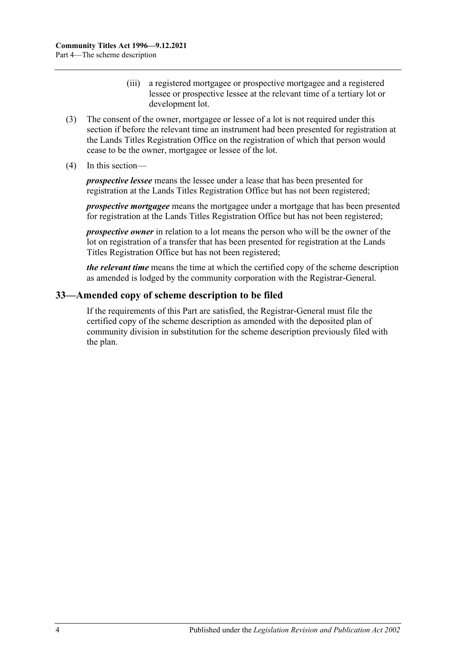- (iii) a registered mortgagee or prospective mortgagee and a registered lessee or prospective lessee at the relevant time of a tertiary lot or development lot.
- (3) The consent of the owner, mortgagee or lessee of a lot is not required under this section if before the relevant time an instrument had been presented for registration at the Lands Titles Registration Office on the registration of which that person would cease to be the owner, mortgagee or lessee of the lot.
- (4) In this section—

*prospective lessee* means the lessee under a lease that has been presented for registration at the Lands Titles Registration Office but has not been registered;

*prospective mortgagee* means the mortgagee under a mortgage that has been presented for registration at the Lands Titles Registration Office but has not been registered;

*prospective owner* in relation to a lot means the person who will be the owner of the lot on registration of a transfer that has been presented for registration at the Lands Titles Registration Office but has not been registered;

*the relevant time* means the time at which the certified copy of the scheme description as amended is lodged by the community corporation with the Registrar-General.

## <span id="page-35-0"></span>**33—Amended copy of scheme description to be filed**

If the requirements of this Part are satisfied, the Registrar-General must file the certified copy of the scheme description as amended with the deposited plan of community division in substitution for the scheme description previously filed with the plan.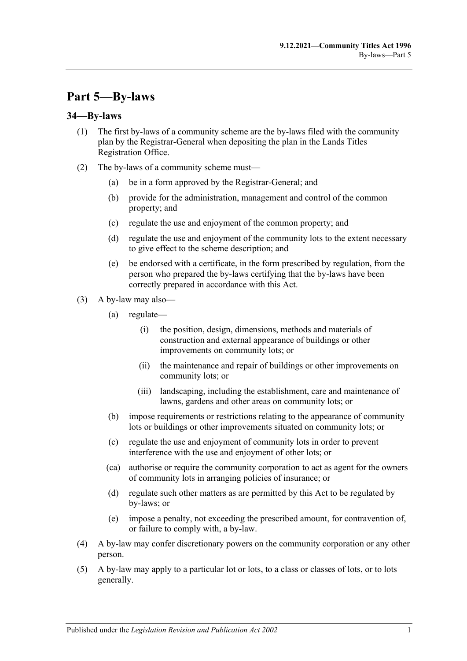# **Part 5—By-laws**

### **34—By-laws**

- (1) The first by-laws of a community scheme are the by-laws filed with the community plan by the Registrar-General when depositing the plan in the Lands Titles Registration Office.
- (2) The by-laws of a community scheme must—
	- (a) be in a form approved by the Registrar-General; and
	- (b) provide for the administration, management and control of the common property; and
	- (c) regulate the use and enjoyment of the common property; and
	- (d) regulate the use and enjoyment of the community lots to the extent necessary to give effect to the scheme description; and
	- (e) be endorsed with a certificate, in the form prescribed by regulation, from the person who prepared the by-laws certifying that the by-laws have been correctly prepared in accordance with this Act.
- (3) A by-law may also—
	- (a) regulate—
		- (i) the position, design, dimensions, methods and materials of construction and external appearance of buildings or other improvements on community lots; or
		- (ii) the maintenance and repair of buildings or other improvements on community lots; or
		- (iii) landscaping, including the establishment, care and maintenance of lawns, gardens and other areas on community lots; or
	- (b) impose requirements or restrictions relating to the appearance of community lots or buildings or other improvements situated on community lots; or
	- (c) regulate the use and enjoyment of community lots in order to prevent interference with the use and enjoyment of other lots; or
	- (ca) authorise or require the community corporation to act as agent for the owners of community lots in arranging policies of insurance; or
	- (d) regulate such other matters as are permitted by this Act to be regulated by by-laws; or
	- (e) impose a penalty, not exceeding the prescribed amount, for contravention of, or failure to comply with, a by-law.
- (4) A by-law may confer discretionary powers on the community corporation or any other person.
- (5) A by-law may apply to a particular lot or lots, to a class or classes of lots, or to lots generally.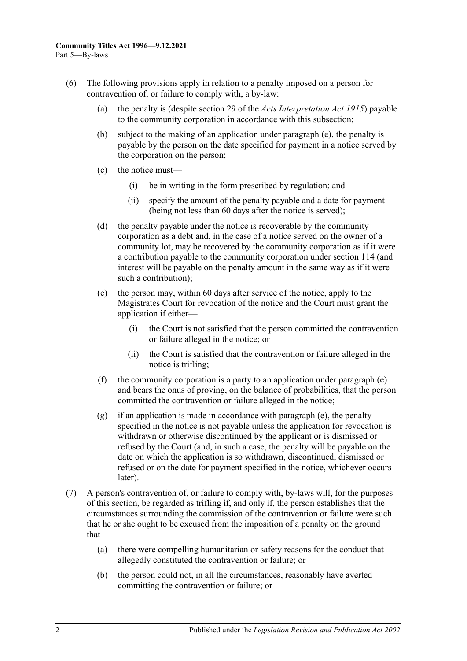- <span id="page-37-0"></span>(6) The following provisions apply in relation to a penalty imposed on a person for contravention of, or failure to comply with, a by-law:
	- (a) the penalty is (despite section 29 of the *[Acts Interpretation Act](http://www.legislation.sa.gov.au/index.aspx?action=legref&type=act&legtitle=Acts%20Interpretation%20Act%201915) 1915*) payable to the community corporation in accordance with this subsection;
	- (b) subject to the making of an application under [paragraph](#page-37-0) (e), the penalty is payable by the person on the date specified for payment in a notice served by the corporation on the person;
	- (c) the notice must—
		- (i) be in writing in the form prescribed by regulation; and
		- (ii) specify the amount of the penalty payable and a date for payment (being not less than 60 days after the notice is served);
	- (d) the penalty payable under the notice is recoverable by the community corporation as a debt and, in the case of a notice served on the owner of a community lot, may be recovered by the community corporation as if it were a contribution payable to the community corporation under [section](#page-98-0) 114 (and interest will be payable on the penalty amount in the same way as if it were such a contribution);
	- (e) the person may, within 60 days after service of the notice, apply to the Magistrates Court for revocation of the notice and the Court must grant the application if either—
		- (i) the Court is not satisfied that the person committed the contravention or failure alleged in the notice; or
		- (ii) the Court is satisfied that the contravention or failure alleged in the notice is trifling;
	- (f) the community corporation is a party to an application under [paragraph](#page-37-0) (e) and bears the onus of proving, on the balance of probabilities, that the person committed the contravention or failure alleged in the notice;
	- (g) if an application is made in accordance with [paragraph](#page-37-0) (e), the penalty specified in the notice is not payable unless the application for revocation is withdrawn or otherwise discontinued by the applicant or is dismissed or refused by the Court (and, in such a case, the penalty will be payable on the date on which the application is so withdrawn, discontinued, dismissed or refused or on the date for payment specified in the notice, whichever occurs later).
- (7) A person's contravention of, or failure to comply with, by-laws will, for the purposes of this section, be regarded as trifling if, and only if, the person establishes that the circumstances surrounding the commission of the contravention or failure were such that he or she ought to be excused from the imposition of a penalty on the ground that—
	- (a) there were compelling humanitarian or safety reasons for the conduct that allegedly constituted the contravention or failure; or
	- (b) the person could not, in all the circumstances, reasonably have averted committing the contravention or failure; or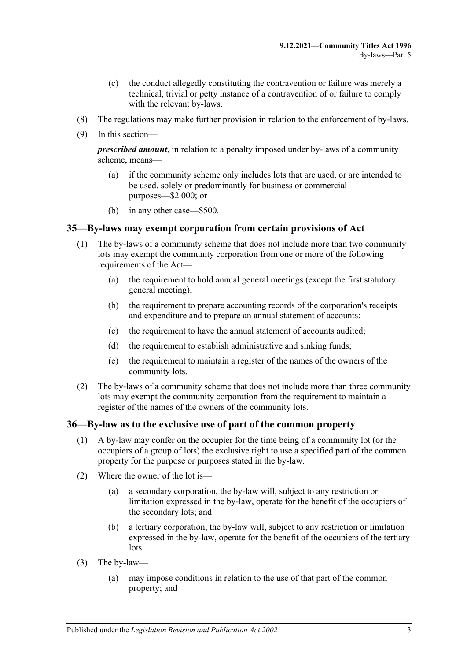- (c) the conduct allegedly constituting the contravention or failure was merely a technical, trivial or petty instance of a contravention of or failure to comply with the relevant by-laws.
- (8) The regulations may make further provision in relation to the enforcement of by-laws.
- (9) In this section—

*prescribed amount*, in relation to a penalty imposed under by-laws of a community scheme, means—

- (a) if the community scheme only includes lots that are used, or are intended to be used, solely or predominantly for business or commercial purposes—\$2 000; or
- (b) in any other case—\$500.

### **35—By-laws may exempt corporation from certain provisions of Act**

- (1) The by-laws of a community scheme that does not include more than two community lots may exempt the community corporation from one or more of the following requirements of the Act—
	- (a) the requirement to hold annual general meetings (except the first statutory general meeting);
	- (b) the requirement to prepare accounting records of the corporation's receipts and expenditure and to prepare an annual statement of accounts;
	- (c) the requirement to have the annual statement of accounts audited;
	- (d) the requirement to establish administrative and sinking funds;
	- (e) the requirement to maintain a register of the names of the owners of the community lots.
- (2) The by-laws of a community scheme that does not include more than three community lots may exempt the community corporation from the requirement to maintain a register of the names of the owners of the community lots.

#### **36—By-law as to the exclusive use of part of the common property**

- (1) A by-law may confer on the occupier for the time being of a community lot (or the occupiers of a group of lots) the exclusive right to use a specified part of the common property for the purpose or purposes stated in the by-law.
- (2) Where the owner of the lot is—
	- (a) a secondary corporation, the by-law will, subject to any restriction or limitation expressed in the by-law, operate for the benefit of the occupiers of the secondary lots; and
	- (b) a tertiary corporation, the by-law will, subject to any restriction or limitation expressed in the by-law, operate for the benefit of the occupiers of the tertiary lots.
- (3) The by-law—
	- (a) may impose conditions in relation to the use of that part of the common property; and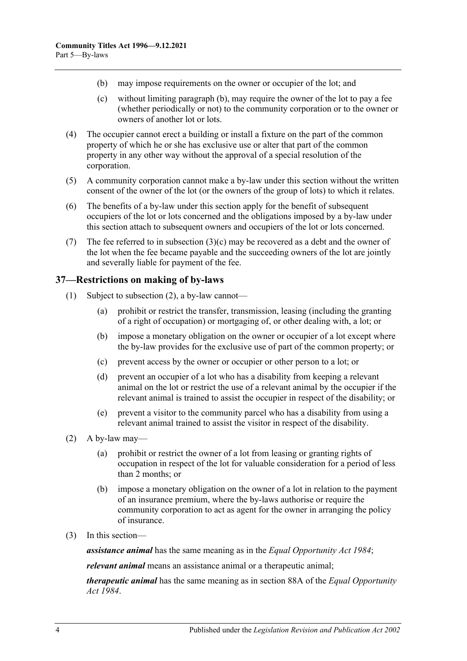- <span id="page-39-1"></span><span id="page-39-0"></span>(b) may impose requirements on the owner or occupier of the lot; and
- (c) without limiting [paragraph](#page-39-0) (b), may require the owner of the lot to pay a fee (whether periodically or not) to the community corporation or to the owner or owners of another lot or lots.
- (4) The occupier cannot erect a building or install a fixture on the part of the common property of which he or she has exclusive use or alter that part of the common property in any other way without the approval of a special resolution of the corporation.
- (5) A community corporation cannot make a by-law under this section without the written consent of the owner of the lot (or the owners of the group of lots) to which it relates.
- (6) The benefits of a by-law under this section apply for the benefit of subsequent occupiers of the lot or lots concerned and the obligations imposed by a by-law under this section attach to subsequent owners and occupiers of the lot or lots concerned.
- (7) The fee referred to in [subsection](#page-39-1)  $(3)(c)$  may be recovered as a debt and the owner of the lot when the fee became payable and the succeeding owners of the lot are jointly and severally liable for payment of the fee.

# **37—Restrictions on making of by-laws**

- (1) Subject to [subsection](#page-39-2) (2), a by-law cannot—
	- (a) prohibit or restrict the transfer, transmission, leasing (including the granting of a right of occupation) or mortgaging of, or other dealing with, a lot; or
	- (b) impose a monetary obligation on the owner or occupier of a lot except where the by-law provides for the exclusive use of part of the common property; or
	- (c) prevent access by the owner or occupier or other person to a lot; or
	- (d) prevent an occupier of a lot who has a disability from keeping a relevant animal on the lot or restrict the use of a relevant animal by the occupier if the relevant animal is trained to assist the occupier in respect of the disability; or
	- (e) prevent a visitor to the community parcel who has a disability from using a relevant animal trained to assist the visitor in respect of the disability.
- <span id="page-39-2"></span> $(2)$  A by-law may—
	- (a) prohibit or restrict the owner of a lot from leasing or granting rights of occupation in respect of the lot for valuable consideration for a period of less than 2 months; or
	- (b) impose a monetary obligation on the owner of a lot in relation to the payment of an insurance premium, where the by-laws authorise or require the community corporation to act as agent for the owner in arranging the policy of insurance.
- (3) In this section—

*assistance animal* has the same meaning as in the *[Equal Opportunity Act](http://www.legislation.sa.gov.au/index.aspx?action=legref&type=act&legtitle=Equal%20Opportunity%20Act%201984) 1984*;

*relevant animal* means an assistance animal or a therapeutic animal;

*therapeutic animal* has the same meaning as in section 88A of the *[Equal Opportunity](http://www.legislation.sa.gov.au/index.aspx?action=legref&type=act&legtitle=Equal%20Opportunity%20Act%201984)  Act [1984](http://www.legislation.sa.gov.au/index.aspx?action=legref&type=act&legtitle=Equal%20Opportunity%20Act%201984)*.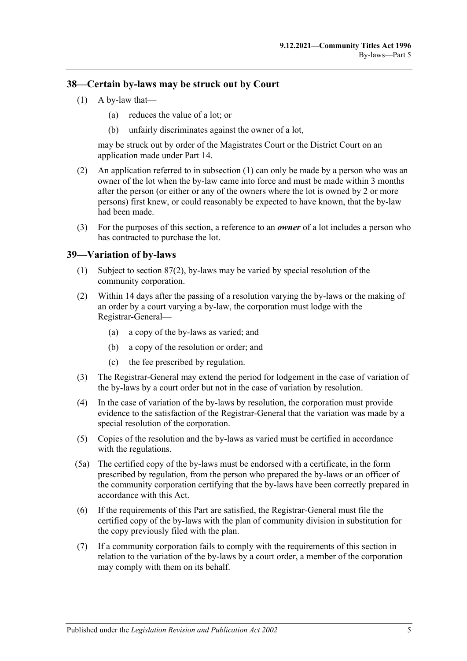### <span id="page-40-0"></span>**38—Certain by-laws may be struck out by Court**

- $(1)$  A by-law that—
	- (a) reduces the value of a lot; or
	- (b) unfairly discriminates against the owner of a lot,

may be struck out by order of the Magistrates Court or the District Court on an application made under [Part 14.](#page-112-0)

- (2) An application referred to in [subsection](#page-40-0) (1) can only be made by a person who was an owner of the lot when the by-law came into force and must be made within 3 months after the person (or either or any of the owners where the lot is owned by 2 or more persons) first knew, or could reasonably be expected to have known, that the by-law had been made.
- (3) For the purposes of this section, a reference to an *owner* of a lot includes a person who has contracted to purchase the lot.

### **39—Variation of by-laws**

- (1) Subject to [section](#page-82-0) 87(2), by-laws may be varied by special resolution of the community corporation.
- (2) Within 14 days after the passing of a resolution varying the by-laws or the making of an order by a court varying a by-law, the corporation must lodge with the Registrar-General—
	- (a) a copy of the by-laws as varied; and
	- (b) a copy of the resolution or order; and
	- (c) the fee prescribed by regulation.
- (3) The Registrar-General may extend the period for lodgement in the case of variation of the by-laws by a court order but not in the case of variation by resolution.
- (4) In the case of variation of the by-laws by resolution, the corporation must provide evidence to the satisfaction of the Registrar-General that the variation was made by a special resolution of the corporation.
- (5) Copies of the resolution and the by-laws as varied must be certified in accordance with the regulations.
- (5a) The certified copy of the by-laws must be endorsed with a certificate, in the form prescribed by regulation, from the person who prepared the by-laws or an officer of the community corporation certifying that the by-laws have been correctly prepared in accordance with this Act.
- (6) If the requirements of this Part are satisfied, the Registrar-General must file the certified copy of the by-laws with the plan of community division in substitution for the copy previously filed with the plan.
- (7) If a community corporation fails to comply with the requirements of this section in relation to the variation of the by-laws by a court order, a member of the corporation may comply with them on its behalf.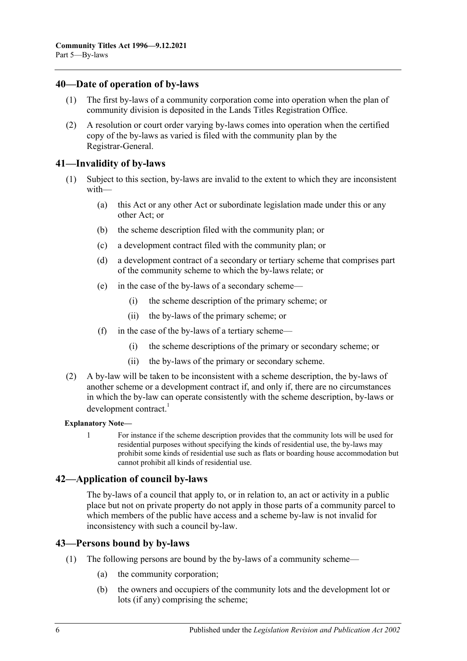#### **40—Date of operation of by-laws**

- (1) The first by-laws of a community corporation come into operation when the plan of community division is deposited in the Lands Titles Registration Office.
- (2) A resolution or court order varying by-laws comes into operation when the certified copy of the by-laws as varied is filed with the community plan by the Registrar-General.

#### **41—Invalidity of by-laws**

- (1) Subject to this section, by-laws are invalid to the extent to which they are inconsistent with—
	- (a) this Act or any other Act or subordinate legislation made under this or any other Act; or
	- (b) the scheme description filed with the community plan; or
	- (c) a development contract filed with the community plan; or
	- (d) a development contract of a secondary or tertiary scheme that comprises part of the community scheme to which the by-laws relate; or
	- (e) in the case of the by-laws of a secondary scheme—
		- (i) the scheme description of the primary scheme; or
		- (ii) the by-laws of the primary scheme; or
	- (f) in the case of the by-laws of a tertiary scheme—
		- (i) the scheme descriptions of the primary or secondary scheme; or
		- (ii) the by-laws of the primary or secondary scheme.
- (2) A by-law will be taken to be inconsistent with a scheme description, the by-laws of another scheme or a development contract if, and only if, there are no circumstances in which the by-law can operate consistently with the scheme description, by-laws or development contract.<sup>1</sup>

#### **Explanatory Note—**

1 For instance if the scheme description provides that the community lots will be used for residential purposes without specifying the kinds of residential use, the by-laws may prohibit some kinds of residential use such as flats or boarding house accommodation but cannot prohibit all kinds of residential use.

# **42—Application of council by-laws**

The by-laws of a council that apply to, or in relation to, an act or activity in a public place but not on private property do not apply in those parts of a community parcel to which members of the public have access and a scheme by-law is not invalid for inconsistency with such a council by-law.

#### **43—Persons bound by by-laws**

- (1) The following persons are bound by the by-laws of a community scheme—
	- (a) the community corporation;
	- (b) the owners and occupiers of the community lots and the development lot or lots (if any) comprising the scheme;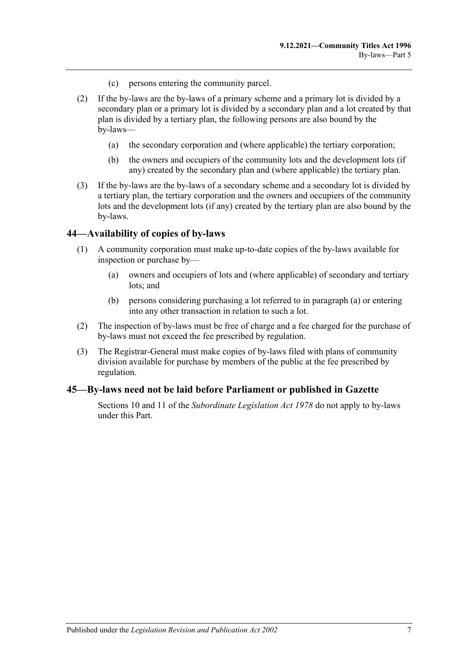- (c) persons entering the community parcel.
- (2) If the by-laws are the by-laws of a primary scheme and a primary lot is divided by a secondary plan or a primary lot is divided by a secondary plan and a lot created by that plan is divided by a tertiary plan, the following persons are also bound by the by-laws—
	- (a) the secondary corporation and (where applicable) the tertiary corporation;
	- (b) the owners and occupiers of the community lots and the development lots (if any) created by the secondary plan and (where applicable) the tertiary plan.
- (3) If the by-laws are the by-laws of a secondary scheme and a secondary lot is divided by a tertiary plan, the tertiary corporation and the owners and occupiers of the community lots and the development lots (if any) created by the tertiary plan are also bound by the by-laws.

#### **44—Availability of copies of by-laws**

- <span id="page-42-0"></span>(1) A community corporation must make up-to-date copies of the by-laws available for inspection or purchase by—
	- (a) owners and occupiers of lots and (where applicable) of secondary and tertiary lots; and
	- (b) persons considering purchasing a lot referred to in [paragraph](#page-42-0) (a) or entering into any other transaction in relation to such a lot.
- (2) The inspection of by-laws must be free of charge and a fee charged for the purchase of by-laws must not exceed the fee prescribed by regulation.
- (3) The Registrar-General must make copies of by-laws filed with plans of community division available for purchase by members of the public at the fee prescribed by regulation.

#### **45—By-laws need not be laid before Parliament or published in Gazette**

Sections 10 and 11 of the *[Subordinate Legislation Act](http://www.legislation.sa.gov.au/index.aspx?action=legref&type=act&legtitle=Subordinate%20Legislation%20Act%201978) 1978* do not apply to by-laws under this Part.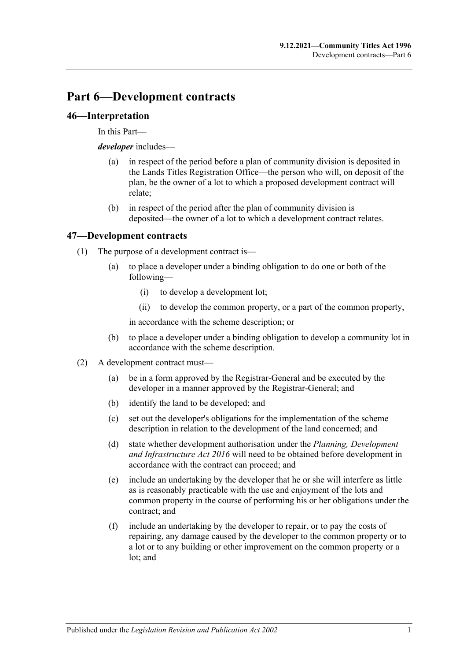# **Part 6—Development contracts**

# **46—Interpretation**

In this Part—

*developer* includes—

- (a) in respect of the period before a plan of community division is deposited in the Lands Titles Registration Office—the person who will, on deposit of the plan, be the owner of a lot to which a proposed development contract will relate;
- (b) in respect of the period after the plan of community division is deposited—the owner of a lot to which a development contract relates.

# **47—Development contracts**

- (1) The purpose of a development contract is—
	- (a) to place a developer under a binding obligation to do one or both of the following—
		- (i) to develop a development lot;
		- (ii) to develop the common property, or a part of the common property,

in accordance with the scheme description; or

- (b) to place a developer under a binding obligation to develop a community lot in accordance with the scheme description.
- (2) A development contract must—
	- (a) be in a form approved by the Registrar-General and be executed by the developer in a manner approved by the Registrar-General; and
	- (b) identify the land to be developed; and
	- (c) set out the developer's obligations for the implementation of the scheme description in relation to the development of the land concerned; and
	- (d) state whether development authorisation under the *[Planning, Development](http://www.legislation.sa.gov.au/index.aspx?action=legref&type=act&legtitle=Planning%20Development%20and%20Infrastructure%20Act%202016)  [and Infrastructure Act](http://www.legislation.sa.gov.au/index.aspx?action=legref&type=act&legtitle=Planning%20Development%20and%20Infrastructure%20Act%202016) 2016* will need to be obtained before development in accordance with the contract can proceed; and
	- (e) include an undertaking by the developer that he or she will interfere as little as is reasonably practicable with the use and enjoyment of the lots and common property in the course of performing his or her obligations under the contract; and
	- (f) include an undertaking by the developer to repair, or to pay the costs of repairing, any damage caused by the developer to the common property or to a lot or to any building or other improvement on the common property or a lot; and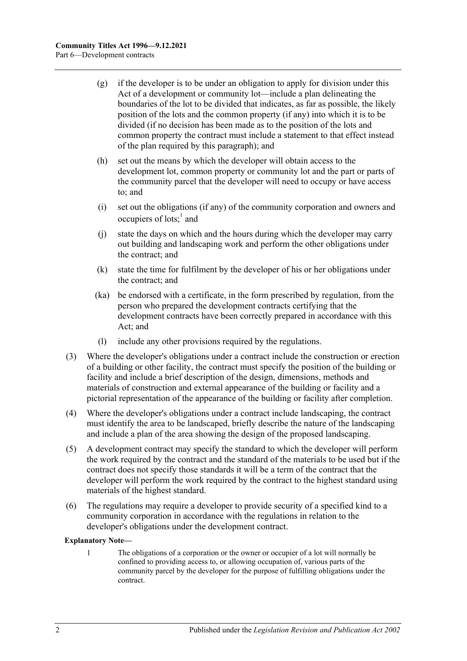- (g) if the developer is to be under an obligation to apply for division under this Act of a development or community lot—include a plan delineating the boundaries of the lot to be divided that indicates, as far as possible, the likely position of the lots and the common property (if any) into which it is to be divided (if no decision has been made as to the position of the lots and common property the contract must include a statement to that effect instead of the plan required by this paragraph); and
- (h) set out the means by which the developer will obtain access to the development lot, common property or community lot and the part or parts of the community parcel that the developer will need to occupy or have access to; and
- (i) set out the obligations (if any) of the community corporation and owners and occupiers of lots;<sup>1</sup> and
- (j) state the days on which and the hours during which the developer may carry out building and landscaping work and perform the other obligations under the contract; and
- (k) state the time for fulfilment by the developer of his or her obligations under the contract; and
- (ka) be endorsed with a certificate, in the form prescribed by regulation, from the person who prepared the development contracts certifying that the development contracts have been correctly prepared in accordance with this Act; and
- (l) include any other provisions required by the regulations.
- (3) Where the developer's obligations under a contract include the construction or erection of a building or other facility, the contract must specify the position of the building or facility and include a brief description of the design, dimensions, methods and materials of construction and external appearance of the building or facility and a pictorial representation of the appearance of the building or facility after completion.
- (4) Where the developer's obligations under a contract include landscaping, the contract must identify the area to be landscaped, briefly describe the nature of the landscaping and include a plan of the area showing the design of the proposed landscaping.
- (5) A development contract may specify the standard to which the developer will perform the work required by the contract and the standard of the materials to be used but if the contract does not specify those standards it will be a term of the contract that the developer will perform the work required by the contract to the highest standard using materials of the highest standard.
- (6) The regulations may require a developer to provide security of a specified kind to a community corporation in accordance with the regulations in relation to the developer's obligations under the development contract.

#### **Explanatory Note—**

1 The obligations of a corporation or the owner or occupier of a lot will normally be confined to providing access to, or allowing occupation of, various parts of the community parcel by the developer for the purpose of fulfilling obligations under the contract.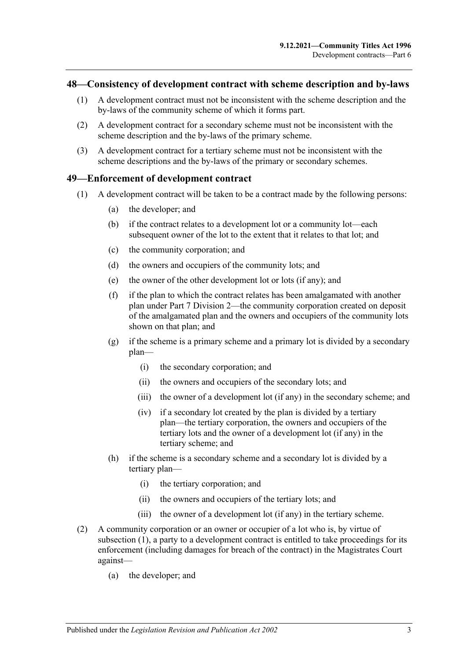#### <span id="page-46-2"></span>**48—Consistency of development contract with scheme description and by-laws**

- (1) A development contract must not be inconsistent with the scheme description and the by-laws of the community scheme of which it forms part.
- (2) A development contract for a secondary scheme must not be inconsistent with the scheme description and the by-laws of the primary scheme.
- (3) A development contract for a tertiary scheme must not be inconsistent with the scheme descriptions and the by-laws of the primary or secondary schemes.

#### <span id="page-46-0"></span>**49—Enforcement of development contract**

- (1) A development contract will be taken to be a contract made by the following persons:
	- (a) the developer; and
	- (b) if the contract relates to a development lot or a community lot—each subsequent owner of the lot to the extent that it relates to that lot; and
	- (c) the community corporation; and
	- (d) the owners and occupiers of the community lots; and
	- (e) the owner of the other development lot or lots (if any); and
	- (f) if the plan to which the contract relates has been amalgamated with another plan under [Part 7 Division 2—](#page-57-0)the community corporation created on deposit of the amalgamated plan and the owners and occupiers of the community lots shown on that plan; and
	- (g) if the scheme is a primary scheme and a primary lot is divided by a secondary plan—
		- (i) the secondary corporation; and
		- (ii) the owners and occupiers of the secondary lots; and
		- (iii) the owner of a development lot (if any) in the secondary scheme; and
		- (iv) if a secondary lot created by the plan is divided by a tertiary plan—the tertiary corporation, the owners and occupiers of the tertiary lots and the owner of a development lot (if any) in the tertiary scheme; and
	- (h) if the scheme is a secondary scheme and a secondary lot is divided by a tertiary plan—
		- (i) the tertiary corporation; and
		- (ii) the owners and occupiers of the tertiary lots; and
		- (iii) the owner of a development lot (if any) in the tertiary scheme.
- <span id="page-46-1"></span>(2) A community corporation or an owner or occupier of a lot who is, by virtue of [subsection](#page-46-0) (1), a party to a development contract is entitled to take proceedings for its enforcement (including damages for breach of the contract) in the Magistrates Court against—
	- (a) the developer; and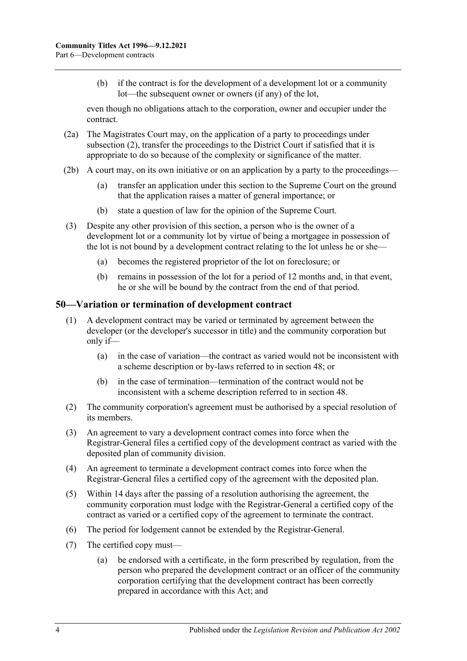(b) if the contract is for the development of a development lot or a community lot—the subsequent owner or owners (if any) of the lot,

even though no obligations attach to the corporation, owner and occupier under the contract.

- (2a) The Magistrates Court may, on the application of a party to proceedings under [subsection](#page-46-1) (2), transfer the proceedings to the District Court if satisfied that it is appropriate to do so because of the complexity or significance of the matter.
- (2b) A court may, on its own initiative or on an application by a party to the proceedings—
	- (a) transfer an application under this section to the Supreme Court on the ground that the application raises a matter of general importance; or
	- (b) state a question of law for the opinion of the Supreme Court.
- (3) Despite any other provision of this section, a person who is the owner of a development lot or a community lot by virtue of being a mortgagee in possession of the lot is not bound by a development contract relating to the lot unless he or she—
	- (a) becomes the registered proprietor of the lot on foreclosure; or
	- (b) remains in possession of the lot for a period of 12 months and, in that event, he or she will be bound by the contract from the end of that period.

#### **50—Variation or termination of development contract**

- (1) A development contract may be varied or terminated by agreement between the developer (or the developer's successor in title) and the community corporation but only if—
	- (a) in the case of variation—the contract as varied would not be inconsistent with a scheme description or by-laws referred to in [section](#page-46-2) 48; or
	- (b) in the case of termination—termination of the contract would not be inconsistent with a scheme description referred to in [section](#page-46-2) 48.
- (2) The community corporation's agreement must be authorised by a special resolution of its members.
- (3) An agreement to vary a development contract comes into force when the Registrar-General files a certified copy of the development contract as varied with the deposited plan of community division.
- (4) An agreement to terminate a development contract comes into force when the Registrar-General files a certified copy of the agreement with the deposited plan.
- (5) Within 14 days after the passing of a resolution authorising the agreement, the community corporation must lodge with the Registrar-General a certified copy of the contract as varied or a certified copy of the agreement to terminate the contract.
- (6) The period for lodgement cannot be extended by the Registrar-General.
- (7) The certified copy must—
	- (a) be endorsed with a certificate, in the form prescribed by regulation, from the person who prepared the development contract or an officer of the community corporation certifying that the development contract has been correctly prepared in accordance with this Act; and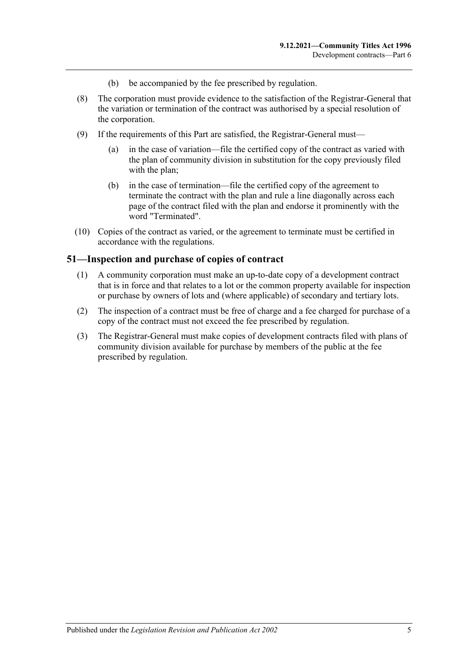- (b) be accompanied by the fee prescribed by regulation.
- (8) The corporation must provide evidence to the satisfaction of the Registrar-General that the variation or termination of the contract was authorised by a special resolution of the corporation.
- (9) If the requirements of this Part are satisfied, the Registrar-General must—
	- (a) in the case of variation—file the certified copy of the contract as varied with the plan of community division in substitution for the copy previously filed with the plan;
	- (b) in the case of termination—file the certified copy of the agreement to terminate the contract with the plan and rule a line diagonally across each page of the contract filed with the plan and endorse it prominently with the word "Terminated".
- (10) Copies of the contract as varied, or the agreement to terminate must be certified in accordance with the regulations.

#### **51—Inspection and purchase of copies of contract**

- (1) A community corporation must make an up-to-date copy of a development contract that is in force and that relates to a lot or the common property available for inspection or purchase by owners of lots and (where applicable) of secondary and tertiary lots.
- (2) The inspection of a contract must be free of charge and a fee charged for purchase of a copy of the contract must not exceed the fee prescribed by regulation.
- (3) The Registrar-General must make copies of development contracts filed with plans of community division available for purchase by members of the public at the fee prescribed by regulation.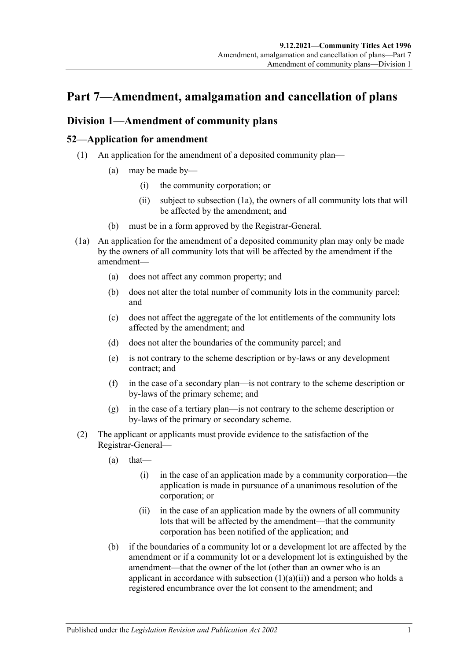# **Part 7—Amendment, amalgamation and cancellation of plans**

# <span id="page-50-4"></span>**Division 1—Amendment of community plans**

# <span id="page-50-3"></span>**52—Application for amendment**

- <span id="page-50-1"></span>(1) An application for the amendment of a deposited community plan—
	- (a) may be made by—
		- (i) the community corporation; or
		- (ii) subject to [subsection](#page-50-0) (1a), the owners of all community lots that will be affected by the amendment; and
	- (b) must be in a form approved by the Registrar-General.
- <span id="page-50-0"></span>(1a) An application for the amendment of a deposited community plan may only be made by the owners of all community lots that will be affected by the amendment if the amendment—
	- (a) does not affect any common property; and
	- (b) does not alter the total number of community lots in the community parcel; and
	- (c) does not affect the aggregate of the lot entitlements of the community lots affected by the amendment; and
	- (d) does not alter the boundaries of the community parcel; and
	- (e) is not contrary to the scheme description or by-laws or any development contract; and
	- (f) in the case of a secondary plan—is not contrary to the scheme description or by-laws of the primary scheme; and
	- (g) in the case of a tertiary plan—is not contrary to the scheme description or by-laws of the primary or secondary scheme.
- <span id="page-50-2"></span>(2) The applicant or applicants must provide evidence to the satisfaction of the Registrar-General—
	- $(a)$  that—
		- (i) in the case of an application made by a community corporation—the application is made in pursuance of a unanimous resolution of the corporation; or
		- (ii) in the case of an application made by the owners of all community lots that will be affected by the amendment—that the community corporation has been notified of the application; and
	- (b) if the boundaries of a community lot or a development lot are affected by the amendment or if a community lot or a development lot is extinguished by the amendment—that the owner of the lot (other than an owner who is an applicant in accordance with [subsection](#page-50-1)  $(1)(a)(ii)$  and a person who holds a registered encumbrance over the lot consent to the amendment; and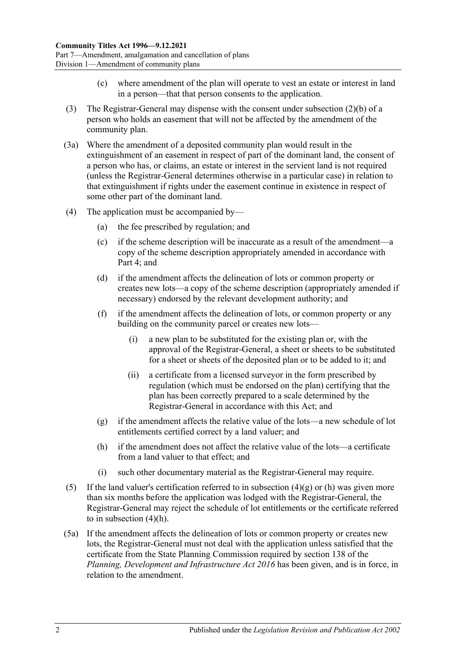- (c) where amendment of the plan will operate to vest an estate or interest in land in a person—that that person consents to the application.
- (3) The Registrar-General may dispense with the consent under [subsection](#page-50-2) (2)(b) of a person who holds an easement that will not be affected by the amendment of the community plan.
- (3a) Where the amendment of a deposited community plan would result in the extinguishment of an easement in respect of part of the dominant land, the consent of a person who has, or claims, an estate or interest in the servient land is not required (unless the Registrar-General determines otherwise in a particular case) in relation to that extinguishment if rights under the easement continue in existence in respect of some other part of the dominant land.
- (4) The application must be accompanied by—
	- (a) the fee prescribed by regulation; and
	- (c) if the scheme description will be inaccurate as a result of the amendment—a copy of the scheme description appropriately amended in accordance with [Part 4;](#page-32-0) and
	- (d) if the amendment affects the delineation of lots or common property or creates new lots—a copy of the scheme description (appropriately amended if necessary) endorsed by the relevant development authority; and
	- (f) if the amendment affects the delineation of lots, or common property or any building on the community parcel or creates new lots—
		- (i) a new plan to be substituted for the existing plan or, with the approval of the Registrar-General, a sheet or sheets to be substituted for a sheet or sheets of the deposited plan or to be added to it; and
		- (ii) a certificate from a licensed surveyor in the form prescribed by regulation (which must be endorsed on the plan) certifying that the plan has been correctly prepared to a scale determined by the Registrar-General in accordance with this Act; and
	- (g) if the amendment affects the relative value of the lots—a new schedule of lot entitlements certified correct by a land valuer; and
	- (h) if the amendment does not affect the relative value of the lots—a certificate from a land valuer to that effect; and
	- (i) such other documentary material as the Registrar-General may require.
- <span id="page-51-1"></span><span id="page-51-0"></span>(5) If the land valuer's certification referred to in [subsection](#page-51-0)  $(4)(g)$  or [\(h\)](#page-51-1) was given more than six months before the application was lodged with the Registrar-General, the Registrar-General may reject the schedule of lot entitlements or the certificate referred to in [subsection](#page-51-1) (4)(h).
- (5a) If the amendment affects the delineation of lots or common property or creates new lots, the Registrar-General must not deal with the application unless satisfied that the certificate from the State Planning Commission required by section 138 of the *[Planning, Development and Infrastructure Act](http://www.legislation.sa.gov.au/index.aspx?action=legref&type=act&legtitle=Planning%20Development%20and%20Infrastructure%20Act%202016) 2016* has been given, and is in force, in relation to the amendment.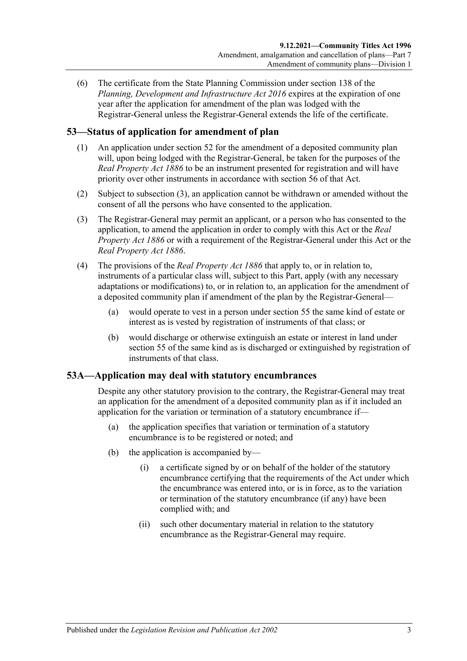(6) The certificate from the State Planning Commission under section 138 of the *[Planning, Development and Infrastructure Act](http://www.legislation.sa.gov.au/index.aspx?action=legref&type=act&legtitle=Planning%20Development%20and%20Infrastructure%20Act%202016) 2016* expires at the expiration of one year after the application for amendment of the plan was lodged with the Registrar-General unless the Registrar-General extends the life of the certificate.

# **53—Status of application for amendment of plan**

- (1) An application under [section](#page-50-3) 52 for the amendment of a deposited community plan will, upon being lodged with the Registrar-General, be taken for the purposes of the *[Real Property Act](http://www.legislation.sa.gov.au/index.aspx?action=legref&type=act&legtitle=Real%20Property%20Act%201886) 1886* to be an instrument presented for registration and will have priority over other instruments in accordance with section 56 of that Act.
- (2) Subject to [subsection](#page-52-0) (3), an application cannot be withdrawn or amended without the consent of all the persons who have consented to the application.
- <span id="page-52-0"></span>(3) The Registrar-General may permit an applicant, or a person who has consented to the application, to amend the application in order to comply with this Act or the *[Real](http://www.legislation.sa.gov.au/index.aspx?action=legref&type=act&legtitle=Real%20Property%20Act%201886)  [Property Act](http://www.legislation.sa.gov.au/index.aspx?action=legref&type=act&legtitle=Real%20Property%20Act%201886) 1886* or with a requirement of the Registrar-General under this Act or the *[Real Property Act](http://www.legislation.sa.gov.au/index.aspx?action=legref&type=act&legtitle=Real%20Property%20Act%201886) 1886*.
- (4) The provisions of the *[Real Property Act](http://www.legislation.sa.gov.au/index.aspx?action=legref&type=act&legtitle=Real%20Property%20Act%201886) 1886* that apply to, or in relation to, instruments of a particular class will, subject to this Part, apply (with any necessary adaptations or modifications) to, or in relation to, an application for the amendment of a deposited community plan if amendment of the plan by the Registrar-General—
	- (a) would operate to vest in a person under [section](#page-53-0) 55 the same kind of estate or interest as is vested by registration of instruments of that class; or
	- (b) would discharge or otherwise extinguish an estate or interest in land under [section](#page-53-0) 55 of the same kind as is discharged or extinguished by registration of instruments of that class.

### **53A—Application may deal with statutory encumbrances**

Despite any other statutory provision to the contrary, the Registrar-General may treat an application for the amendment of a deposited community plan as if it included an application for the variation or termination of a statutory encumbrance if—

- (a) the application specifies that variation or termination of a statutory encumbrance is to be registered or noted; and
- (b) the application is accompanied by—
	- (i) a certificate signed by or on behalf of the holder of the statutory encumbrance certifying that the requirements of the Act under which the encumbrance was entered into, or is in force, as to the variation or termination of the statutory encumbrance (if any) have been complied with; and
	- (ii) such other documentary material in relation to the statutory encumbrance as the Registrar-General may require.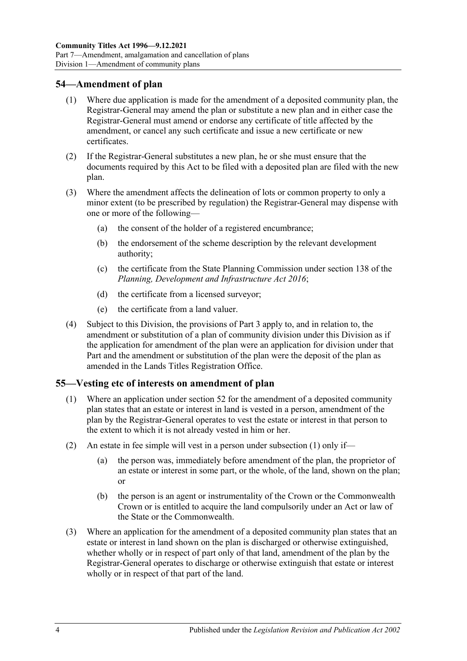### **54—Amendment of plan**

- (1) Where due application is made for the amendment of a deposited community plan, the Registrar-General may amend the plan or substitute a new plan and in either case the Registrar-General must amend or endorse any certificate of title affected by the amendment, or cancel any such certificate and issue a new certificate or new certificates.
- (2) If the Registrar-General substitutes a new plan, he or she must ensure that the documents required by this Act to be filed with a deposited plan are filed with the new plan.
- (3) Where the amendment affects the delineation of lots or common property to only a minor extent (to be prescribed by regulation) the Registrar-General may dispense with one or more of the following—
	- (a) the consent of the holder of a registered encumbrance;
	- (b) the endorsement of the scheme description by the relevant development authority;
	- (c) the certificate from the State Planning Commission under section 138 of the *[Planning, Development and Infrastructure Act](http://www.legislation.sa.gov.au/index.aspx?action=legref&type=act&legtitle=Planning%20Development%20and%20Infrastructure%20Act%202016) 2016*;
	- (d) the certificate from a licensed surveyor;
	- (e) the certificate from a land valuer.
- (4) Subject to this Division, the provisions of [Part 3](#page-18-0) apply to, and in relation to, the amendment or substitution of a plan of community division under this Division as if the application for amendment of the plan were an application for division under that Part and the amendment or substitution of the plan were the deposit of the plan as amended in the Lands Titles Registration Office.

#### <span id="page-53-1"></span><span id="page-53-0"></span>**55—Vesting etc of interests on amendment of plan**

- (1) Where an application under [section](#page-50-3) 52 for the amendment of a deposited community plan states that an estate or interest in land is vested in a person, amendment of the plan by the Registrar-General operates to vest the estate or interest in that person to the extent to which it is not already vested in him or her.
- (2) An estate in fee simple will vest in a person under [subsection](#page-53-1) (1) only if
	- the person was, immediately before amendment of the plan, the proprietor of an estate or interest in some part, or the whole, of the land, shown on the plan; or
	- (b) the person is an agent or instrumentality of the Crown or the Commonwealth Crown or is entitled to acquire the land compulsorily under an Act or law of the State or the Commonwealth.
- (3) Where an application for the amendment of a deposited community plan states that an estate or interest in land shown on the plan is discharged or otherwise extinguished, whether wholly or in respect of part only of that land, amendment of the plan by the Registrar-General operates to discharge or otherwise extinguish that estate or interest wholly or in respect of that part of the land.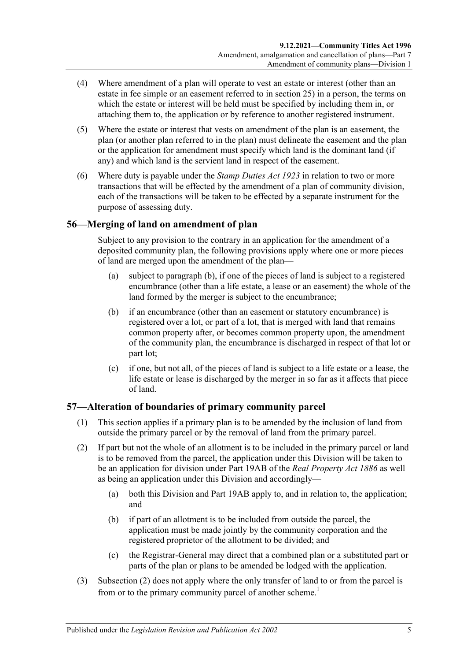- (4) Where amendment of a plan will operate to vest an estate or interest (other than an estate in fee simple or an easement referred to in [section](#page-27-0) 25) in a person, the terms on which the estate or interest will be held must be specified by including them in, or attaching them to, the application or by reference to another registered instrument.
- (5) Where the estate or interest that vests on amendment of the plan is an easement, the plan (or another plan referred to in the plan) must delineate the easement and the plan or the application for amendment must specify which land is the dominant land (if any) and which land is the servient land in respect of the easement.
- (6) Where duty is payable under the *[Stamp Duties Act](http://www.legislation.sa.gov.au/index.aspx?action=legref&type=act&legtitle=Stamp%20Duties%20Act%201923) 1923* in relation to two or more transactions that will be effected by the amendment of a plan of community division, each of the transactions will be taken to be effected by a separate instrument for the purpose of assessing duty.

# **56—Merging of land on amendment of plan**

Subject to any provision to the contrary in an application for the amendment of a deposited community plan, the following provisions apply where one or more pieces of land are merged upon the amendment of the plan—

- (a) subject to [paragraph](#page-54-0) (b), if one of the pieces of land is subject to a registered encumbrance (other than a life estate, a lease or an easement) the whole of the land formed by the merger is subject to the encumbrance;
- <span id="page-54-0"></span>(b) if an encumbrance (other than an easement or statutory encumbrance) is registered over a lot, or part of a lot, that is merged with land that remains common property after, or becomes common property upon, the amendment of the community plan, the encumbrance is discharged in respect of that lot or part lot;
- (c) if one, but not all, of the pieces of land is subject to a life estate or a lease, the life estate or lease is discharged by the merger in so far as it affects that piece of land.

# **57—Alteration of boundaries of primary community parcel**

- (1) This section applies if a primary plan is to be amended by the inclusion of land from outside the primary parcel or by the removal of land from the primary parcel.
- <span id="page-54-1"></span>(2) If part but not the whole of an allotment is to be included in the primary parcel or land is to be removed from the parcel, the application under this Division will be taken to be an application for division under Part 19AB of the *[Real Property Act](http://www.legislation.sa.gov.au/index.aspx?action=legref&type=act&legtitle=Real%20Property%20Act%201886) 1886* as well as being an application under this Division and accordingly—
	- (a) both this Division and Part 19AB apply to, and in relation to, the application; and
	- (b) if part of an allotment is to be included from outside the parcel, the application must be made jointly by the community corporation and the registered proprietor of the allotment to be divided; and
	- (c) the Registrar-General may direct that a combined plan or a substituted part or parts of the plan or plans to be amended be lodged with the application.
- (3) [Subsection](#page-54-1) (2) does not apply where the only transfer of land to or from the parcel is from or to the primary community parcel of another scheme.<sup>1</sup>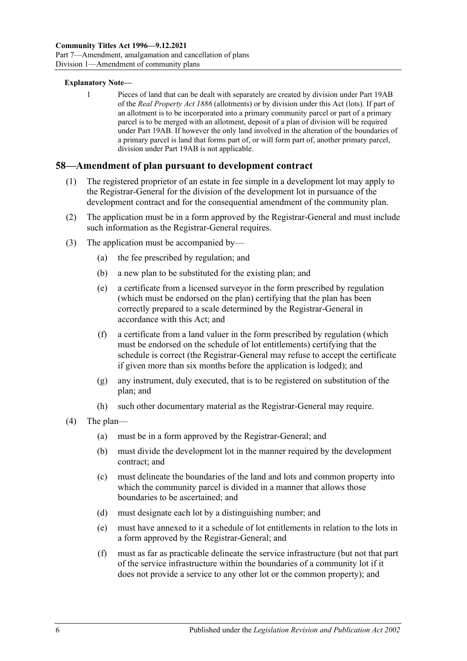#### **Explanatory Note—**

1 Pieces of land that can be dealt with separately are created by division under Part 19AB of the *[Real Property Act](http://www.legislation.sa.gov.au/index.aspx?action=legref&type=act&legtitle=Real%20Property%20Act%201886) 1886* (allotments) or by division under this Act (lots). If part of an allotment is to be incorporated into a primary community parcel or part of a primary parcel is to be merged with an allotment, deposit of a plan of division will be required under Part 19AB. If however the only land involved in the alteration of the boundaries of a primary parcel is land that forms part of, or will form part of, another primary parcel, division under Part 19AB is not applicable.

#### **58—Amendment of plan pursuant to development contract**

- (1) The registered proprietor of an estate in fee simple in a development lot may apply to the Registrar-General for the division of the development lot in pursuance of the development contract and for the consequential amendment of the community plan.
- (2) The application must be in a form approved by the Registrar-General and must include such information as the Registrar-General requires.
- (3) The application must be accompanied by—
	- (a) the fee prescribed by regulation; and
	- (b) a new plan to be substituted for the existing plan; and
	- (e) a certificate from a licensed surveyor in the form prescribed by regulation (which must be endorsed on the plan) certifying that the plan has been correctly prepared to a scale determined by the Registrar-General in accordance with this Act; and
	- (f) a certificate from a land valuer in the form prescribed by regulation (which must be endorsed on the schedule of lot entitlements) certifying that the schedule is correct (the Registrar-General may refuse to accept the certificate if given more than six months before the application is lodged); and
	- (g) any instrument, duly executed, that is to be registered on substitution of the plan; and
	- (h) such other documentary material as the Registrar-General may require.
- (4) The plan—
	- (a) must be in a form approved by the Registrar-General; and
	- (b) must divide the development lot in the manner required by the development contract; and
	- (c) must delineate the boundaries of the land and lots and common property into which the community parcel is divided in a manner that allows those boundaries to be ascertained; and
	- (d) must designate each lot by a distinguishing number; and
	- (e) must have annexed to it a schedule of lot entitlements in relation to the lots in a form approved by the Registrar-General; and
	- (f) must as far as practicable delineate the service infrastructure (but not that part of the service infrastructure within the boundaries of a community lot if it does not provide a service to any other lot or the common property); and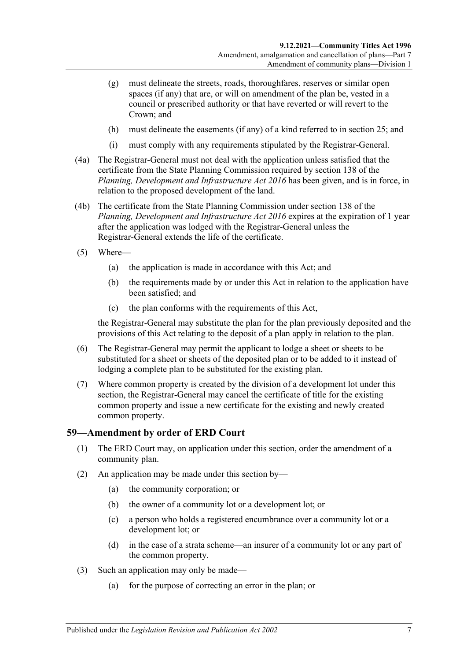- (g) must delineate the streets, roads, thoroughfares, reserves or similar open spaces (if any) that are, or will on amendment of the plan be, vested in a council or prescribed authority or that have reverted or will revert to the Crown; and
- (h) must delineate the easements (if any) of a kind referred to in [section](#page-27-0) 25; and
- (i) must comply with any requirements stipulated by the Registrar-General.
- (4a) The Registrar-General must not deal with the application unless satisfied that the certificate from the State Planning Commission required by section 138 of the *[Planning, Development and Infrastructure Act](http://www.legislation.sa.gov.au/index.aspx?action=legref&type=act&legtitle=Planning%20Development%20and%20Infrastructure%20Act%202016) 2016* has been given, and is in force, in relation to the proposed development of the land.
- (4b) The certificate from the State Planning Commission under section 138 of the *[Planning, Development and Infrastructure Act](http://www.legislation.sa.gov.au/index.aspx?action=legref&type=act&legtitle=Planning%20Development%20and%20Infrastructure%20Act%202016) 2016* expires at the expiration of 1 year after the application was lodged with the Registrar-General unless the Registrar-General extends the life of the certificate.
- (5) Where—
	- (a) the application is made in accordance with this Act; and
	- (b) the requirements made by or under this Act in relation to the application have been satisfied; and
	- (c) the plan conforms with the requirements of this Act,

the Registrar-General may substitute the plan for the plan previously deposited and the provisions of this Act relating to the deposit of a plan apply in relation to the plan.

- (6) The Registrar-General may permit the applicant to lodge a sheet or sheets to be substituted for a sheet or sheets of the deposited plan or to be added to it instead of lodging a complete plan to be substituted for the existing plan.
- (7) Where common property is created by the division of a development lot under this section, the Registrar-General may cancel the certificate of title for the existing common property and issue a new certificate for the existing and newly created common property.

### **59—Amendment by order of ERD Court**

- (1) The ERD Court may, on application under this section, order the amendment of a community plan.
- (2) An application may be made under this section by—
	- (a) the community corporation; or
	- (b) the owner of a community lot or a development lot; or
	- (c) a person who holds a registered encumbrance over a community lot or a development lot; or
	- (d) in the case of a strata scheme—an insurer of a community lot or any part of the common property.
- (3) Such an application may only be made—
	- (a) for the purpose of correcting an error in the plan; or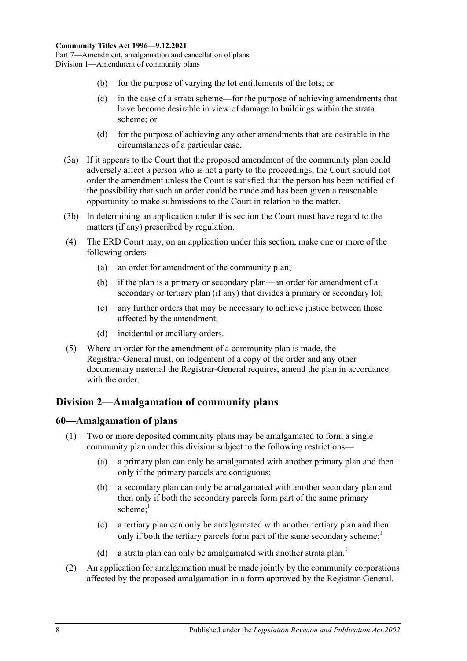- (b) for the purpose of varying the lot entitlements of the lots; or
- (c) in the case of a strata scheme—for the purpose of achieving amendments that have become desirable in view of damage to buildings within the strata scheme; or
- (d) for the purpose of achieving any other amendments that are desirable in the circumstances of a particular case.
- (3a) If it appears to the Court that the proposed amendment of the community plan could adversely affect a person who is not a party to the proceedings, the Court should not order the amendment unless the Court is satisfied that the person has been notified of the possibility that such an order could be made and has been given a reasonable opportunity to make submissions to the Court in relation to the matter.
- (3b) In determining an application under this section the Court must have regard to the matters (if any) prescribed by regulation.
- (4) The ERD Court may, on an application under this section, make one or more of the following orders—
	- (a) an order for amendment of the community plan;
	- (b) if the plan is a primary or secondary plan—an order for amendment of a secondary or tertiary plan (if any) that divides a primary or secondary lot;
	- (c) any further orders that may be necessary to achieve justice between those affected by the amendment;
	- (d) incidental or ancillary orders.
- (5) Where an order for the amendment of a community plan is made, the Registrar-General must, on lodgement of a copy of the order and any other documentary material the Registrar-General requires, amend the plan in accordance with the order.

# <span id="page-57-0"></span>**Division 2—Amalgamation of community plans**

### **60—Amalgamation of plans**

- (1) Two or more deposited community plans may be amalgamated to form a single community plan under this division subject to the following restrictions—
	- (a) a primary plan can only be amalgamated with another primary plan and then only if the primary parcels are contiguous;
	- (b) a secondary plan can only be amalgamated with another secondary plan and then only if both the secondary parcels form part of the same primary scheme: $<sup>1</sup>$ </sup>
	- (c) a tertiary plan can only be amalgamated with another tertiary plan and then only if both the tertiary parcels form part of the same secondary scheme;<sup>1</sup>
	- (d) a strata plan can only be amalgamated with another strata plan.<sup>1</sup>
- (2) An application for amalgamation must be made jointly by the community corporations affected by the proposed amalgamation in a form approved by the Registrar-General.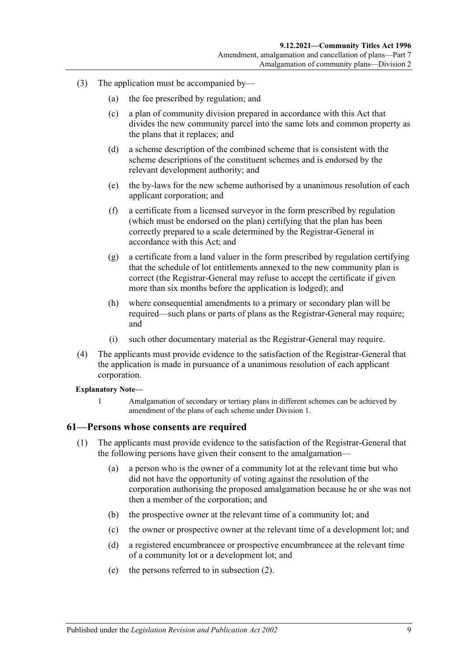- (3) The application must be accompanied by—
	- (a) the fee prescribed by regulation; and
	- (c) a plan of community division prepared in accordance with this Act that divides the new community parcel into the same lots and common property as the plans that it replaces; and
	- (d) a scheme description of the combined scheme that is consistent with the scheme descriptions of the constituent schemes and is endorsed by the relevant development authority; and
	- (e) the by-laws for the new scheme authorised by a unanimous resolution of each applicant corporation; and
	- (f) a certificate from a licensed surveyor in the form prescribed by regulation (which must be endorsed on the plan) certifying that the plan has been correctly prepared to a scale determined by the Registrar-General in accordance with this Act; and
	- (g) a certificate from a land valuer in the form prescribed by regulation certifying that the schedule of lot entitlements annexed to the new community plan is correct (the Registrar-General may refuse to accept the certificate if given more than six months before the application is lodged); and
	- (h) where consequential amendments to a primary or secondary plan will be required—such plans or parts of plans as the Registrar-General may require; and
	- (i) such other documentary material as the Registrar-General may require.
- (4) The applicants must provide evidence to the satisfaction of the Registrar-General that the application is made in pursuance of a unanimous resolution of each applicant corporation.

#### **Explanatory Note—**

1 Amalgamation of secondary or tertiary plans in different schemes can be achieved by amendment of the plans of each scheme under [Division 1.](#page-50-4)

#### **61—Persons whose consents are required**

- (1) The applicants must provide evidence to the satisfaction of the Registrar-General that the following persons have given their consent to the amalgamation—
	- (a) a person who is the owner of a community lot at the relevant time but who did not have the opportunity of voting against the resolution of the corporation authorising the proposed amalgamation because he or she was not then a member of the corporation; and
	- (b) the prospective owner at the relevant time of a community lot; and
	- (c) the owner or prospective owner at the relevant time of a development lot; and
	- (d) a registered encumbrancee or prospective encumbrancee at the relevant time of a community lot or a development lot; and
	- (e) the persons referred to in [subsection](#page-59-0) (2).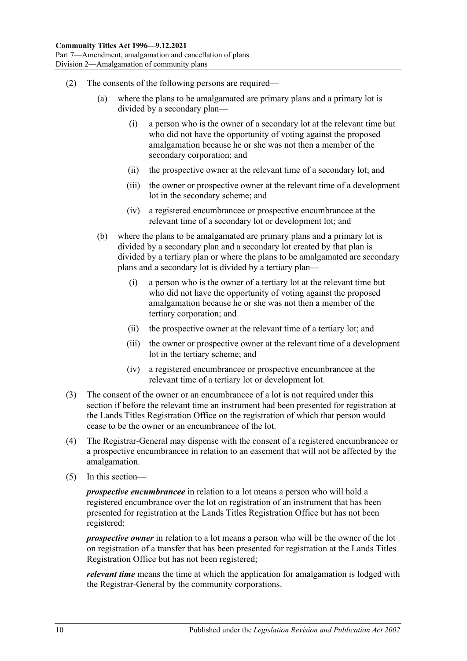- <span id="page-59-0"></span>(2) The consents of the following persons are required—
	- (a) where the plans to be amalgamated are primary plans and a primary lot is divided by a secondary plan—
		- (i) a person who is the owner of a secondary lot at the relevant time but who did not have the opportunity of voting against the proposed amalgamation because he or she was not then a member of the secondary corporation; and
		- (ii) the prospective owner at the relevant time of a secondary lot; and
		- (iii) the owner or prospective owner at the relevant time of a development lot in the secondary scheme; and
		- (iv) a registered encumbrancee or prospective encumbrancee at the relevant time of a secondary lot or development lot; and
	- (b) where the plans to be amalgamated are primary plans and a primary lot is divided by a secondary plan and a secondary lot created by that plan is divided by a tertiary plan or where the plans to be amalgamated are secondary plans and a secondary lot is divided by a tertiary plan—
		- (i) a person who is the owner of a tertiary lot at the relevant time but who did not have the opportunity of voting against the proposed amalgamation because he or she was not then a member of the tertiary corporation; and
		- (ii) the prospective owner at the relevant time of a tertiary lot; and
		- (iii) the owner or prospective owner at the relevant time of a development lot in the tertiary scheme; and
		- (iv) a registered encumbrancee or prospective encumbrancee at the relevant time of a tertiary lot or development lot.
- (3) The consent of the owner or an encumbrancee of a lot is not required under this section if before the relevant time an instrument had been presented for registration at the Lands Titles Registration Office on the registration of which that person would cease to be the owner or an encumbrancee of the lot.
- (4) The Registrar-General may dispense with the consent of a registered encumbrancee or a prospective encumbrancee in relation to an easement that will not be affected by the amalgamation.
- (5) In this section—

*prospective encumbrancee* in relation to a lot means a person who will hold a registered encumbrance over the lot on registration of an instrument that has been presented for registration at the Lands Titles Registration Office but has not been registered;

*prospective owner* in relation to a lot means a person who will be the owner of the lot on registration of a transfer that has been presented for registration at the Lands Titles Registration Office but has not been registered;

*relevant time* means the time at which the application for amalgamation is lodged with the Registrar-General by the community corporations.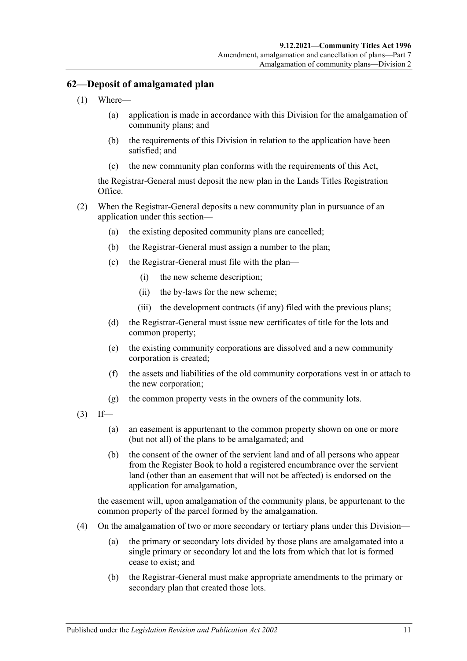# **62—Deposit of amalgamated plan**

- (1) Where—
	- (a) application is made in accordance with this Division for the amalgamation of community plans; and
	- (b) the requirements of this Division in relation to the application have been satisfied; and
	- (c) the new community plan conforms with the requirements of this Act,

the Registrar-General must deposit the new plan in the Lands Titles Registration Office.

- (2) When the Registrar-General deposits a new community plan in pursuance of an application under this section—
	- (a) the existing deposited community plans are cancelled;
	- (b) the Registrar-General must assign a number to the plan;
	- (c) the Registrar-General must file with the plan—
		- (i) the new scheme description;
		- (ii) the by-laws for the new scheme;
		- (iii) the development contracts (if any) filed with the previous plans;
	- (d) the Registrar-General must issue new certificates of title for the lots and common property;
	- (e) the existing community corporations are dissolved and a new community corporation is created;
	- (f) the assets and liabilities of the old community corporations vest in or attach to the new corporation;
	- (g) the common property vests in the owners of the community lots.
- $(3)$  If—
	- (a) an easement is appurtenant to the common property shown on one or more (but not all) of the plans to be amalgamated; and
	- (b) the consent of the owner of the servient land and of all persons who appear from the Register Book to hold a registered encumbrance over the servient land (other than an easement that will not be affected) is endorsed on the application for amalgamation,

the easement will, upon amalgamation of the community plans, be appurtenant to the common property of the parcel formed by the amalgamation.

- (4) On the amalgamation of two or more secondary or tertiary plans under this Division—
	- (a) the primary or secondary lots divided by those plans are amalgamated into a single primary or secondary lot and the lots from which that lot is formed cease to exist; and
	- (b) the Registrar-General must make appropriate amendments to the primary or secondary plan that created those lots.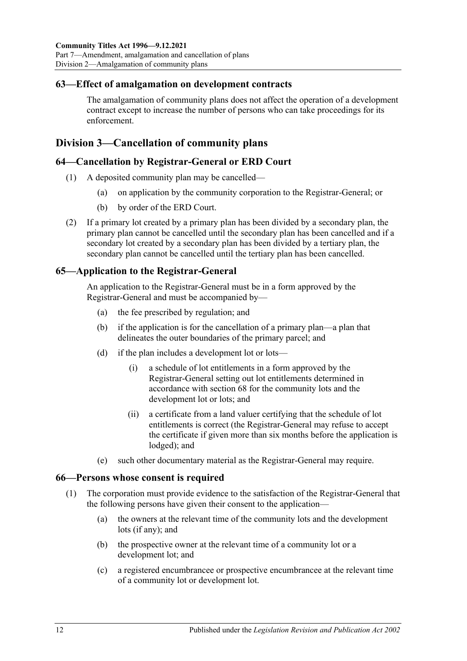### **63—Effect of amalgamation on development contracts**

The amalgamation of community plans does not affect the operation of a development contract except to increase the number of persons who can take proceedings for its enforcement.

# <span id="page-61-1"></span>**Division 3—Cancellation of community plans**

### **64—Cancellation by Registrar-General or ERD Court**

- (1) A deposited community plan may be cancelled—
	- (a) on application by the community corporation to the Registrar-General; or
	- (b) by order of the ERD Court.
- (2) If a primary lot created by a primary plan has been divided by a secondary plan, the primary plan cannot be cancelled until the secondary plan has been cancelled and if a secondary lot created by a secondary plan has been divided by a tertiary plan, the secondary plan cannot be cancelled until the tertiary plan has been cancelled.

# **65—Application to the Registrar-General**

An application to the Registrar-General must be in a form approved by the Registrar-General and must be accompanied by—

- (a) the fee prescribed by regulation; and
- (b) if the application is for the cancellation of a primary plan—a plan that delineates the outer boundaries of the primary parcel; and
- <span id="page-61-0"></span>(d) if the plan includes a development lot or lots—
	- (i) a schedule of lot entitlements in a form approved by the Registrar-General setting out lot entitlements determined in accordance with [section](#page-63-0) 68 for the community lots and the development lot or lots; and
	- (ii) a certificate from a land valuer certifying that the schedule of lot entitlements is correct (the Registrar-General may refuse to accept the certificate if given more than six months before the application is lodged); and
- (e) such other documentary material as the Registrar-General may require.

### **66—Persons whose consent is required**

- (1) The corporation must provide evidence to the satisfaction of the Registrar-General that the following persons have given their consent to the application—
	- (a) the owners at the relevant time of the community lots and the development lots (if any); and
	- (b) the prospective owner at the relevant time of a community lot or a development lot; and
	- (c) a registered encumbrancee or prospective encumbrancee at the relevant time of a community lot or development lot.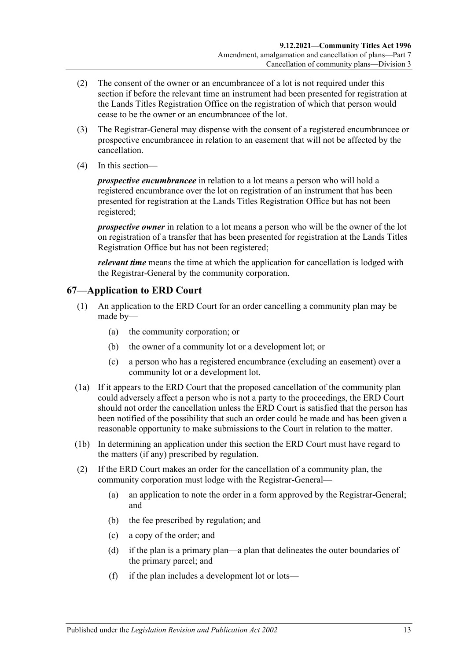- (2) The consent of the owner or an encumbrancee of a lot is not required under this section if before the relevant time an instrument had been presented for registration at the Lands Titles Registration Office on the registration of which that person would cease to be the owner or an encumbrancee of the lot.
- (3) The Registrar-General may dispense with the consent of a registered encumbrancee or prospective encumbrancee in relation to an easement that will not be affected by the cancellation.
- (4) In this section—

*prospective encumbrancee* in relation to a lot means a person who will hold a registered encumbrance over the lot on registration of an instrument that has been presented for registration at the Lands Titles Registration Office but has not been registered;

*prospective owner* in relation to a lot means a person who will be the owner of the lot on registration of a transfer that has been presented for registration at the Lands Titles Registration Office but has not been registered;

*relevant time* means the time at which the application for cancellation is lodged with the Registrar-General by the community corporation.

# **67—Application to ERD Court**

- (1) An application to the ERD Court for an order cancelling a community plan may be made by—
	- (a) the community corporation; or
	- (b) the owner of a community lot or a development lot; or
	- (c) a person who has a registered encumbrance (excluding an easement) over a community lot or a development lot.
- (1a) If it appears to the ERD Court that the proposed cancellation of the community plan could adversely affect a person who is not a party to the proceedings, the ERD Court should not order the cancellation unless the ERD Court is satisfied that the person has been notified of the possibility that such an order could be made and has been given a reasonable opportunity to make submissions to the Court in relation to the matter.
- (1b) In determining an application under this section the ERD Court must have regard to the matters (if any) prescribed by regulation.
- <span id="page-62-0"></span>(2) If the ERD Court makes an order for the cancellation of a community plan, the community corporation must lodge with the Registrar-General—
	- (a) an application to note the order in a form approved by the Registrar-General; and
	- (b) the fee prescribed by regulation; and
	- (c) a copy of the order; and
	- (d) if the plan is a primary plan—a plan that delineates the outer boundaries of the primary parcel; and
	- (f) if the plan includes a development lot or lots—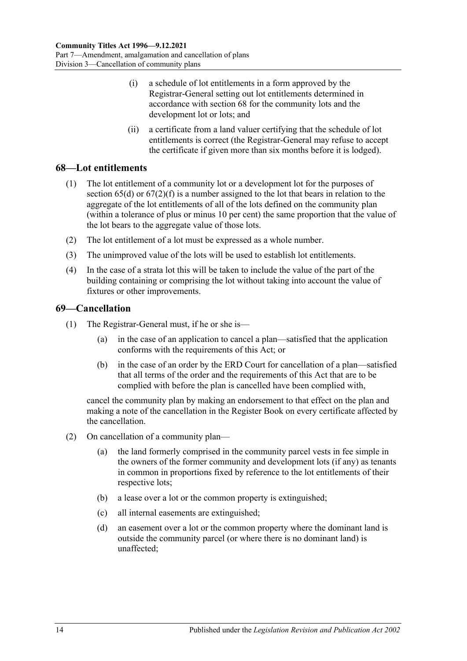- (i) a schedule of lot entitlements in a form approved by the Registrar-General setting out lot entitlements determined in accordance with [section](#page-63-0) 68 for the community lots and the development lot or lots; and
- (ii) a certificate from a land valuer certifying that the schedule of lot entitlements is correct (the Registrar-General may refuse to accept the certificate if given more than six months before it is lodged).

# <span id="page-63-0"></span>**68—Lot entitlements**

- (1) The lot entitlement of a community lot or a development lot for the purposes of [section](#page-61-0)  $65(d)$  or  $67(2)(f)$  is a number assigned to the lot that bears in relation to the aggregate of the lot entitlements of all of the lots defined on the community plan (within a tolerance of plus or minus 10 per cent) the same proportion that the value of the lot bears to the aggregate value of those lots.
- (2) The lot entitlement of a lot must be expressed as a whole number.
- (3) The unimproved value of the lots will be used to establish lot entitlements.
- (4) In the case of a strata lot this will be taken to include the value of the part of the building containing or comprising the lot without taking into account the value of fixtures or other improvements.

# **69—Cancellation**

- (1) The Registrar-General must, if he or she is—
	- (a) in the case of an application to cancel a plan—satisfied that the application conforms with the requirements of this Act; or
	- (b) in the case of an order by the ERD Court for cancellation of a plan—satisfied that all terms of the order and the requirements of this Act that are to be complied with before the plan is cancelled have been complied with,

cancel the community plan by making an endorsement to that effect on the plan and making a note of the cancellation in the Register Book on every certificate affected by the cancellation.

- <span id="page-63-2"></span><span id="page-63-1"></span>(2) On cancellation of a community plan—
	- (a) the land formerly comprised in the community parcel vests in fee simple in the owners of the former community and development lots (if any) as tenants in common in proportions fixed by reference to the lot entitlements of their respective lots;
	- (b) a lease over a lot or the common property is extinguished;
	- (c) all internal easements are extinguished;
	- (d) an easement over a lot or the common property where the dominant land is outside the community parcel (or where there is no dominant land) is unaffected;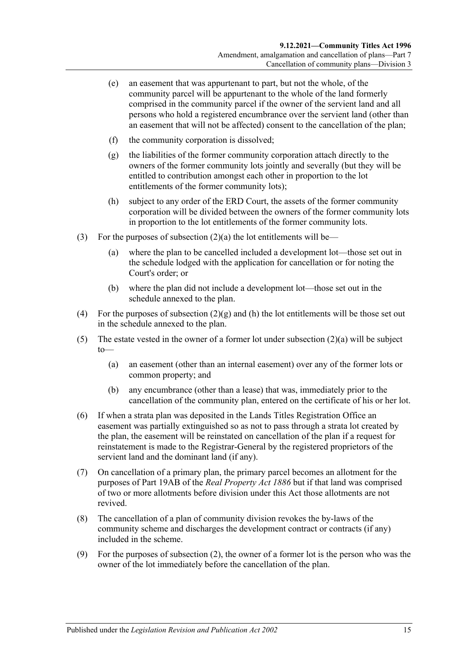- (e) an easement that was appurtenant to part, but not the whole, of the community parcel will be appurtenant to the whole of the land formerly comprised in the community parcel if the owner of the servient land and all persons who hold a registered encumbrance over the servient land (other than an easement that will not be affected) consent to the cancellation of the plan;
- (f) the community corporation is dissolved;
- <span id="page-64-0"></span>(g) the liabilities of the former community corporation attach directly to the owners of the former community lots jointly and severally (but they will be entitled to contribution amongst each other in proportion to the lot entitlements of the former community lots);
- <span id="page-64-1"></span>(h) subject to any order of the ERD Court, the assets of the former community corporation will be divided between the owners of the former community lots in proportion to the lot entitlements of the former community lots.
- (3) For the purposes of [subsection](#page-63-1)  $(2)(a)$  the lot entitlements will be—
	- (a) where the plan to be cancelled included a development lot—those set out in the schedule lodged with the application for cancellation or for noting the Court's order; or
	- (b) where the plan did not include a development lot—those set out in the schedule annexed to the plan.
- (4) For the purposes of [subsection](#page-64-0)  $(2)(g)$  and [\(h\)](#page-64-1) the lot entitlements will be those set out in the schedule annexed to the plan.
- (5) The estate vested in the owner of a former lot under [subsection](#page-63-1)  $(2)(a)$  will be subject  $to$ —
	- (a) an easement (other than an internal easement) over any of the former lots or common property; and
	- (b) any encumbrance (other than a lease) that was, immediately prior to the cancellation of the community plan, entered on the certificate of his or her lot.
- (6) If when a strata plan was deposited in the Lands Titles Registration Office an easement was partially extinguished so as not to pass through a strata lot created by the plan, the easement will be reinstated on cancellation of the plan if a request for reinstatement is made to the Registrar-General by the registered proprietors of the servient land and the dominant land (if any).
- (7) On cancellation of a primary plan, the primary parcel becomes an allotment for the purposes of Part 19AB of the *[Real Property Act](http://www.legislation.sa.gov.au/index.aspx?action=legref&type=act&legtitle=Real%20Property%20Act%201886) 1886* but if that land was comprised of two or more allotments before division under this Act those allotments are not revived.
- (8) The cancellation of a plan of community division revokes the by-laws of the community scheme and discharges the development contract or contracts (if any) included in the scheme.
- (9) For the purposes of [subsection](#page-63-2) (2), the owner of a former lot is the person who was the owner of the lot immediately before the cancellation of the plan.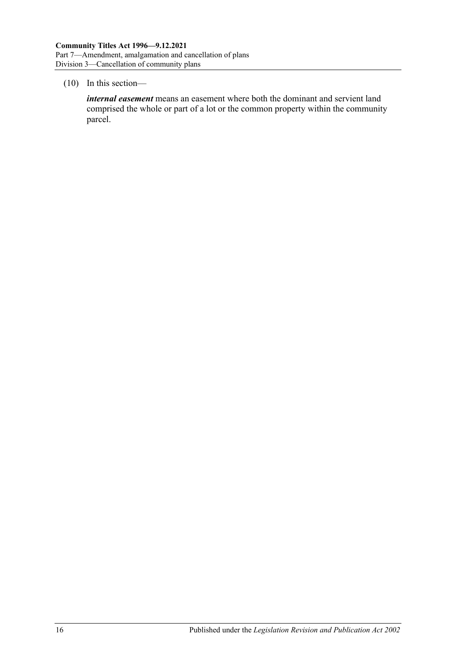#### (10) In this section—

*internal easement* means an easement where both the dominant and servient land comprised the whole or part of a lot or the common property within the community parcel.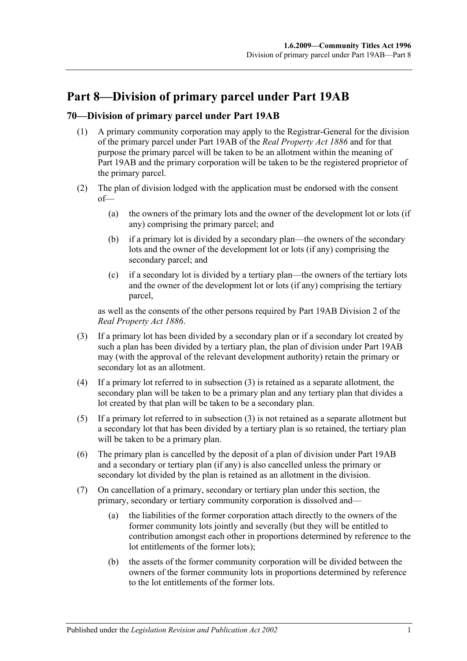# **Part 8—Division of primary parcel under Part 19AB**

# **70—Division of primary parcel under Part 19AB**

- (1) A primary community corporation may apply to the Registrar-General for the division of the primary parcel under Part 19AB of the *[Real Property Act](http://www.legislation.sa.gov.au/index.aspx?action=legref&type=act&legtitle=Real%20Property%20Act%201886) 1886* and for that purpose the primary parcel will be taken to be an allotment within the meaning of Part 19AB and the primary corporation will be taken to be the registered proprietor of the primary parcel.
- (2) The plan of division lodged with the application must be endorsed with the consent of—
	- (a) the owners of the primary lots and the owner of the development lot or lots (if any) comprising the primary parcel; and
	- (b) if a primary lot is divided by a secondary plan—the owners of the secondary lots and the owner of the development lot or lots (if any) comprising the secondary parcel; and
	- (c) if a secondary lot is divided by a tertiary plan—the owners of the tertiary lots and the owner of the development lot or lots (if any) comprising the tertiary parcel,

as well as the consents of the other persons required by Part 19AB Division 2 of the *[Real Property Act](http://www.legislation.sa.gov.au/index.aspx?action=legref&type=act&legtitle=Real%20Property%20Act%201886) 1886*.

- <span id="page-66-0"></span>(3) If a primary lot has been divided by a secondary plan or if a secondary lot created by such a plan has been divided by a tertiary plan, the plan of division under Part 19AB may (with the approval of the relevant development authority) retain the primary or secondary lot as an allotment.
- (4) If a primary lot referred to in [subsection](#page-66-0) (3) is retained as a separate allotment, the secondary plan will be taken to be a primary plan and any tertiary plan that divides a lot created by that plan will be taken to be a secondary plan.
- (5) If a primary lot referred to in [subsection](#page-66-0) (3) is not retained as a separate allotment but a secondary lot that has been divided by a tertiary plan is so retained, the tertiary plan will be taken to be a primary plan.
- (6) The primary plan is cancelled by the deposit of a plan of division under Part 19AB and a secondary or tertiary plan (if any) is also cancelled unless the primary or secondary lot divided by the plan is retained as an allotment in the division.
- (7) On cancellation of a primary, secondary or tertiary plan under this section, the primary, secondary or tertiary community corporation is dissolved and—
	- (a) the liabilities of the former corporation attach directly to the owners of the former community lots jointly and severally (but they will be entitled to contribution amongst each other in proportions determined by reference to the lot entitlements of the former lots);
	- (b) the assets of the former community corporation will be divided between the owners of the former community lots in proportions determined by reference to the lot entitlements of the former lots.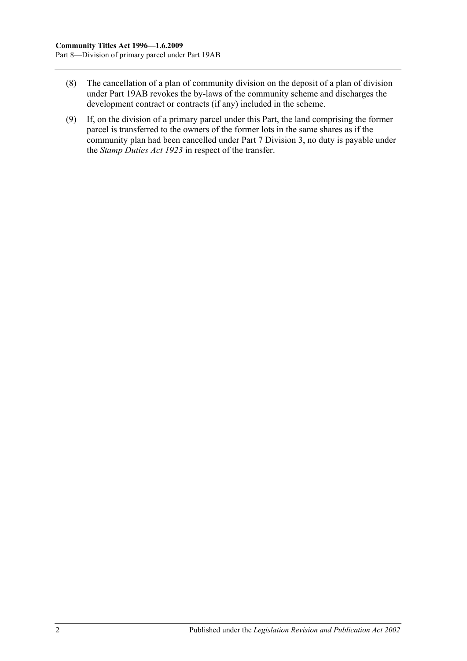- (8) The cancellation of a plan of community division on the deposit of a plan of division under Part 19AB revokes the by-laws of the community scheme and discharges the development contract or contracts (if any) included in the scheme.
- (9) If, on the division of a primary parcel under this Part, the land comprising the former parcel is transferred to the owners of the former lots in the same shares as if the community plan had been cancelled under [Part 7 Division 3,](#page-61-1) no duty is payable under the *[Stamp Duties Act](http://www.legislation.sa.gov.au/index.aspx?action=legref&type=act&legtitle=Stamp%20Duties%20Act%201923) 1923* in respect of the transfer.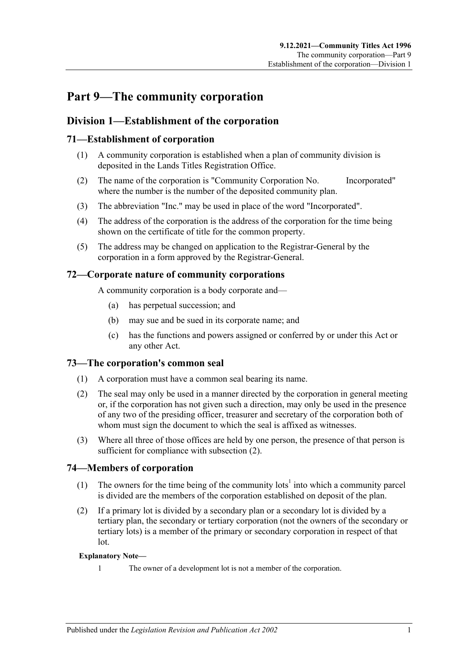# **Part 9—The community corporation**

# **Division 1—Establishment of the corporation**

# **71—Establishment of corporation**

- (1) A community corporation is established when a plan of community division is deposited in the Lands Titles Registration Office.
- (2) The name of the corporation is "Community Corporation No. Incorporated" where the number is the number of the deposited community plan.
- (3) The abbreviation "Inc." may be used in place of the word "Incorporated".
- (4) The address of the corporation is the address of the corporation for the time being shown on the certificate of title for the common property.
- (5) The address may be changed on application to the Registrar-General by the corporation in a form approved by the Registrar-General.

# **72—Corporate nature of community corporations**

A community corporation is a body corporate and—

- (a) has perpetual succession; and
- (b) may sue and be sued in its corporate name; and
- (c) has the functions and powers assigned or conferred by or under this Act or any other Act.

### **73—The corporation's common seal**

- (1) A corporation must have a common seal bearing its name.
- <span id="page-68-0"></span>(2) The seal may only be used in a manner directed by the corporation in general meeting or, if the corporation has not given such a direction, may only be used in the presence of any two of the presiding officer, treasurer and secretary of the corporation both of whom must sign the document to which the seal is affixed as witnesses.
- (3) Where all three of those offices are held by one person, the presence of that person is sufficient for compliance with [subsection](#page-68-0)  $(2)$ .

### **74—Members of corporation**

- (1) The owners for the time being of the community lots<sup>1</sup> into which a community parcel is divided are the members of the corporation established on deposit of the plan.
- (2) If a primary lot is divided by a secondary plan or a secondary lot is divided by a tertiary plan, the secondary or tertiary corporation (not the owners of the secondary or tertiary lots) is a member of the primary or secondary corporation in respect of that lot.

#### **Explanatory Note—**

1 The owner of a development lot is not a member of the corporation.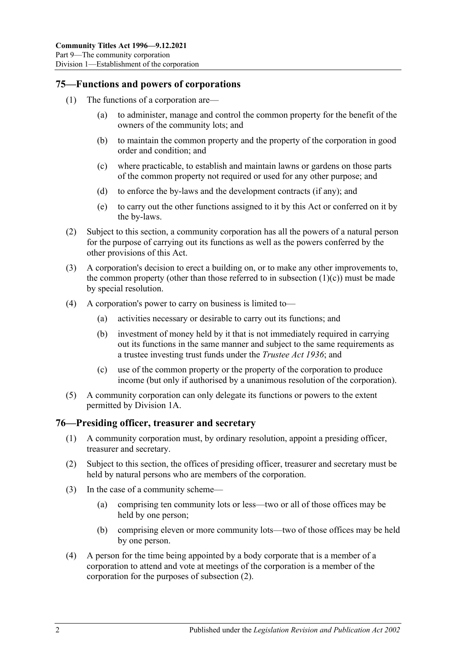#### **75—Functions and powers of corporations**

- <span id="page-69-0"></span>(1) The functions of a corporation are—
	- (a) to administer, manage and control the common property for the benefit of the owners of the community lots; and
	- (b) to maintain the common property and the property of the corporation in good order and condition; and
	- (c) where practicable, to establish and maintain lawns or gardens on those parts of the common property not required or used for any other purpose; and
	- (d) to enforce the by-laws and the development contracts (if any); and
	- (e) to carry out the other functions assigned to it by this Act or conferred on it by the by-laws.
- (2) Subject to this section, a community corporation has all the powers of a natural person for the purpose of carrying out its functions as well as the powers conferred by the other provisions of this Act.
- (3) A corporation's decision to erect a building on, or to make any other improvements to, the common property (other than those referred to in [subsection](#page-69-0)  $(1)(c)$ ) must be made by special resolution.
- (4) A corporation's power to carry on business is limited to—
	- (a) activities necessary or desirable to carry out its functions; and
	- (b) investment of money held by it that is not immediately required in carrying out its functions in the same manner and subject to the same requirements as a trustee investing trust funds under the *[Trustee Act](http://www.legislation.sa.gov.au/index.aspx?action=legref&type=act&legtitle=Trustee%20Act%201936) 1936*; and
	- (c) use of the common property or the property of the corporation to produce income (but only if authorised by a unanimous resolution of the corporation).
- (5) A community corporation can only delegate its functions or powers to the extent permitted by [Division](#page-71-0) 1A.

### **76—Presiding officer, treasurer and secretary**

- (1) A community corporation must, by ordinary resolution, appoint a presiding officer, treasurer and secretary.
- <span id="page-69-1"></span>(2) Subject to this section, the offices of presiding officer, treasurer and secretary must be held by natural persons who are members of the corporation.
- (3) In the case of a community scheme—
	- (a) comprising ten community lots or less—two or all of those offices may be held by one person;
	- (b) comprising eleven or more community lots—two of those offices may be held by one person.
- (4) A person for the time being appointed by a body corporate that is a member of a corporation to attend and vote at meetings of the corporation is a member of the corporation for the purposes of [subsection](#page-69-1) (2).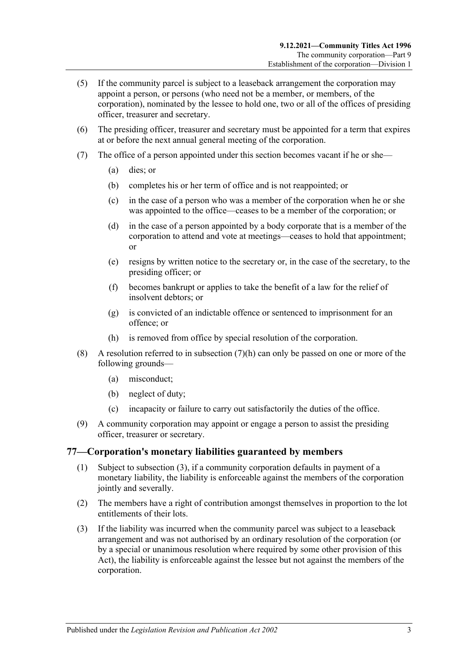- (5) If the community parcel is subject to a leaseback arrangement the corporation may appoint a person, or persons (who need not be a member, or members, of the corporation), nominated by the lessee to hold one, two or all of the offices of presiding officer, treasurer and secretary.
- (6) The presiding officer, treasurer and secretary must be appointed for a term that expires at or before the next annual general meeting of the corporation.
- (7) The office of a person appointed under this section becomes vacant if he or she—
	- (a) dies; or
	- (b) completes his or her term of office and is not reappointed; or
	- (c) in the case of a person who was a member of the corporation when he or she was appointed to the office—ceases to be a member of the corporation; or
	- (d) in the case of a person appointed by a body corporate that is a member of the corporation to attend and vote at meetings—ceases to hold that appointment; or
	- (e) resigns by written notice to the secretary or, in the case of the secretary, to the presiding officer; or
	- (f) becomes bankrupt or applies to take the benefit of a law for the relief of insolvent debtors; or
	- (g) is convicted of an indictable offence or sentenced to imprisonment for an offence; or
	- (h) is removed from office by special resolution of the corporation.
- <span id="page-70-0"></span>(8) A resolution referred to in [subsection](#page-70-0)  $(7)(h)$  can only be passed on one or more of the following grounds—
	- (a) misconduct;
	- (b) neglect of duty;
	- (c) incapacity or failure to carry out satisfactorily the duties of the office.
- (9) A community corporation may appoint or engage a person to assist the presiding officer, treasurer or secretary.

#### **77—Corporation's monetary liabilities guaranteed by members**

- (1) Subject to [subsection](#page-70-1) (3), if a community corporation defaults in payment of a monetary liability, the liability is enforceable against the members of the corporation jointly and severally.
- (2) The members have a right of contribution amongst themselves in proportion to the lot entitlements of their lots.
- <span id="page-70-1"></span>(3) If the liability was incurred when the community parcel was subject to a leaseback arrangement and was not authorised by an ordinary resolution of the corporation (or by a special or unanimous resolution where required by some other provision of this Act), the liability is enforceable against the lessee but not against the members of the corporation.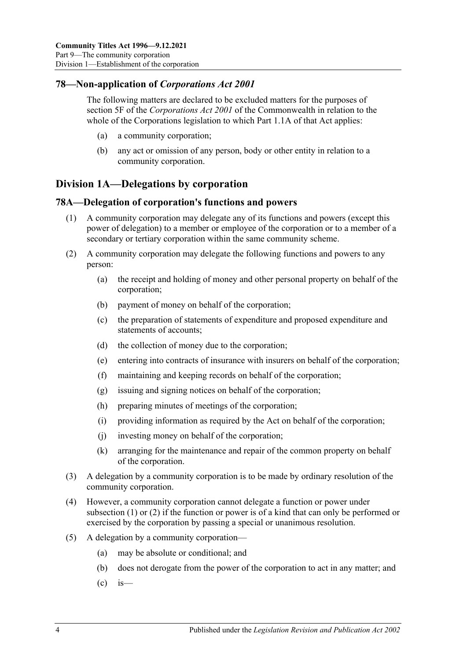# **78—Non-application of** *Corporations Act 2001*

The following matters are declared to be excluded matters for the purposes of section 5F of the *Corporations Act 2001* of the Commonwealth in relation to the whole of the Corporations legislation to which Part 1.1A of that Act applies:

- (a) a community corporation;
- (b) any act or omission of any person, body or other entity in relation to a community corporation.

# <span id="page-71-0"></span>**Division 1A—Delegations by corporation**

### <span id="page-71-1"></span>**78A—Delegation of corporation's functions and powers**

- (1) A community corporation may delegate any of its functions and powers (except this power of delegation) to a member or employee of the corporation or to a member of a secondary or tertiary corporation within the same community scheme.
- <span id="page-71-2"></span>(2) A community corporation may delegate the following functions and powers to any person:
	- (a) the receipt and holding of money and other personal property on behalf of the corporation;
	- (b) payment of money on behalf of the corporation;
	- (c) the preparation of statements of expenditure and proposed expenditure and statements of accounts;
	- (d) the collection of money due to the corporation;
	- (e) entering into contracts of insurance with insurers on behalf of the corporation;
	- (f) maintaining and keeping records on behalf of the corporation;
	- (g) issuing and signing notices on behalf of the corporation;
	- (h) preparing minutes of meetings of the corporation;
	- (i) providing information as required by the Act on behalf of the corporation;
	- (j) investing money on behalf of the corporation;
	- (k) arranging for the maintenance and repair of the common property on behalf of the corporation.
- (3) A delegation by a community corporation is to be made by ordinary resolution of the community corporation.
- (4) However, a community corporation cannot delegate a function or power under [subsection](#page-71-1) (1) or [\(2\)](#page-71-2) if the function or power is of a kind that can only be performed or exercised by the corporation by passing a special or unanimous resolution.
- (5) A delegation by a community corporation—
	- (a) may be absolute or conditional; and
	- (b) does not derogate from the power of the corporation to act in any matter; and
	- $\left( c \right)$  is —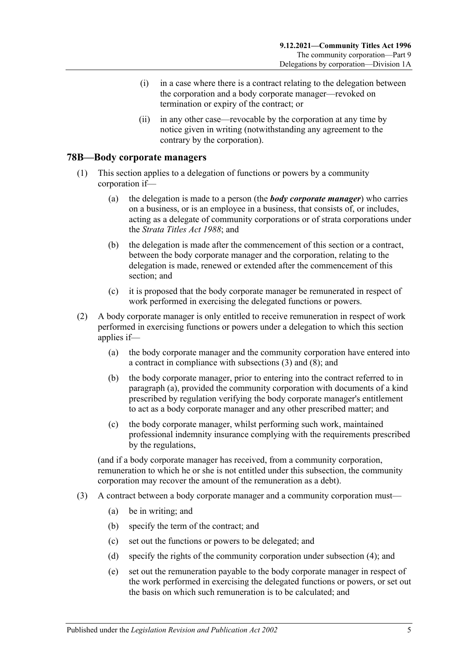- (i) in a case where there is a contract relating to the delegation between the corporation and a body corporate manager—revoked on termination or expiry of the contract; or
- (ii) in any other case—revocable by the corporation at any time by notice given in writing (notwithstanding any agreement to the contrary by the corporation).

### **78B—Body corporate managers**

- (1) This section applies to a delegation of functions or powers by a community corporation if—
	- (a) the delegation is made to a person (the *body corporate manager*) who carries on a business, or is an employee in a business, that consists of, or includes, acting as a delegate of community corporations or of strata corporations under the *[Strata Titles Act](http://www.legislation.sa.gov.au/index.aspx?action=legref&type=act&legtitle=Strata%20Titles%20Act%201988) 1988*; and
	- (b) the delegation is made after the commencement of this section or a contract, between the body corporate manager and the corporation, relating to the delegation is made, renewed or extended after the commencement of this section; and
	- (c) it is proposed that the body corporate manager be remunerated in respect of work performed in exercising the delegated functions or powers.
- <span id="page-72-2"></span><span id="page-72-1"></span>(2) A body corporate manager is only entitled to receive remuneration in respect of work performed in exercising functions or powers under a delegation to which this section applies if—
	- (a) the body corporate manager and the community corporation have entered into a contract in compliance with [subsections](#page-72-0) (3) and [\(8\);](#page-73-0) and
	- (b) the body corporate manager, prior to entering into the contract referred to in [paragraph](#page-72-1) (a), provided the community corporation with documents of a kind prescribed by regulation verifying the body corporate manager's entitlement to act as a body corporate manager and any other prescribed matter; and
	- (c) the body corporate manager, whilst performing such work, maintained professional indemnity insurance complying with the requirements prescribed by the regulations,

<span id="page-72-3"></span>(and if a body corporate manager has received, from a community corporation, remuneration to which he or she is not entitled under this subsection, the community corporation may recover the amount of the remuneration as a debt).

- <span id="page-72-0"></span>(3) A contract between a body corporate manager and a community corporation must—
	- (a) be in writing; and
	- (b) specify the term of the contract; and
	- (c) set out the functions or powers to be delegated; and
	- (d) specify the rights of the community corporation under [subsection](#page-73-1) (4); and
	- (e) set out the remuneration payable to the body corporate manager in respect of the work performed in exercising the delegated functions or powers, or set out the basis on which such remuneration is to be calculated; and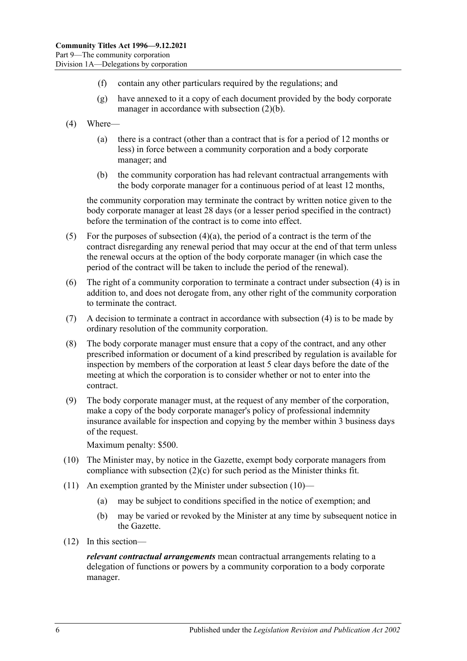- (f) contain any other particulars required by the regulations; and
- (g) have annexed to it a copy of each document provided by the body corporate manager in accordance with [subsection](#page-72-2) (2)(b).
- <span id="page-73-2"></span><span id="page-73-1"></span>(4) Where—
	- (a) there is a contract (other than a contract that is for a period of 12 months or less) in force between a community corporation and a body corporate manager; and
	- (b) the community corporation has had relevant contractual arrangements with the body corporate manager for a continuous period of at least 12 months,

the community corporation may terminate the contract by written notice given to the body corporate manager at least 28 days (or a lesser period specified in the contract) before the termination of the contract is to come into effect.

- (5) For the purposes of [subsection](#page-73-2)  $(4)(a)$ , the period of a contract is the term of the contract disregarding any renewal period that may occur at the end of that term unless the renewal occurs at the option of the body corporate manager (in which case the period of the contract will be taken to include the period of the renewal).
- (6) The right of a community corporation to terminate a contract under [subsection](#page-73-1) (4) is in addition to, and does not derogate from, any other right of the community corporation to terminate the contract.
- (7) A decision to terminate a contract in accordance with [subsection](#page-73-1) (4) is to be made by ordinary resolution of the community corporation.
- <span id="page-73-0"></span>(8) The body corporate manager must ensure that a copy of the contract, and any other prescribed information or document of a kind prescribed by regulation is available for inspection by members of the corporation at least 5 clear days before the date of the meeting at which the corporation is to consider whether or not to enter into the contract.
- (9) The body corporate manager must, at the request of any member of the corporation, make a copy of the body corporate manager's policy of professional indemnity insurance available for inspection and copying by the member within 3 business days of the request.

Maximum penalty: \$500.

- <span id="page-73-3"></span>(10) The Minister may, by notice in the Gazette, exempt body corporate managers from compliance with [subsection](#page-72-3)  $(2)(c)$  for such period as the Minister thinks fit.
- (11) An exemption granted by the Minister under [subsection](#page-73-3) (10)—
	- (a) may be subject to conditions specified in the notice of exemption; and
	- (b) may be varied or revoked by the Minister at any time by subsequent notice in the Gazette.
- (12) In this section—

*relevant contractual arrangements* mean contractual arrangements relating to a delegation of functions or powers by a community corporation to a body corporate manager.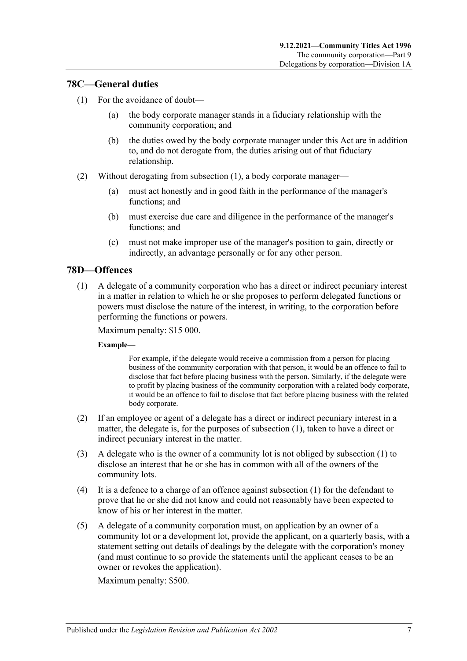# <span id="page-74-0"></span>**78C—General duties**

- (1) For the avoidance of doubt—
	- (a) the body corporate manager stands in a fiduciary relationship with the community corporation; and
	- (b) the duties owed by the body corporate manager under this Act are in addition to, and do not derogate from, the duties arising out of that fiduciary relationship.
- (2) Without derogating from [subsection](#page-74-0) (1), a body corporate manager—
	- (a) must act honestly and in good faith in the performance of the manager's functions; and
	- (b) must exercise due care and diligence in the performance of the manager's functions; and
	- (c) must not make improper use of the manager's position to gain, directly or indirectly, an advantage personally or for any other person.

# <span id="page-74-1"></span>**78D—Offences**

(1) A delegate of a community corporation who has a direct or indirect pecuniary interest in a matter in relation to which he or she proposes to perform delegated functions or powers must disclose the nature of the interest, in writing, to the corporation before performing the functions or powers.

Maximum penalty: \$15 000.

#### **Example—**

For example, if the delegate would receive a commission from a person for placing business of the community corporation with that person, it would be an offence to fail to disclose that fact before placing business with the person. Similarly, if the delegate were to profit by placing business of the community corporation with a related body corporate, it would be an offence to fail to disclose that fact before placing business with the related body corporate.

- (2) If an employee or agent of a delegate has a direct or indirect pecuniary interest in a matter, the delegate is, for the purposes of [subsection](#page-74-1) (1), taken to have a direct or indirect pecuniary interest in the matter.
- (3) A delegate who is the owner of a community lot is not obliged by [subsection](#page-74-1) (1) to disclose an interest that he or she has in common with all of the owners of the community lots.
- (4) It is a defence to a charge of an offence against [subsection](#page-74-1) (1) for the defendant to prove that he or she did not know and could not reasonably have been expected to know of his or her interest in the matter.
- (5) A delegate of a community corporation must, on application by an owner of a community lot or a development lot, provide the applicant, on a quarterly basis, with a statement setting out details of dealings by the delegate with the corporation's money (and must continue to so provide the statements until the applicant ceases to be an owner or revokes the application).

Maximum penalty: \$500.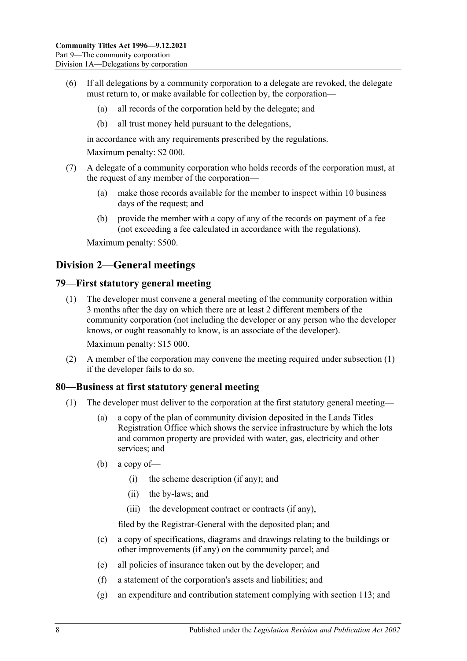- (6) If all delegations by a community corporation to a delegate are revoked, the delegate must return to, or make available for collection by, the corporation—
	- (a) all records of the corporation held by the delegate; and
	- (b) all trust money held pursuant to the delegations,

in accordance with any requirements prescribed by the regulations.

Maximum penalty: \$2 000.

- (7) A delegate of a community corporation who holds records of the corporation must, at the request of any member of the corporation—
	- (a) make those records available for the member to inspect within 10 business days of the request; and
	- (b) provide the member with a copy of any of the records on payment of a fee (not exceeding a fee calculated in accordance with the regulations).

Maximum penalty: \$500.

# **Division 2—General meetings**

#### <span id="page-75-0"></span>**79—First statutory general meeting**

(1) The developer must convene a general meeting of the community corporation within 3 months after the day on which there are at least 2 different members of the community corporation (not including the developer or any person who the developer knows, or ought reasonably to know, is an associate of the developer).

Maximum penalty: \$15 000.

(2) A member of the corporation may convene the meeting required under [subsection](#page-75-0) (1) if the developer fails to do so.

#### <span id="page-75-1"></span>**80—Business at first statutory general meeting**

- (1) The developer must deliver to the corporation at the first statutory general meeting—
	- (a) a copy of the plan of community division deposited in the Lands Titles Registration Office which shows the service infrastructure by which the lots and common property are provided with water, gas, electricity and other services; and
	- (b) a copy of—
		- (i) the scheme description (if any); and
		- (ii) the by-laws; and
		- (iii) the development contract or contracts (if any),

filed by the Registrar-General with the deposited plan; and

- (c) a copy of specifications, diagrams and drawings relating to the buildings or other improvements (if any) on the community parcel; and
- (e) all policies of insurance taken out by the developer; and
- (f) a statement of the corporation's assets and liabilities; and
- (g) an expenditure and contribution statement complying with [section](#page-98-0) 113; and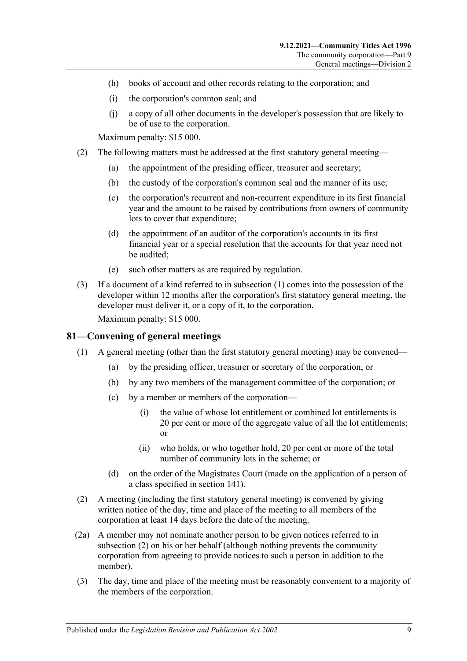- (h) books of account and other records relating to the corporation; and
- (i) the corporation's common seal; and
- (j) a copy of all other documents in the developer's possession that are likely to be of use to the corporation.

Maximum penalty: \$15 000.

- <span id="page-76-1"></span>(2) The following matters must be addressed at the first statutory general meeting—
	- (a) the appointment of the presiding officer, treasurer and secretary;
	- (b) the custody of the corporation's common seal and the manner of its use;
	- (c) the corporation's recurrent and non-recurrent expenditure in its first financial year and the amount to be raised by contributions from owners of community lots to cover that expenditure;
	- (d) the appointment of an auditor of the corporation's accounts in its first financial year or a special resolution that the accounts for that year need not be audited;
	- (e) such other matters as are required by regulation.
- (3) If a document of a kind referred to in [subsection](#page-75-1) (1) comes into the possession of the developer within 12 months after the corporation's first statutory general meeting, the developer must deliver it, or a copy of it, to the corporation.

Maximum penalty: \$15 000.

# **81—Convening of general meetings**

- (1) A general meeting (other than the first statutory general meeting) may be convened—
	- (a) by the presiding officer, treasurer or secretary of the corporation; or
	- (b) by any two members of the management committee of the corporation; or
	- (c) by a member or members of the corporation—
		- (i) the value of whose lot entitlement or combined lot entitlements is 20 per cent or more of the aggregate value of all the lot entitlements; or
		- (ii) who holds, or who together hold, 20 per cent or more of the total number of community lots in the scheme; or
	- (d) on the order of the Magistrates Court (made on the application of a person of a class specified in [section](#page-112-0) 141).
- <span id="page-76-0"></span>(2) A meeting (including the first statutory general meeting) is convened by giving written notice of the day, time and place of the meeting to all members of the corporation at least 14 days before the date of the meeting.
- (2a) A member may not nominate another person to be given notices referred to in [subsection](#page-76-0) (2) on his or her behalf (although nothing prevents the community corporation from agreeing to provide notices to such a person in addition to the member).
- (3) The day, time and place of the meeting must be reasonably convenient to a majority of the members of the corporation.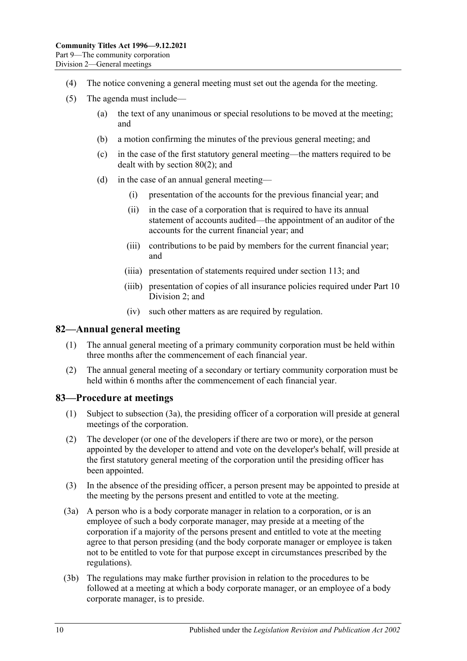- (4) The notice convening a general meeting must set out the agenda for the meeting.
- (5) The agenda must include—
	- (a) the text of any unanimous or special resolutions to be moved at the meeting; and
	- (b) a motion confirming the minutes of the previous general meeting; and
	- (c) in the case of the first statutory general meeting—the matters required to be dealt with by [section](#page-76-1) 80(2); and
	- (d) in the case of an annual general meeting—
		- (i) presentation of the accounts for the previous financial year; and
		- (ii) in the case of a corporation that is required to have its annual statement of accounts audited—the appointment of an auditor of the accounts for the current financial year; and
		- (iii) contributions to be paid by members for the current financial year; and
		- (iiia) presentation of statements required under [section](#page-98-0) 113; and
		- (iiib) presentation of copies of all insurance policies required under [Part](#page-92-0) 10 [Division 2;](#page-92-0) and
		- (iv) such other matters as are required by regulation.

#### **82—Annual general meeting**

- (1) The annual general meeting of a primary community corporation must be held within three months after the commencement of each financial year.
- (2) The annual general meeting of a secondary or tertiary community corporation must be held within 6 months after the commencement of each financial year.

# **83—Procedure at meetings**

- (1) Subject to [subsection](#page-77-0) (3a), the presiding officer of a corporation will preside at general meetings of the corporation.
- (2) The developer (or one of the developers if there are two or more), or the person appointed by the developer to attend and vote on the developer's behalf, will preside at the first statutory general meeting of the corporation until the presiding officer has been appointed.
- (3) In the absence of the presiding officer, a person present may be appointed to preside at the meeting by the persons present and entitled to vote at the meeting.
- <span id="page-77-0"></span>(3a) A person who is a body corporate manager in relation to a corporation, or is an employee of such a body corporate manager, may preside at a meeting of the corporation if a majority of the persons present and entitled to vote at the meeting agree to that person presiding (and the body corporate manager or employee is taken not to be entitled to vote for that purpose except in circumstances prescribed by the regulations).
- (3b) The regulations may make further provision in relation to the procedures to be followed at a meeting at which a body corporate manager, or an employee of a body corporate manager, is to preside.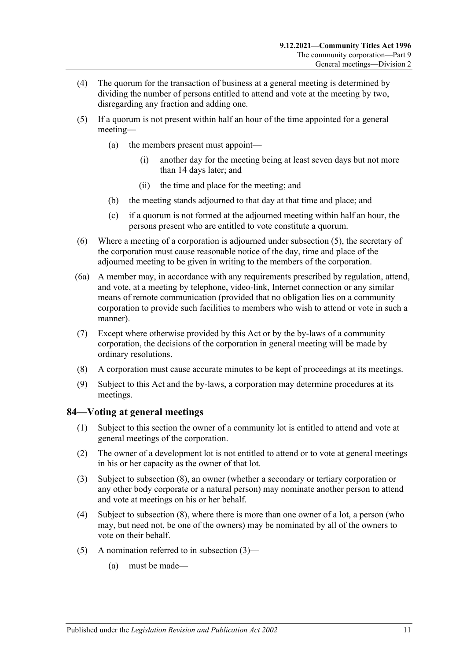- (4) The quorum for the transaction of business at a general meeting is determined by dividing the number of persons entitled to attend and vote at the meeting by two, disregarding any fraction and adding one.
- <span id="page-78-0"></span>(5) If a quorum is not present within half an hour of the time appointed for a general meeting—
	- (a) the members present must appoint—
		- (i) another day for the meeting being at least seven days but not more than 14 days later; and
		- (ii) the time and place for the meeting; and
	- (b) the meeting stands adjourned to that day at that time and place; and
	- (c) if a quorum is not formed at the adjourned meeting within half an hour, the persons present who are entitled to vote constitute a quorum.
- (6) Where a meeting of a corporation is adjourned under [subsection](#page-78-0) (5), the secretary of the corporation must cause reasonable notice of the day, time and place of the adjourned meeting to be given in writing to the members of the corporation.
- (6a) A member may, in accordance with any requirements prescribed by regulation, attend, and vote, at a meeting by telephone, video-link, Internet connection or any similar means of remote communication (provided that no obligation lies on a community corporation to provide such facilities to members who wish to attend or vote in such a manner).
- (7) Except where otherwise provided by this Act or by the by-laws of a community corporation, the decisions of the corporation in general meeting will be made by ordinary resolutions.
- (8) A corporation must cause accurate minutes to be kept of proceedings at its meetings.
- (9) Subject to this Act and the by-laws, a corporation may determine procedures at its meetings.

# **84—Voting at general meetings**

- (1) Subject to this section the owner of a community lot is entitled to attend and vote at general meetings of the corporation.
- (2) The owner of a development lot is not entitled to attend or to vote at general meetings in his or her capacity as the owner of that lot.
- <span id="page-78-1"></span>(3) Subject to [subsection](#page-80-0) (8), an owner (whether a secondary or tertiary corporation or any other body corporate or a natural person) may nominate another person to attend and vote at meetings on his or her behalf.
- <span id="page-78-3"></span>(4) Subject to [subsection](#page-80-0) (8), where there is more than one owner of a lot, a person (who may, but need not, be one of the owners) may be nominated by all of the owners to vote on their behalf.
- <span id="page-78-2"></span>(5) A nomination referred to in [subsection](#page-78-1)  $(3)$ —
	- (a) must be made—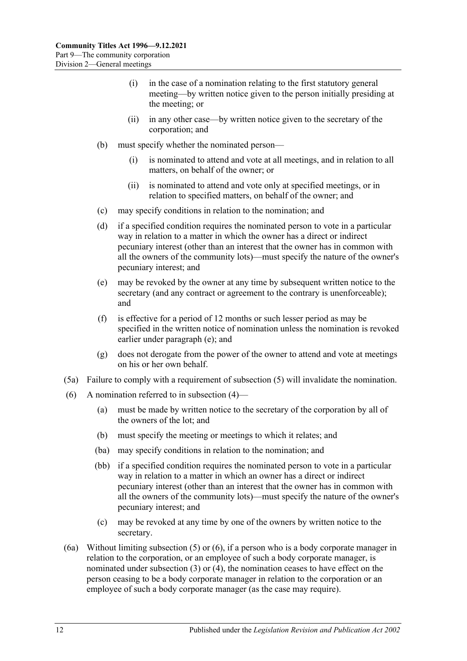- (i) in the case of a nomination relating to the first statutory general meeting—by written notice given to the person initially presiding at the meeting; or
- (ii) in any other case—by written notice given to the secretary of the corporation; and
- (b) must specify whether the nominated person—
	- (i) is nominated to attend and vote at all meetings, and in relation to all matters, on behalf of the owner; or
	- (ii) is nominated to attend and vote only at specified meetings, or in relation to specified matters, on behalf of the owner; and
- (c) may specify conditions in relation to the nomination; and
- <span id="page-79-2"></span>(d) if a specified condition requires the nominated person to vote in a particular way in relation to a matter in which the owner has a direct or indirect pecuniary interest (other than an interest that the owner has in common with all the owners of the community lots)—must specify the nature of the owner's pecuniary interest; and
- <span id="page-79-0"></span>(e) may be revoked by the owner at any time by subsequent written notice to the secretary (and any contract or agreement to the contrary is unenforceable); and
- (f) is effective for a period of 12 months or such lesser period as may be specified in the written notice of nomination unless the nomination is revoked earlier under [paragraph](#page-79-0) (e); and
- (g) does not derogate from the power of the owner to attend and vote at meetings on his or her own behalf.
- (5a) Failure to comply with a requirement of [subsection](#page-78-2) (5) will invalidate the nomination.
- <span id="page-79-3"></span><span id="page-79-1"></span>(6) A nomination referred to in [subsection](#page-78-3)  $(4)$ —
	- (a) must be made by written notice to the secretary of the corporation by all of the owners of the lot; and
	- (b) must specify the meeting or meetings to which it relates; and
	- (ba) may specify conditions in relation to the nomination; and
	- (bb) if a specified condition requires the nominated person to vote in a particular way in relation to a matter in which an owner has a direct or indirect pecuniary interest (other than an interest that the owner has in common with all the owners of the community lots)—must specify the nature of the owner's pecuniary interest; and
	- (c) may be revoked at any time by one of the owners by written notice to the secretary.
- (6a) Without limiting [subsection](#page-78-2) (5) or [\(6\),](#page-79-1) if a person who is a body corporate manager in relation to the corporation, or an employee of such a body corporate manager, is nominated under [subsection](#page-78-1) (3) or [\(4\),](#page-78-3) the nomination ceases to have effect on the person ceasing to be a body corporate manager in relation to the corporation or an employee of such a body corporate manager (as the case may require).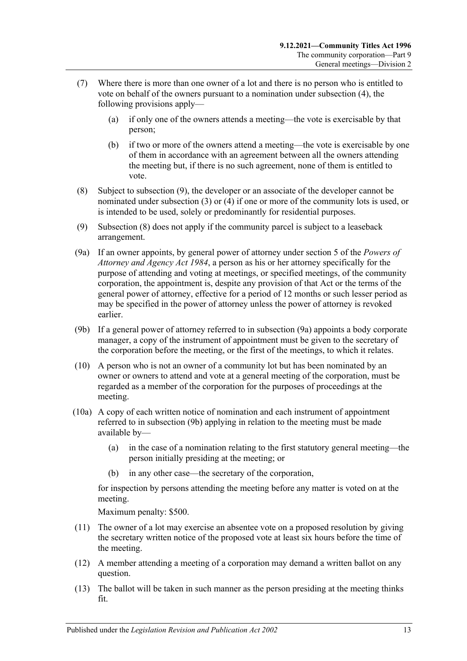- (7) Where there is more than one owner of a lot and there is no person who is entitled to vote on behalf of the owners pursuant to a nomination under [subsection](#page-78-3) (4), the following provisions apply—
	- (a) if only one of the owners attends a meeting—the vote is exercisable by that person;
	- (b) if two or more of the owners attend a meeting—the vote is exercisable by one of them in accordance with an agreement between all the owners attending the meeting but, if there is no such agreement, none of them is entitled to vote.
- <span id="page-80-0"></span>(8) Subject to [subsection](#page-80-1) (9), the developer or an associate of the developer cannot be nominated under [subsection](#page-78-1) (3) or [\(4\)](#page-78-3) if one or more of the community lots is used, or is intended to be used, solely or predominantly for residential purposes.
- <span id="page-80-1"></span>(9) [Subsection](#page-80-0) (8) does not apply if the community parcel is subject to a leaseback arrangement.
- <span id="page-80-2"></span>(9a) If an owner appoints, by general power of attorney under section 5 of the *[Powers of](http://www.legislation.sa.gov.au/index.aspx?action=legref&type=act&legtitle=Powers%20of%20Attorney%20and%20Agency%20Act%201984)  [Attorney and Agency Act](http://www.legislation.sa.gov.au/index.aspx?action=legref&type=act&legtitle=Powers%20of%20Attorney%20and%20Agency%20Act%201984) 1984*, a person as his or her attorney specifically for the purpose of attending and voting at meetings, or specified meetings, of the community corporation, the appointment is, despite any provision of that Act or the terms of the general power of attorney, effective for a period of 12 months or such lesser period as may be specified in the power of attorney unless the power of attorney is revoked earlier.
- <span id="page-80-3"></span>(9b) If a general power of attorney referred to in [subsection](#page-80-2) (9a) appoints a body corporate manager, a copy of the instrument of appointment must be given to the secretary of the corporation before the meeting, or the first of the meetings, to which it relates.
- (10) A person who is not an owner of a community lot but has been nominated by an owner or owners to attend and vote at a general meeting of the corporation, must be regarded as a member of the corporation for the purposes of proceedings at the meeting.
- (10a) A copy of each written notice of nomination and each instrument of appointment referred to in [subsection](#page-80-3) (9b) applying in relation to the meeting must be made available by—
	- (a) in the case of a nomination relating to the first statutory general meeting—the person initially presiding at the meeting; or
	- in any other case—the secretary of the corporation,

for inspection by persons attending the meeting before any matter is voted on at the meeting.

Maximum penalty: \$500.

- (11) The owner of a lot may exercise an absentee vote on a proposed resolution by giving the secretary written notice of the proposed vote at least six hours before the time of the meeting.
- (12) A member attending a meeting of a corporation may demand a written ballot on any question.
- (13) The ballot will be taken in such manner as the person presiding at the meeting thinks fit.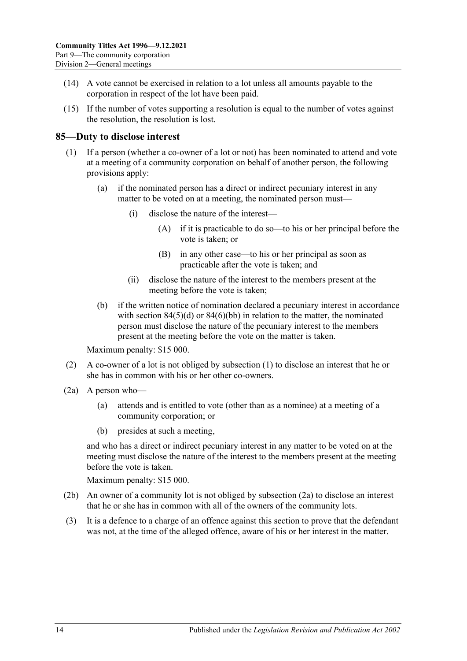- (14) A vote cannot be exercised in relation to a lot unless all amounts payable to the corporation in respect of the lot have been paid.
- (15) If the number of votes supporting a resolution is equal to the number of votes against the resolution, the resolution is lost.

# <span id="page-81-0"></span>**85—Duty to disclose interest**

- (1) If a person (whether a co-owner of a lot or not) has been nominated to attend and vote at a meeting of a community corporation on behalf of another person, the following provisions apply:
	- (a) if the nominated person has a direct or indirect pecuniary interest in any matter to be voted on at a meeting, the nominated person must—
		- (i) disclose the nature of the interest—
			- (A) if it is practicable to do so—to his or her principal before the vote is taken; or
			- (B) in any other case—to his or her principal as soon as practicable after the vote is taken; and
		- (ii) disclose the nature of the interest to the members present at the meeting before the vote is taken;
	- (b) if the written notice of nomination declared a pecuniary interest in accordance with section  $84(5)(d)$  or  $84(6)(bb)$  in relation to the matter, the nominated person must disclose the nature of the pecuniary interest to the members present at the meeting before the vote on the matter is taken.

Maximum penalty: \$15 000.

- (2) A co-owner of a lot is not obliged by [subsection](#page-81-0) (1) to disclose an interest that he or she has in common with his or her other co-owners.
- <span id="page-81-1"></span>(2a) A person who—
	- (a) attends and is entitled to vote (other than as a nominee) at a meeting of a community corporation; or
	- (b) presides at such a meeting,

and who has a direct or indirect pecuniary interest in any matter to be voted on at the meeting must disclose the nature of the interest to the members present at the meeting before the vote is taken.

Maximum penalty: \$15 000.

- (2b) An owner of a community lot is not obliged by [subsection](#page-81-1) (2a) to disclose an interest that he or she has in common with all of the owners of the community lots.
- (3) It is a defence to a charge of an offence against this section to prove that the defendant was not, at the time of the alleged offence, aware of his or her interest in the matter.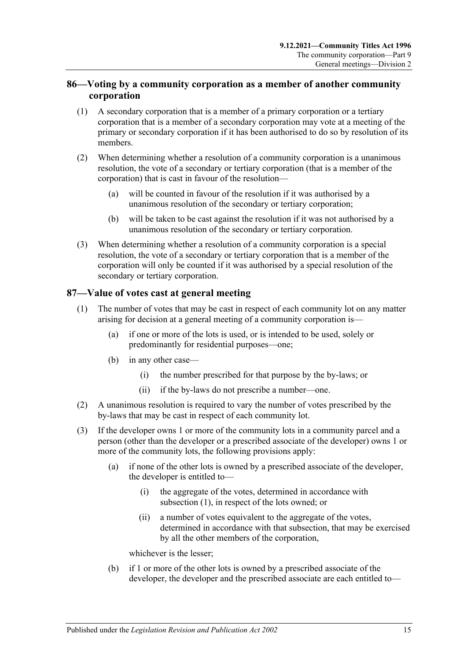# **86—Voting by a community corporation as a member of another community corporation**

- (1) A secondary corporation that is a member of a primary corporation or a tertiary corporation that is a member of a secondary corporation may vote at a meeting of the primary or secondary corporation if it has been authorised to do so by resolution of its members.
- (2) When determining whether a resolution of a community corporation is a unanimous resolution, the vote of a secondary or tertiary corporation (that is a member of the corporation) that is cast in favour of the resolution—
	- (a) will be counted in favour of the resolution if it was authorised by a unanimous resolution of the secondary or tertiary corporation;
	- (b) will be taken to be cast against the resolution if it was not authorised by a unanimous resolution of the secondary or tertiary corporation.
- (3) When determining whether a resolution of a community corporation is a special resolution, the vote of a secondary or tertiary corporation that is a member of the corporation will only be counted if it was authorised by a special resolution of the secondary or tertiary corporation.

# <span id="page-82-0"></span>**87—Value of votes cast at general meeting**

- (1) The number of votes that may be cast in respect of each community lot on any matter arising for decision at a general meeting of a community corporation is—
	- (a) if one or more of the lots is used, or is intended to be used, solely or predominantly for residential purposes—one;
	- (b) in any other case—
		- (i) the number prescribed for that purpose by the by-laws; or
		- (ii) if the by-laws do not prescribe a number—one.
- (2) A unanimous resolution is required to vary the number of votes prescribed by the by-laws that may be cast in respect of each community lot.
- (3) If the developer owns 1 or more of the community lots in a community parcel and a person (other than the developer or a prescribed associate of the developer) owns 1 or more of the community lots, the following provisions apply:
	- (a) if none of the other lots is owned by a prescribed associate of the developer, the developer is entitled to—
		- (i) the aggregate of the votes, determined in accordance with [subsection](#page-82-0) (1), in respect of the lots owned; or
		- (ii) a number of votes equivalent to the aggregate of the votes, determined in accordance with that subsection, that may be exercised by all the other members of the corporation,

whichever is the lesser;

(b) if 1 or more of the other lots is owned by a prescribed associate of the developer, the developer and the prescribed associate are each entitled to—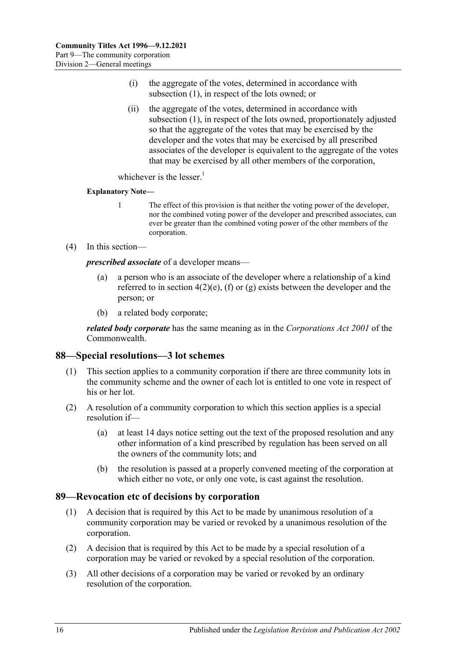- (i) the aggregate of the votes, determined in accordance with [subsection](#page-82-0) (1), in respect of the lots owned; or
- (ii) the aggregate of the votes, determined in accordance with [subsection](#page-82-0) (1), in respect of the lots owned, proportionately adjusted so that the aggregate of the votes that may be exercised by the developer and the votes that may be exercised by all prescribed associates of the developer is equivalent to the aggregate of the votes that may be exercised by all other members of the corporation,

whichever is the lesser. $1$ 

#### **Explanatory Note—**

- 1 The effect of this provision is that neither the voting power of the developer, nor the combined voting power of the developer and prescribed associates, can ever be greater than the combined voting power of the other members of the corporation.
- (4) In this section—

*prescribed associate* of a developer means—

- (a) a person who is an associate of the developer where a relationship of a kind referred to in [section](#page-13-0)  $4(2)(e)$ , [\(f\)](#page-13-1) or [\(g\)](#page-13-2) exists between the developer and the person; or
- (b) a related body corporate;

*related body corporate* has the same meaning as in the *Corporations Act 2001* of the Commonwealth.

# **88—Special resolutions—3 lot schemes**

- (1) This section applies to a community corporation if there are three community lots in the community scheme and the owner of each lot is entitled to one vote in respect of his or her lot.
- (2) A resolution of a community corporation to which this section applies is a special resolution if—
	- (a) at least 14 days notice setting out the text of the proposed resolution and any other information of a kind prescribed by regulation has been served on all the owners of the community lots; and
	- (b) the resolution is passed at a properly convened meeting of the corporation at which either no vote, or only one vote, is cast against the resolution.

# **89—Revocation etc of decisions by corporation**

- (1) A decision that is required by this Act to be made by unanimous resolution of a community corporation may be varied or revoked by a unanimous resolution of the corporation.
- (2) A decision that is required by this Act to be made by a special resolution of a corporation may be varied or revoked by a special resolution of the corporation.
- (3) All other decisions of a corporation may be varied or revoked by an ordinary resolution of the corporation.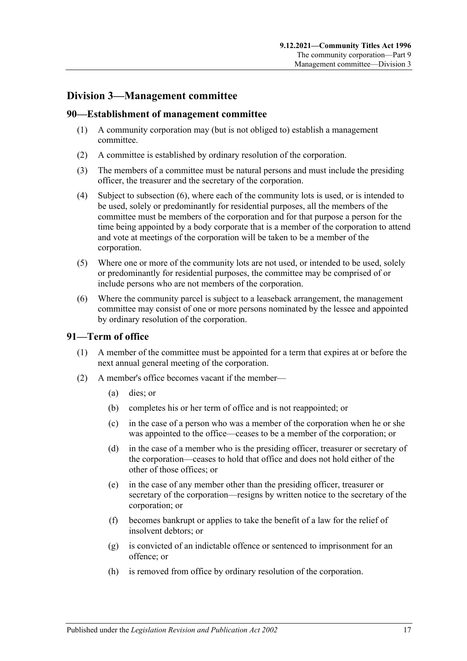# **Division 3—Management committee**

### **90—Establishment of management committee**

- (1) A community corporation may (but is not obliged to) establish a management committee.
- (2) A committee is established by ordinary resolution of the corporation.
- (3) The members of a committee must be natural persons and must include the presiding officer, the treasurer and the secretary of the corporation.
- (4) Subject to [subsection](#page-84-0) (6), where each of the community lots is used, or is intended to be used, solely or predominantly for residential purposes, all the members of the committee must be members of the corporation and for that purpose a person for the time being appointed by a body corporate that is a member of the corporation to attend and vote at meetings of the corporation will be taken to be a member of the corporation.
- (5) Where one or more of the community lots are not used, or intended to be used, solely or predominantly for residential purposes, the committee may be comprised of or include persons who are not members of the corporation.
- <span id="page-84-0"></span>(6) Where the community parcel is subject to a leaseback arrangement, the management committee may consist of one or more persons nominated by the lessee and appointed by ordinary resolution of the corporation.

# **91—Term of office**

- (1) A member of the committee must be appointed for a term that expires at or before the next annual general meeting of the corporation.
- <span id="page-84-1"></span>(2) A member's office becomes vacant if the member—
	- (a) dies; or
	- (b) completes his or her term of office and is not reappointed; or
	- (c) in the case of a person who was a member of the corporation when he or she was appointed to the office—ceases to be a member of the corporation; or
	- (d) in the case of a member who is the presiding officer, treasurer or secretary of the corporation—ceases to hold that office and does not hold either of the other of those offices; or
	- (e) in the case of any member other than the presiding officer, treasurer or secretary of the corporation—resigns by written notice to the secretary of the corporation; or
	- (f) becomes bankrupt or applies to take the benefit of a law for the relief of insolvent debtors; or
	- (g) is convicted of an indictable offence or sentenced to imprisonment for an offence; or
	- (h) is removed from office by ordinary resolution of the corporation.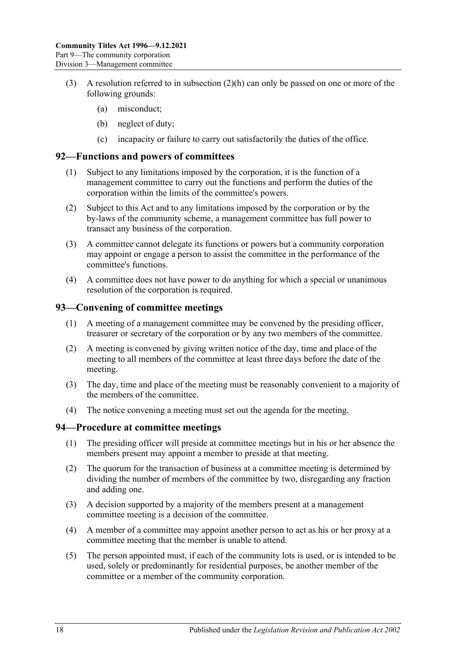- (3) A resolution referred to in [subsection](#page-84-1)  $(2)(h)$  can only be passed on one or more of the following grounds:
	- (a) misconduct;
	- (b) neglect of duty;
	- (c) incapacity or failure to carry out satisfactorily the duties of the office.

### **92—Functions and powers of committees**

- (1) Subject to any limitations imposed by the corporation, it is the function of a management committee to carry out the functions and perform the duties of the corporation within the limits of the committee's powers.
- (2) Subject to this Act and to any limitations imposed by the corporation or by the by-laws of the community scheme, a management committee has full power to transact any business of the corporation.
- (3) A committee cannot delegate its functions or powers but a community corporation may appoint or engage a person to assist the committee in the performance of the committee's functions.
- (4) A committee does not have power to do anything for which a special or unanimous resolution of the corporation is required.

# **93—Convening of committee meetings**

- (1) A meeting of a management committee may be convened by the presiding officer, treasurer or secretary of the corporation or by any two members of the committee.
- (2) A meeting is convened by giving written notice of the day, time and place of the meeting to all members of the committee at least three days before the date of the meeting.
- (3) The day, time and place of the meeting must be reasonably convenient to a majority of the members of the committee.
- (4) The notice convening a meeting must set out the agenda for the meeting.

#### **94—Procedure at committee meetings**

- (1) The presiding officer will preside at committee meetings but in his or her absence the members present may appoint a member to preside at that meeting.
- (2) The quorum for the transaction of business at a committee meeting is determined by dividing the number of members of the committee by two, disregarding any fraction and adding one.
- (3) A decision supported by a majority of the members present at a management committee meeting is a decision of the committee.
- (4) A member of a committee may appoint another person to act as his or her proxy at a committee meeting that the member is unable to attend.
- (5) The person appointed must, if each of the community lots is used, or is intended to be used, solely or predominantly for residential purposes, be another member of the committee or a member of the community corporation.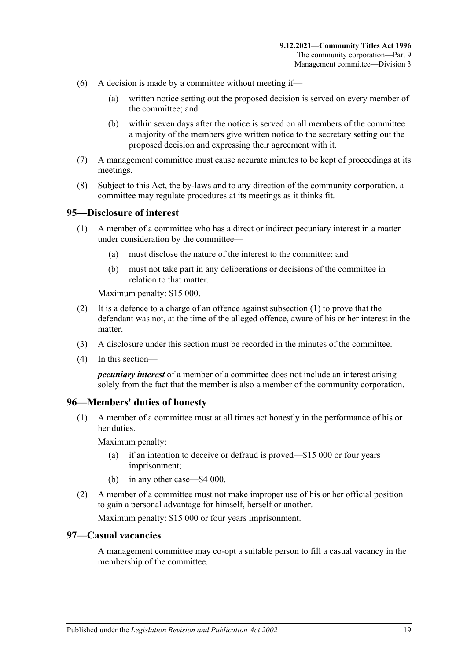- (6) A decision is made by a committee without meeting if—
	- (a) written notice setting out the proposed decision is served on every member of the committee; and
	- (b) within seven days after the notice is served on all members of the committee a majority of the members give written notice to the secretary setting out the proposed decision and expressing their agreement with it.
- (7) A management committee must cause accurate minutes to be kept of proceedings at its meetings.
- (8) Subject to this Act, the by-laws and to any direction of the community corporation, a committee may regulate procedures at its meetings as it thinks fit.

#### <span id="page-86-0"></span>**95—Disclosure of interest**

- (1) A member of a committee who has a direct or indirect pecuniary interest in a matter under consideration by the committee—
	- (a) must disclose the nature of the interest to the committee; and
	- (b) must not take part in any deliberations or decisions of the committee in relation to that matter.

Maximum penalty: \$15 000.

- (2) It is a defence to a charge of an offence against [subsection](#page-86-0) (1) to prove that the defendant was not, at the time of the alleged offence, aware of his or her interest in the matter.
- (3) A disclosure under this section must be recorded in the minutes of the committee.
- (4) In this section—

*pecuniary interest* of a member of a committee does not include an interest arising solely from the fact that the member is also a member of the community corporation.

#### **96—Members' duties of honesty**

(1) A member of a committee must at all times act honestly in the performance of his or her duties.

Maximum penalty:

- (a) if an intention to deceive or defraud is proved—\$15 000 or four years imprisonment;
- (b) in any other case—\$4 000.
- (2) A member of a committee must not make improper use of his or her official position to gain a personal advantage for himself, herself or another.

Maximum penalty: \$15 000 or four years imprisonment.

#### **97—Casual vacancies**

A management committee may co-opt a suitable person to fill a casual vacancy in the membership of the committee.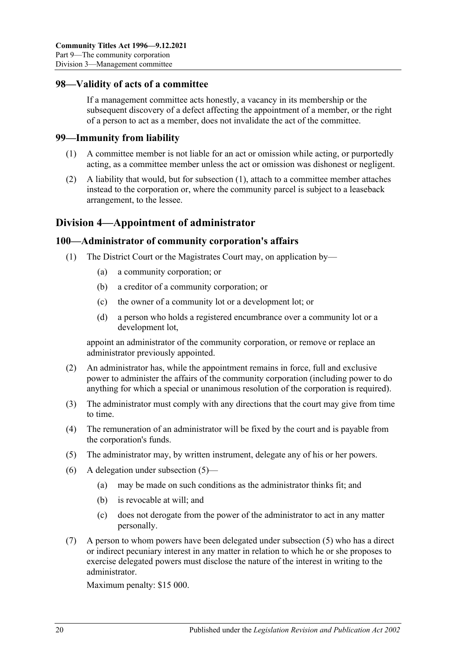### **98—Validity of acts of a committee**

If a management committee acts honestly, a vacancy in its membership or the subsequent discovery of a defect affecting the appointment of a member, or the right of a person to act as a member, does not invalidate the act of the committee.

#### <span id="page-87-0"></span>**99—Immunity from liability**

- (1) A committee member is not liable for an act or omission while acting, or purportedly acting, as a committee member unless the act or omission was dishonest or negligent.
- (2) A liability that would, but for [subsection](#page-87-0) (1), attach to a committee member attaches instead to the corporation or, where the community parcel is subject to a leaseback arrangement, to the lessee.

# **Division 4—Appointment of administrator**

### **100—Administrator of community corporation's affairs**

- (1) The District Court or the Magistrates Court may, on application by—
	- (a) a community corporation; or
	- (b) a creditor of a community corporation; or
	- (c) the owner of a community lot or a development lot; or
	- (d) a person who holds a registered encumbrance over a community lot or a development lot,

appoint an administrator of the community corporation, or remove or replace an administrator previously appointed.

- (2) An administrator has, while the appointment remains in force, full and exclusive power to administer the affairs of the community corporation (including power to do anything for which a special or unanimous resolution of the corporation is required).
- (3) The administrator must comply with any directions that the court may give from time to time.
- (4) The remuneration of an administrator will be fixed by the court and is payable from the corporation's funds.
- <span id="page-87-1"></span>(5) The administrator may, by written instrument, delegate any of his or her powers.
- (6) A delegation under [subsection](#page-87-1) (5)—
	- (a) may be made on such conditions as the administrator thinks fit; and
	- (b) is revocable at will; and
	- (c) does not derogate from the power of the administrator to act in any matter personally.
- <span id="page-87-2"></span>(7) A person to whom powers have been delegated under [subsection](#page-87-1) (5) who has a direct or indirect pecuniary interest in any matter in relation to which he or she proposes to exercise delegated powers must disclose the nature of the interest in writing to the administrator.

Maximum penalty: \$15 000.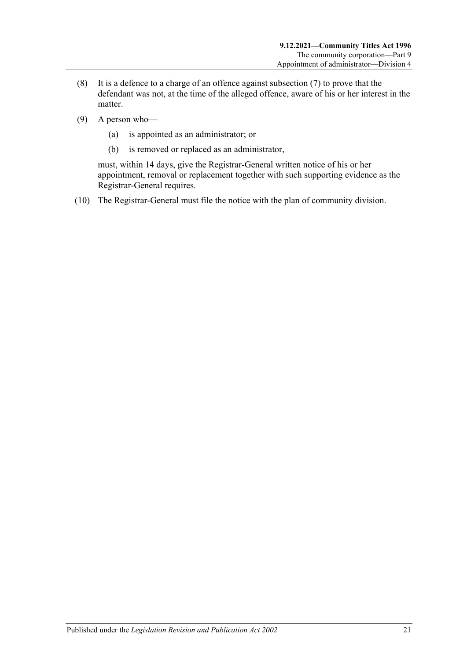- (8) It is a defence to a charge of an offence against [subsection](#page-87-2) (7) to prove that the defendant was not, at the time of the alleged offence, aware of his or her interest in the matter.
- (9) A person who—
	- (a) is appointed as an administrator; or
	- (b) is removed or replaced as an administrator,

must, within 14 days, give the Registrar-General written notice of his or her appointment, removal or replacement together with such supporting evidence as the Registrar-General requires.

(10) The Registrar-General must file the notice with the plan of community division.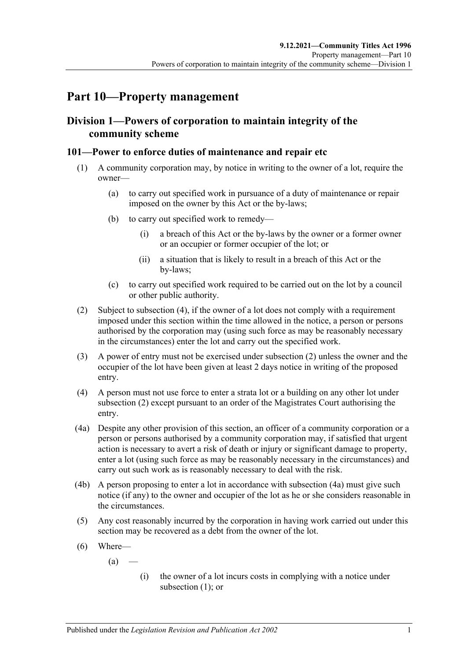# **Part 10—Property management**

# **Division 1—Powers of corporation to maintain integrity of the community scheme**

# <span id="page-90-3"></span>**101—Power to enforce duties of maintenance and repair etc**

- (1) A community corporation may, by notice in writing to the owner of a lot, require the owner—
	- (a) to carry out specified work in pursuance of a duty of maintenance or repair imposed on the owner by this Act or the by-laws;
	- (b) to carry out specified work to remedy—
		- (i) a breach of this Act or the by-laws by the owner or a former owner or an occupier or former occupier of the lot; or
		- (ii) a situation that is likely to result in a breach of this Act or the by-laws;
	- (c) to carry out specified work required to be carried out on the lot by a council or other public authority.
- <span id="page-90-1"></span>(2) Subject to [subsection](#page-90-0) (4), if the owner of a lot does not comply with a requirement imposed under this section within the time allowed in the notice, a person or persons authorised by the corporation may (using such force as may be reasonably necessary in the circumstances) enter the lot and carry out the specified work.
- (3) A power of entry must not be exercised under [subsection](#page-90-1) (2) unless the owner and the occupier of the lot have been given at least 2 days notice in writing of the proposed entry.
- <span id="page-90-0"></span>(4) A person must not use force to enter a strata lot or a building on any other lot under [subsection](#page-90-1) (2) except pursuant to an order of the Magistrates Court authorising the entry.
- <span id="page-90-2"></span>(4a) Despite any other provision of this section, an officer of a community corporation or a person or persons authorised by a community corporation may, if satisfied that urgent action is necessary to avert a risk of death or injury or significant damage to property, enter a lot (using such force as may be reasonably necessary in the circumstances) and carry out such work as is reasonably necessary to deal with the risk.
- (4b) A person proposing to enter a lot in accordance with [subsection](#page-90-2) (4a) must give such notice (if any) to the owner and occupier of the lot as he or she considers reasonable in the circumstances.
- <span id="page-90-4"></span>(5) Any cost reasonably incurred by the corporation in having work carried out under this section may be recovered as a debt from the owner of the lot.
- (6) Where—
	- $(a)$
- (i) the owner of a lot incurs costs in complying with a notice under [subsection](#page-90-3) (1); or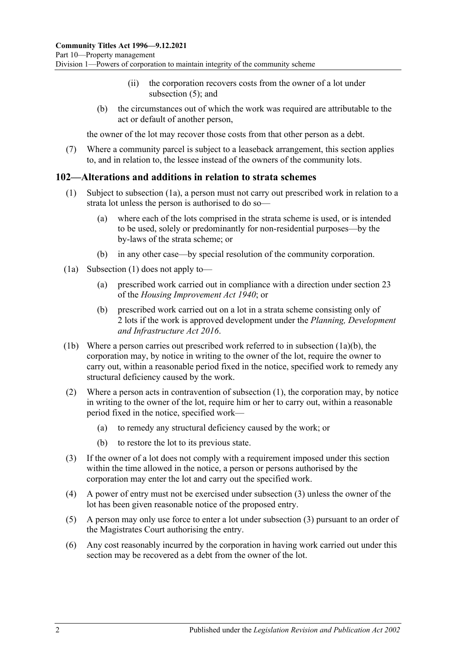- (ii) the corporation recovers costs from the owner of a lot under [subsection](#page-90-4) (5); and
- (b) the circumstances out of which the work was required are attributable to the act or default of another person,

the owner of the lot may recover those costs from that other person as a debt.

(7) Where a community parcel is subject to a leaseback arrangement, this section applies to, and in relation to, the lessee instead of the owners of the community lots.

### <span id="page-91-0"></span>**102—Alterations and additions in relation to strata schemes**

- (1) Subject to subsection (1a), a person must not carry out prescribed work in relation to a strata lot unless the person is authorised to do so—
	- (a) where each of the lots comprised in the strata scheme is used, or is intended to be used, solely or predominantly for non-residential purposes—by the by-laws of the strata scheme; or
	- (b) in any other case—by special resolution of the community corporation.
- <span id="page-91-1"></span>(1a) [Subsection](#page-91-0) (1) does not apply to—
	- (a) prescribed work carried out in compliance with a direction under section 23 of the *[Housing Improvement Act](http://www.legislation.sa.gov.au/index.aspx?action=legref&type=act&legtitle=Housing%20Improvement%20Act%201940) 1940*; or
	- (b) prescribed work carried out on a lot in a strata scheme consisting only of 2 lots if the work is approved development under the *[Planning, Development](http://www.legislation.sa.gov.au/index.aspx?action=legref&type=act&legtitle=Planning%20Development%20and%20Infrastructure%20Act%202016)  [and Infrastructure Act](http://www.legislation.sa.gov.au/index.aspx?action=legref&type=act&legtitle=Planning%20Development%20and%20Infrastructure%20Act%202016) 2016*.
- (1b) Where a person carries out prescribed work referred to in [subsection](#page-91-1) (1a)(b), the corporation may, by notice in writing to the owner of the lot, require the owner to carry out, within a reasonable period fixed in the notice, specified work to remedy any structural deficiency caused by the work.
- (2) Where a person acts in contravention of [subsection](#page-91-0) (1), the corporation may, by notice in writing to the owner of the lot, require him or her to carry out, within a reasonable period fixed in the notice, specified work—
	- (a) to remedy any structural deficiency caused by the work; or
	- (b) to restore the lot to its previous state.
- <span id="page-91-2"></span>(3) If the owner of a lot does not comply with a requirement imposed under this section within the time allowed in the notice, a person or persons authorised by the corporation may enter the lot and carry out the specified work.
- (4) A power of entry must not be exercised under [subsection](#page-91-2) (3) unless the owner of the lot has been given reasonable notice of the proposed entry.
- (5) A person may only use force to enter a lot under [subsection](#page-91-2) (3) pursuant to an order of the Magistrates Court authorising the entry.
- (6) Any cost reasonably incurred by the corporation in having work carried out under this section may be recovered as a debt from the owner of the lot.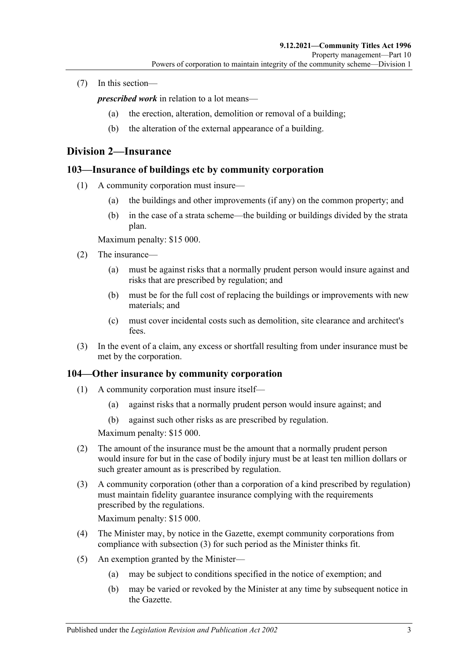(7) In this section—

*prescribed work* in relation to a lot means—

- (a) the erection, alteration, demolition or removal of a building;
- (b) the alteration of the external appearance of a building.

# <span id="page-92-0"></span>**Division 2—Insurance**

# **103—Insurance of buildings etc by community corporation**

- (1) A community corporation must insure—
	- (a) the buildings and other improvements (if any) on the common property; and
	- (b) in the case of a strata scheme—the building or buildings divided by the strata plan.

Maximum penalty: \$15 000.

- (2) The insurance—
	- (a) must be against risks that a normally prudent person would insure against and risks that are prescribed by regulation; and
	- (b) must be for the full cost of replacing the buildings or improvements with new materials; and
	- (c) must cover incidental costs such as demolition, site clearance and architect's  $f_{\rho\rho\alpha}$
- (3) In the event of a claim, any excess or shortfall resulting from under insurance must be met by the corporation.

# **104—Other insurance by community corporation**

- (1) A community corporation must insure itself—
	- (a) against risks that a normally prudent person would insure against; and
	- (b) against such other risks as are prescribed by regulation.

Maximum penalty: \$15 000.

- (2) The amount of the insurance must be the amount that a normally prudent person would insure for but in the case of bodily injury must be at least ten million dollars or such greater amount as is prescribed by regulation.
- <span id="page-92-1"></span>(3) A community corporation (other than a corporation of a kind prescribed by regulation) must maintain fidelity guarantee insurance complying with the requirements prescribed by the regulations.

Maximum penalty: \$15 000.

- (4) The Minister may, by notice in the Gazette, exempt community corporations from compliance with [subsection](#page-92-1) (3) for such period as the Minister thinks fit.
- (5) An exemption granted by the Minister—
	- (a) may be subject to conditions specified in the notice of exemption; and
	- (b) may be varied or revoked by the Minister at any time by subsequent notice in the Gazette.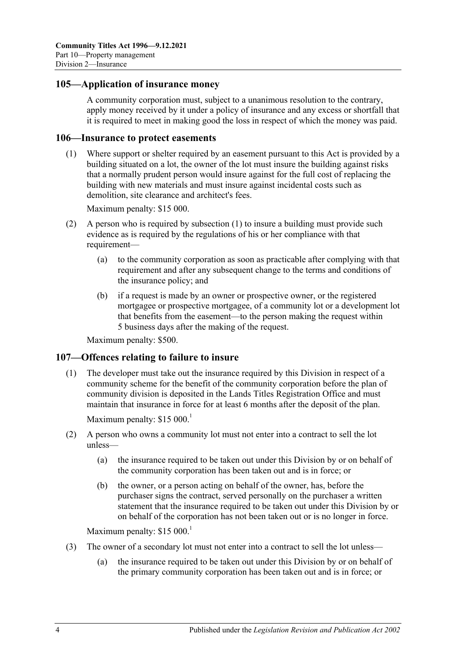### **105—Application of insurance money**

A community corporation must, subject to a unanimous resolution to the contrary, apply money received by it under a policy of insurance and any excess or shortfall that it is required to meet in making good the loss in respect of which the money was paid.

#### <span id="page-93-0"></span>**106—Insurance to protect easements**

(1) Where support or shelter required by an easement pursuant to this Act is provided by a building situated on a lot, the owner of the lot must insure the building against risks that a normally prudent person would insure against for the full cost of replacing the building with new materials and must insure against incidental costs such as demolition, site clearance and architect's fees.

Maximum penalty: \$15 000.

- (2) A person who is required by [subsection](#page-93-0) (1) to insure a building must provide such evidence as is required by the regulations of his or her compliance with that requirement—
	- (a) to the community corporation as soon as practicable after complying with that requirement and after any subsequent change to the terms and conditions of the insurance policy; and
	- (b) if a request is made by an owner or prospective owner, or the registered mortgagee or prospective mortgagee, of a community lot or a development lot that benefits from the easement—to the person making the request within 5 business days after the making of the request.

Maximum penalty: \$500.

#### **107—Offences relating to failure to insure**

(1) The developer must take out the insurance required by this Division in respect of a community scheme for the benefit of the community corporation before the plan of community division is deposited in the Lands Titles Registration Office and must maintain that insurance in force for at least 6 months after the deposit of the plan.

Maximum penalty:  $$15\,000$ <sup>1</sup>

- (2) A person who owns a community lot must not enter into a contract to sell the lot unless—
	- (a) the insurance required to be taken out under this Division by or on behalf of the community corporation has been taken out and is in force; or
	- (b) the owner, or a person acting on behalf of the owner, has, before the purchaser signs the contract, served personally on the purchaser a written statement that the insurance required to be taken out under this Division by or on behalf of the corporation has not been taken out or is no longer in force.

Maximum penalty:  $$15,000$ <sup>1</sup>

- (3) The owner of a secondary lot must not enter into a contract to sell the lot unless—
	- (a) the insurance required to be taken out under this Division by or on behalf of the primary community corporation has been taken out and is in force; or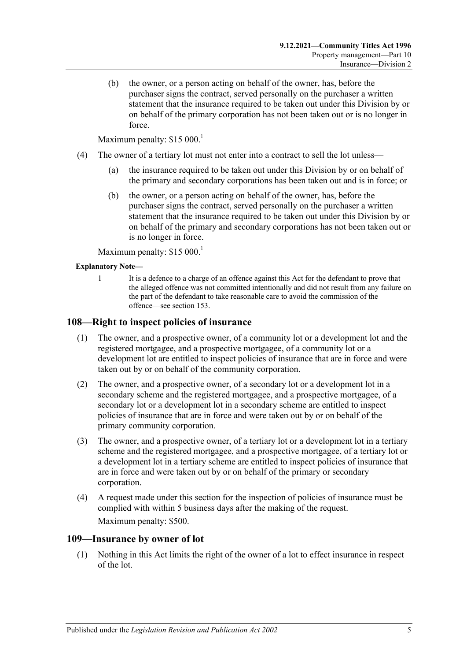(b) the owner, or a person acting on behalf of the owner, has, before the purchaser signs the contract, served personally on the purchaser a written statement that the insurance required to be taken out under this Division by or on behalf of the primary corporation has not been taken out or is no longer in force.

Maximum penalty:  $$15\,000$ <sup>1</sup>

- (4) The owner of a tertiary lot must not enter into a contract to sell the lot unless—
	- (a) the insurance required to be taken out under this Division by or on behalf of the primary and secondary corporations has been taken out and is in force; or
	- (b) the owner, or a person acting on behalf of the owner, has, before the purchaser signs the contract, served personally on the purchaser a written statement that the insurance required to be taken out under this Division by or on behalf of the primary and secondary corporations has not been taken out or is no longer in force.

Maximum penalty:  $$15\,000$ <sup>1</sup>

#### **Explanatory Note—**

1 It is a defence to a charge of an offence against this Act for the defendant to prove that the alleged offence was not committed intentionally and did not result from any failure on the part of the defendant to take reasonable care to avoid the commission of the offence—se[e section](#page-121-0) 153.

### **108—Right to inspect policies of insurance**

- (1) The owner, and a prospective owner, of a community lot or a development lot and the registered mortgagee, and a prospective mortgagee, of a community lot or a development lot are entitled to inspect policies of insurance that are in force and were taken out by or on behalf of the community corporation.
- (2) The owner, and a prospective owner, of a secondary lot or a development lot in a secondary scheme and the registered mortgagee, and a prospective mortgagee, of a secondary lot or a development lot in a secondary scheme are entitled to inspect policies of insurance that are in force and were taken out by or on behalf of the primary community corporation.
- (3) The owner, and a prospective owner, of a tertiary lot or a development lot in a tertiary scheme and the registered mortgagee, and a prospective mortgagee, of a tertiary lot or a development lot in a tertiary scheme are entitled to inspect policies of insurance that are in force and were taken out by or on behalf of the primary or secondary corporation.
- (4) A request made under this section for the inspection of policies of insurance must be complied with within 5 business days after the making of the request. Maximum penalty: \$500.

#### **109—Insurance by owner of lot**

(1) Nothing in this Act limits the right of the owner of a lot to effect insurance in respect of the lot.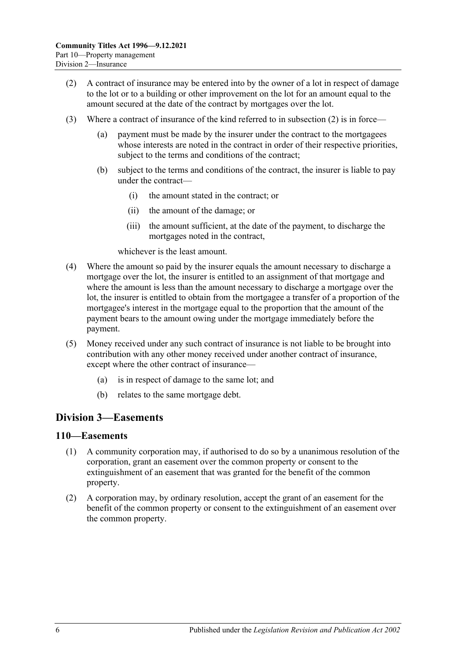- <span id="page-95-0"></span>(2) A contract of insurance may be entered into by the owner of a lot in respect of damage to the lot or to a building or other improvement on the lot for an amount equal to the amount secured at the date of the contract by mortgages over the lot.
- (3) Where a contract of insurance of the kind referred to in [subsection](#page-95-0) (2) is in force
	- payment must be made by the insurer under the contract to the mortgagees whose interests are noted in the contract in order of their respective priorities, subject to the terms and conditions of the contract;
	- (b) subject to the terms and conditions of the contract, the insurer is liable to pay under the contract—
		- (i) the amount stated in the contract; or
		- (ii) the amount of the damage; or
		- (iii) the amount sufficient, at the date of the payment, to discharge the mortgages noted in the contract,

whichever is the least amount.

- (4) Where the amount so paid by the insurer equals the amount necessary to discharge a mortgage over the lot, the insurer is entitled to an assignment of that mortgage and where the amount is less than the amount necessary to discharge a mortgage over the lot, the insurer is entitled to obtain from the mortgagee a transfer of a proportion of the mortgagee's interest in the mortgage equal to the proportion that the amount of the payment bears to the amount owing under the mortgage immediately before the payment.
- (5) Money received under any such contract of insurance is not liable to be brought into contribution with any other money received under another contract of insurance, except where the other contract of insurance—
	- (a) is in respect of damage to the same lot; and
	- (b) relates to the same mortgage debt.

# **Division 3—Easements**

### **110—Easements**

- (1) A community corporation may, if authorised to do so by a unanimous resolution of the corporation, grant an easement over the common property or consent to the extinguishment of an easement that was granted for the benefit of the common property.
- (2) A corporation may, by ordinary resolution, accept the grant of an easement for the benefit of the common property or consent to the extinguishment of an easement over the common property.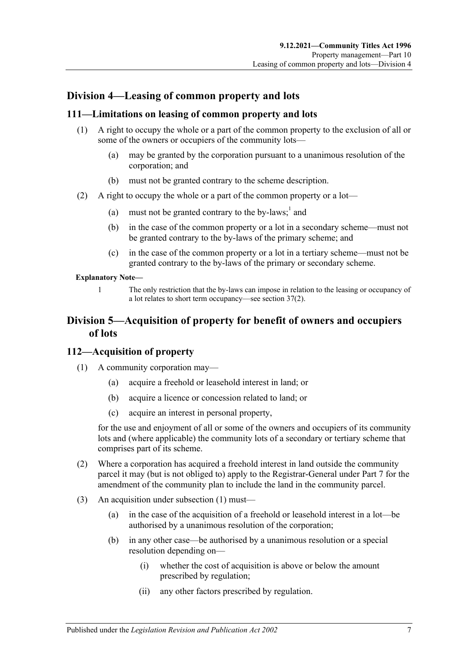# **Division 4—Leasing of common property and lots**

# **111—Limitations on leasing of common property and lots**

- (1) A right to occupy the whole or a part of the common property to the exclusion of all or some of the owners or occupiers of the community lots—
	- (a) may be granted by the corporation pursuant to a unanimous resolution of the corporation; and
	- (b) must not be granted contrary to the scheme description.
- (2) A right to occupy the whole or a part of the common property or a lot—
	- (a) must not be granted contrary to the by-laws;<sup>1</sup> and
	- (b) in the case of the common property or a lot in a secondary scheme—must not be granted contrary to the by-laws of the primary scheme; and
	- (c) in the case of the common property or a lot in a tertiary scheme—must not be granted contrary to the by-laws of the primary or secondary scheme.

#### **Explanatory Note—**

1 The only restriction that the by-laws can impose in relation to the leasing or occupancy of a lot relates to short term occupancy—se[e section](#page-39-0) 37(2).

# **Division 5—Acquisition of property for benefit of owners and occupiers of lots**

# <span id="page-96-0"></span>**112—Acquisition of property**

- (1) A community corporation may—
	- (a) acquire a freehold or leasehold interest in land; or
	- (b) acquire a licence or concession related to land; or
	- (c) acquire an interest in personal property,

for the use and enjoyment of all or some of the owners and occupiers of its community lots and (where applicable) the community lots of a secondary or tertiary scheme that comprises part of its scheme.

- (2) Where a corporation has acquired a freehold interest in land outside the community parcel it may (but is not obliged to) apply to the Registrar-General under [Part 7](#page-50-0) for the amendment of the community plan to include the land in the community parcel.
- (3) An acquisition under [subsection](#page-96-0) (1) must—
	- (a) in the case of the acquisition of a freehold or leasehold interest in a lot—be authorised by a unanimous resolution of the corporation;
	- (b) in any other case—be authorised by a unanimous resolution or a special resolution depending on—
		- (i) whether the cost of acquisition is above or below the amount prescribed by regulation;
		- (ii) any other factors prescribed by regulation.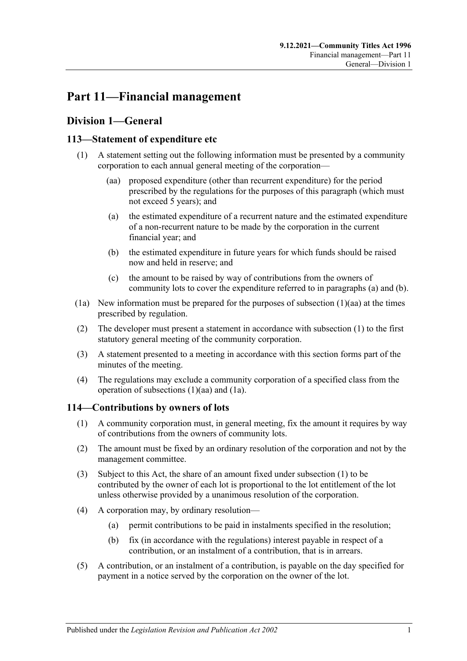# **Part 11—Financial management**

# **Division 1—General**

# <span id="page-98-4"></span><span id="page-98-0"></span>**113—Statement of expenditure etc**

- <span id="page-98-3"></span><span id="page-98-1"></span>(1) A statement setting out the following information must be presented by a community corporation to each annual general meeting of the corporation—
	- (aa) proposed expenditure (other than recurrent expenditure) for the period prescribed by the regulations for the purposes of this paragraph (which must not exceed 5 years); and
	- (a) the estimated expenditure of a recurrent nature and the estimated expenditure of a non-recurrent nature to be made by the corporation in the current financial year; and
	- (b) the estimated expenditure in future years for which funds should be raised now and held in reserve; and
	- (c) the amount to be raised by way of contributions from the owners of community lots to cover the expenditure referred to in [paragraphs](#page-98-1) (a) and [\(b\).](#page-98-2)
- <span id="page-98-5"></span><span id="page-98-2"></span>(1a) New information must be prepared for the purposes of [subsection](#page-98-3)  $(1)(aa)$  at the times prescribed by regulation.
- (2) The developer must present a statement in accordance with [subsection](#page-98-4) (1) to the first statutory general meeting of the community corporation.
- (3) A statement presented to a meeting in accordance with this section forms part of the minutes of the meeting.
- (4) The regulations may exclude a community corporation of a specified class from the operation of [subsections](#page-98-3) (1)(aa) and [\(1a\).](#page-98-5)

# <span id="page-98-6"></span>**114—Contributions by owners of lots**

- (1) A community corporation must, in general meeting, fix the amount it requires by way of contributions from the owners of community lots.
- (2) The amount must be fixed by an ordinary resolution of the corporation and not by the management committee.
- (3) Subject to this Act, the share of an amount fixed under [subsection](#page-98-6) (1) to be contributed by the owner of each lot is proportional to the lot entitlement of the lot unless otherwise provided by a unanimous resolution of the corporation.
- (4) A corporation may, by ordinary resolution—
	- (a) permit contributions to be paid in instalments specified in the resolution;
	- (b) fix (in accordance with the regulations) interest payable in respect of a contribution, or an instalment of a contribution, that is in arrears.
- (5) A contribution, or an instalment of a contribution, is payable on the day specified for payment in a notice served by the corporation on the owner of the lot.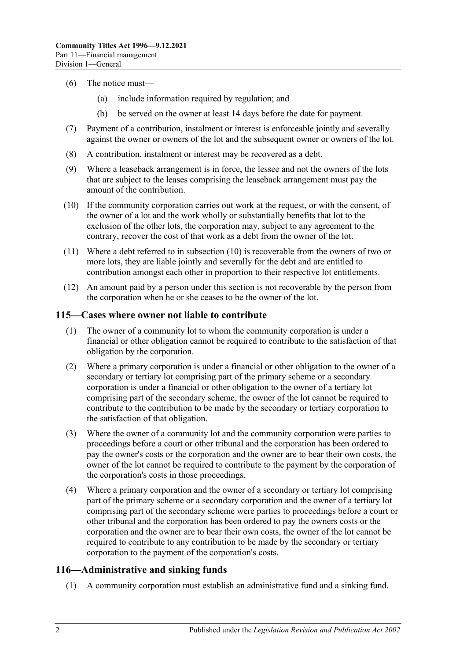- (6) The notice must—
	- (a) include information required by regulation; and
	- (b) be served on the owner at least 14 days before the date for payment.
- (7) Payment of a contribution, instalment or interest is enforceable jointly and severally against the owner or owners of the lot and the subsequent owner or owners of the lot.
- (8) A contribution, instalment or interest may be recovered as a debt.
- (9) Where a leaseback arrangement is in force, the lessee and not the owners of the lots that are subject to the leases comprising the leaseback arrangement must pay the amount of the contribution.
- <span id="page-99-0"></span>(10) If the community corporation carries out work at the request, or with the consent, of the owner of a lot and the work wholly or substantially benefits that lot to the exclusion of the other lots, the corporation may, subject to any agreement to the contrary, recover the cost of that work as a debt from the owner of the lot.
- (11) Where a debt referred to in [subsection](#page-99-0) (10) is recoverable from the owners of two or more lots, they are liable jointly and severally for the debt and are entitled to contribution amongst each other in proportion to their respective lot entitlements.
- (12) An amount paid by a person under this section is not recoverable by the person from the corporation when he or she ceases to be the owner of the lot.

### <span id="page-99-1"></span>**115—Cases where owner not liable to contribute**

- (1) The owner of a community lot to whom the community corporation is under a financial or other obligation cannot be required to contribute to the satisfaction of that obligation by the corporation.
- (2) Where a primary corporation is under a financial or other obligation to the owner of a secondary or tertiary lot comprising part of the primary scheme or a secondary corporation is under a financial or other obligation to the owner of a tertiary lot comprising part of the secondary scheme, the owner of the lot cannot be required to contribute to the contribution to be made by the secondary or tertiary corporation to the satisfaction of that obligation.
- <span id="page-99-2"></span>(3) Where the owner of a community lot and the community corporation were parties to proceedings before a court or other tribunal and the corporation has been ordered to pay the owner's costs or the corporation and the owner are to bear their own costs, the owner of the lot cannot be required to contribute to the payment by the corporation of the corporation's costs in those proceedings.
- (4) Where a primary corporation and the owner of a secondary or tertiary lot comprising part of the primary scheme or a secondary corporation and the owner of a tertiary lot comprising part of the secondary scheme were parties to proceedings before a court or other tribunal and the corporation has been ordered to pay the owners costs or the corporation and the owner are to bear their own costs, the owner of the lot cannot be required to contribute to any contribution to be made by the secondary or tertiary corporation to the payment of the corporation's costs.

# **116—Administrative and sinking funds**

(1) A community corporation must establish an administrative fund and a sinking fund.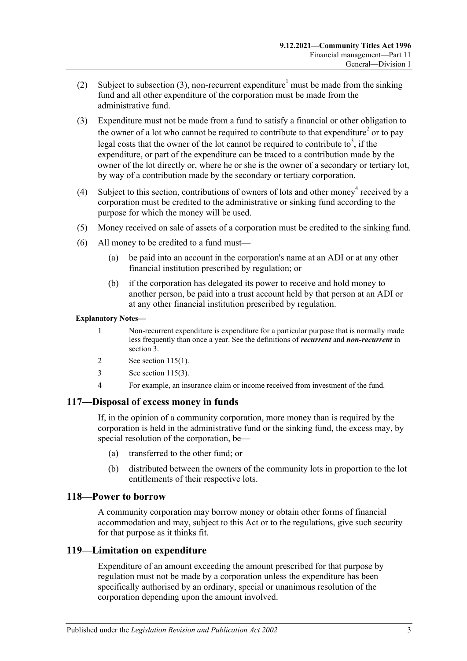- (2) Subject to [subsection](#page-100-0) (3), non-recurrent expenditure<sup>1</sup> must be made from the sinking fund and all other expenditure of the corporation must be made from the administrative fund.
- <span id="page-100-0"></span>(3) Expenditure must not be made from a fund to satisfy a financial or other obligation to the owner of a lot who cannot be required to contribute to that expenditure<sup>2</sup> or to pay legal costs that the owner of the lot cannot be required to contribute to<sup>3</sup>, if the expenditure, or part of the expenditure can be traced to a contribution made by the owner of the lot directly or, where he or she is the owner of a secondary or tertiary lot, by way of a contribution made by the secondary or tertiary corporation.
- (4) Subject to this section, contributions of owners of lots and other money<sup>4</sup> received by a corporation must be credited to the administrative or sinking fund according to the purpose for which the money will be used.
- (5) Money received on sale of assets of a corporation must be credited to the sinking fund.
- (6) All money to be credited to a fund must—
	- (a) be paid into an account in the corporation's name at an ADI or at any other financial institution prescribed by regulation; or
	- (b) if the corporation has delegated its power to receive and hold money to another person, be paid into a trust account held by that person at an ADI or at any other financial institution prescribed by regulation.

**Explanatory Notes—**

- 1 Non-recurrent expenditure is expenditure for a particular purpose that is normally made less frequently than once a year. See the definitions of *recurrent* and *non-recurrent* in [section](#page-6-0) 3.
- 2 See [section](#page-99-1) 115(1).
- 3 See [section](#page-99-2) 115(3).
- 4 For example, an insurance claim or income received from investment of the fund.

# **117—Disposal of excess money in funds**

If, in the opinion of a community corporation, more money than is required by the corporation is held in the administrative fund or the sinking fund, the excess may, by special resolution of the corporation, be—

- (a) transferred to the other fund; or
- (b) distributed between the owners of the community lots in proportion to the lot entitlements of their respective lots.

# **118—Power to borrow**

A community corporation may borrow money or obtain other forms of financial accommodation and may, subject to this Act or to the regulations, give such security for that purpose as it thinks fit.

# **119—Limitation on expenditure**

Expenditure of an amount exceeding the amount prescribed for that purpose by regulation must not be made by a corporation unless the expenditure has been specifically authorised by an ordinary, special or unanimous resolution of the corporation depending upon the amount involved.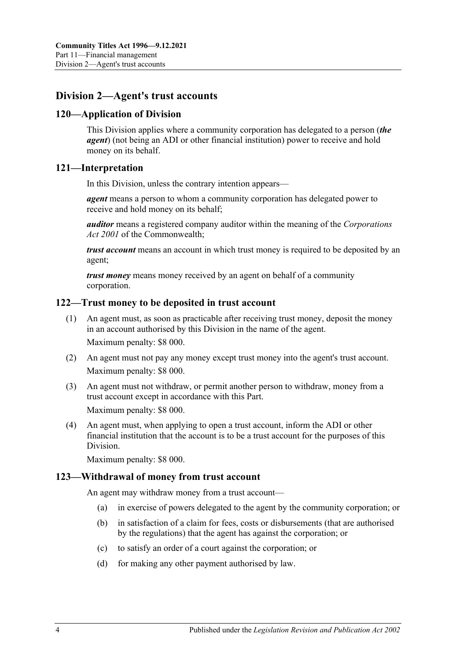# **Division 2—Agent's trust accounts**

# **120—Application of Division**

This Division applies where a community corporation has delegated to a person (*the agent*) (not being an ADI or other financial institution) power to receive and hold money on its behalf.

# **121—Interpretation**

In this Division, unless the contrary intention appears—

*agent* means a person to whom a community corporation has delegated power to receive and hold money on its behalf;

*auditor* means a registered company auditor within the meaning of the *Corporations Act 2001* of the Commonwealth;

*trust account* means an account in which trust money is required to be deposited by an agent;

*trust money* means money received by an agent on behalf of a community corporation.

# **122—Trust money to be deposited in trust account**

- (1) An agent must, as soon as practicable after receiving trust money, deposit the money in an account authorised by this Division in the name of the agent. Maximum penalty: \$8 000.
- (2) An agent must not pay any money except trust money into the agent's trust account. Maximum penalty: \$8 000.
- (3) An agent must not withdraw, or permit another person to withdraw, money from a trust account except in accordance with this Part. Maximum penalty: \$8 000.

(4) An agent must, when applying to open a trust account, inform the ADI or other financial institution that the account is to be a trust account for the purposes of this Division.

Maximum penalty: \$8 000.

# **123—Withdrawal of money from trust account**

An agent may withdraw money from a trust account—

- (a) in exercise of powers delegated to the agent by the community corporation; or
- (b) in satisfaction of a claim for fees, costs or disbursements (that are authorised by the regulations) that the agent has against the corporation; or
- (c) to satisfy an order of a court against the corporation; or
- (d) for making any other payment authorised by law.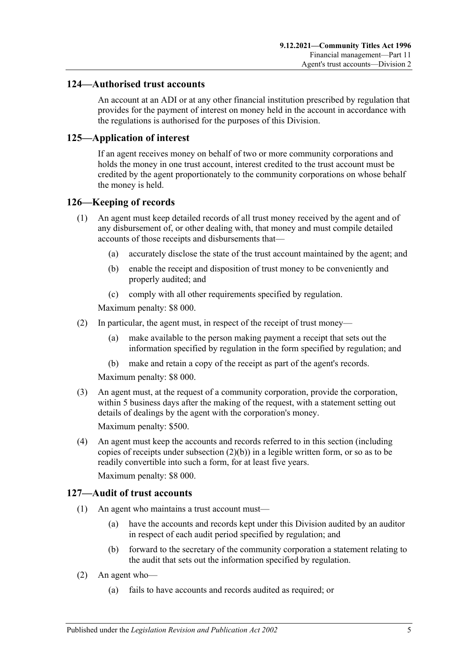# **124—Authorised trust accounts**

An account at an ADI or at any other financial institution prescribed by regulation that provides for the payment of interest on money held in the account in accordance with the regulations is authorised for the purposes of this Division.

# **125—Application of interest**

If an agent receives money on behalf of two or more community corporations and holds the money in one trust account, interest credited to the trust account must be credited by the agent proportionately to the community corporations on whose behalf the money is held.

# **126—Keeping of records**

- (1) An agent must keep detailed records of all trust money received by the agent and of any disbursement of, or other dealing with, that money and must compile detailed accounts of those receipts and disbursements that—
	- (a) accurately disclose the state of the trust account maintained by the agent; and
	- (b) enable the receipt and disposition of trust money to be conveniently and properly audited; and
	- (c) comply with all other requirements specified by regulation.

Maximum penalty: \$8 000.

- (2) In particular, the agent must, in respect of the receipt of trust money—
	- (a) make available to the person making payment a receipt that sets out the information specified by regulation in the form specified by regulation; and
	- (b) make and retain a copy of the receipt as part of the agent's records.

Maximum penalty: \$8 000.

<span id="page-102-0"></span>(3) An agent must, at the request of a community corporation, provide the corporation, within 5 business days after the making of the request, with a statement setting out details of dealings by the agent with the corporation's money.

Maximum penalty: \$500.

(4) An agent must keep the accounts and records referred to in this section (including copies of receipts under [subsection](#page-102-0)  $(2)(b)$ ) in a legible written form, or so as to be readily convertible into such a form, for at least five years.

# Maximum penalty: \$8 000.

# **127—Audit of trust accounts**

- (1) An agent who maintains a trust account must—
	- (a) have the accounts and records kept under this Division audited by an auditor in respect of each audit period specified by regulation; and
	- (b) forward to the secretary of the community corporation a statement relating to the audit that sets out the information specified by regulation.
- (2) An agent who—
	- (a) fails to have accounts and records audited as required; or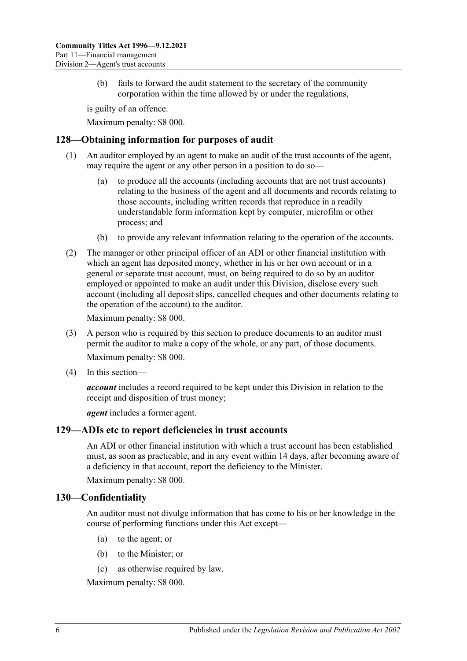(b) fails to forward the audit statement to the secretary of the community corporation within the time allowed by or under the regulations,

is guilty of an offence.

Maximum penalty: \$8 000.

### **128—Obtaining information for purposes of audit**

- (1) An auditor employed by an agent to make an audit of the trust accounts of the agent, may require the agent or any other person in a position to do so
	- to produce all the accounts (including accounts that are not trust accounts) relating to the business of the agent and all documents and records relating to those accounts, including written records that reproduce in a readily understandable form information kept by computer, microfilm or other process; and
	- (b) to provide any relevant information relating to the operation of the accounts.
- (2) The manager or other principal officer of an ADI or other financial institution with which an agent has deposited money, whether in his or her own account or in a general or separate trust account, must, on being required to do so by an auditor employed or appointed to make an audit under this Division, disclose every such account (including all deposit slips, cancelled cheques and other documents relating to the operation of the account) to the auditor.

Maximum penalty: \$8 000.

- (3) A person who is required by this section to produce documents to an auditor must permit the auditor to make a copy of the whole, or any part, of those documents. Maximum penalty: \$8 000.
- (4) In this section—

*account* includes a record required to be kept under this Division in relation to the receipt and disposition of trust money;

*agent* includes a former agent.

#### **129—ADIs etc to report deficiencies in trust accounts**

An ADI or other financial institution with which a trust account has been established must, as soon as practicable, and in any event within 14 days, after becoming aware of a deficiency in that account, report the deficiency to the Minister.

Maximum penalty: \$8 000.

#### **130—Confidentiality**

An auditor must not divulge information that has come to his or her knowledge in the course of performing functions under this Act except—

- (a) to the agent; or
- (b) to the Minister; or
- (c) as otherwise required by law.

Maximum penalty: \$8 000.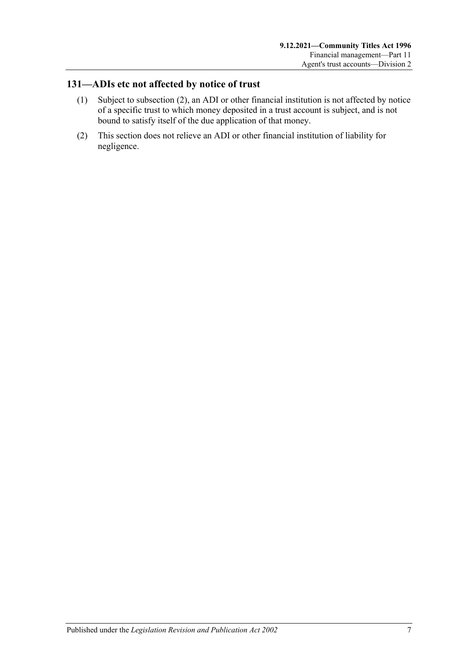# **131—ADIs etc not affected by notice of trust**

- (1) Subject to [subsection](#page-104-0) (2), an ADI or other financial institution is not affected by notice of a specific trust to which money deposited in a trust account is subject, and is not bound to satisfy itself of the due application of that money.
- <span id="page-104-0"></span>(2) This section does not relieve an ADI or other financial institution of liability for negligence.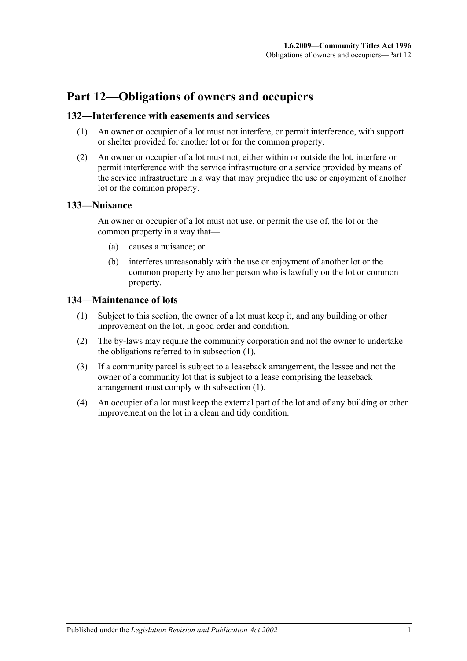# **Part 12—Obligations of owners and occupiers**

# **132—Interference with easements and services**

- (1) An owner or occupier of a lot must not interfere, or permit interference, with support or shelter provided for another lot or for the common property.
- (2) An owner or occupier of a lot must not, either within or outside the lot, interfere or permit interference with the service infrastructure or a service provided by means of the service infrastructure in a way that may prejudice the use or enjoyment of another lot or the common property.

# **133—Nuisance**

An owner or occupier of a lot must not use, or permit the use of, the lot or the common property in a way that—

- (a) causes a nuisance; or
- (b) interferes unreasonably with the use or enjoyment of another lot or the common property by another person who is lawfully on the lot or common property.

# <span id="page-106-0"></span>**134—Maintenance of lots**

- (1) Subject to this section, the owner of a lot must keep it, and any building or other improvement on the lot, in good order and condition.
- (2) The by-laws may require the community corporation and not the owner to undertake the obligations referred to in [subsection](#page-106-0) (1).
- (3) If a community parcel is subject to a leaseback arrangement, the lessee and not the owner of a community lot that is subject to a lease comprising the leaseback arrangement must comply with [subsection](#page-106-0) (1).
- (4) An occupier of a lot must keep the external part of the lot and of any building or other improvement on the lot in a clean and tidy condition.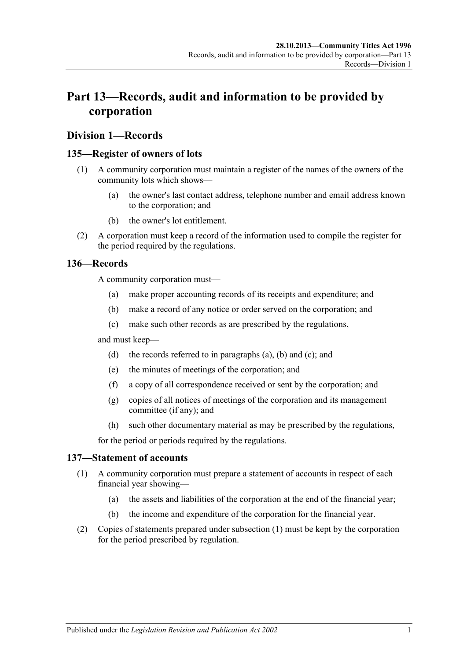# **Part 13—Records, audit and information to be provided by corporation**

### **Division 1—Records**

#### <span id="page-108-4"></span>**135—Register of owners of lots**

- (1) A community corporation must maintain a register of the names of the owners of the community lots which shows—
	- (a) the owner's last contact address, telephone number and email address known to the corporation; and
	- (b) the owner's lot entitlement.
- (2) A corporation must keep a record of the information used to compile the register for the period required by the regulations.

#### <span id="page-108-1"></span><span id="page-108-0"></span>**136—Records**

A community corporation must—

- (a) make proper accounting records of its receipts and expenditure; and
- (b) make a record of any notice or order served on the corporation; and
- (c) make such other records as are prescribed by the regulations,

<span id="page-108-2"></span>and must keep—

- (d) the records referred to in [paragraphs](#page-108-0) (a), [\(b\)](#page-108-1) and [\(c\);](#page-108-2) and
- (e) the minutes of meetings of the corporation; and
- (f) a copy of all correspondence received or sent by the corporation; and
- (g) copies of all notices of meetings of the corporation and its management committee (if any); and
- (h) such other documentary material as may be prescribed by the regulations,

for the period or periods required by the regulations.

#### <span id="page-108-3"></span>**137—Statement of accounts**

- (1) A community corporation must prepare a statement of accounts in respect of each financial year showing—
	- (a) the assets and liabilities of the corporation at the end of the financial year;
	- (b) the income and expenditure of the corporation for the financial year.
- (2) Copies of statements prepared under [subsection](#page-108-3) (1) must be kept by the corporation for the period prescribed by regulation.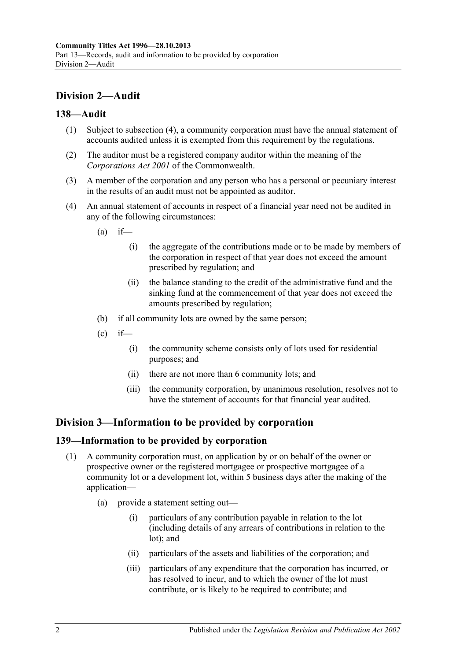## **Division 2—Audit**

### **138—Audit**

- (1) Subject to [subsection](#page-109-0) (4), a community corporation must have the annual statement of accounts audited unless it is exempted from this requirement by the regulations.
- (2) The auditor must be a registered company auditor within the meaning of the *Corporations Act 2001* of the Commonwealth.
- (3) A member of the corporation and any person who has a personal or pecuniary interest in the results of an audit must not be appointed as auditor.
- <span id="page-109-0"></span>(4) An annual statement of accounts in respect of a financial year need not be audited in any of the following circumstances:
	- $(a)$  if—
		- (i) the aggregate of the contributions made or to be made by members of the corporation in respect of that year does not exceed the amount prescribed by regulation; and
		- (ii) the balance standing to the credit of the administrative fund and the sinking fund at the commencement of that year does not exceed the amounts prescribed by regulation;
	- (b) if all community lots are owned by the same person;
	- $\text{(c)}$  if—
		- (i) the community scheme consists only of lots used for residential purposes; and
		- (ii) there are not more than 6 community lots; and
		- (iii) the community corporation, by unanimous resolution, resolves not to have the statement of accounts for that financial year audited.

## **Division 3—Information to be provided by corporation**

#### <span id="page-109-2"></span>**139—Information to be provided by corporation**

- <span id="page-109-1"></span>(1) A community corporation must, on application by or on behalf of the owner or prospective owner or the registered mortgagee or prospective mortgagee of a community lot or a development lot, within 5 business days after the making of the application—
	- (a) provide a statement setting out—
		- (i) particulars of any contribution payable in relation to the lot (including details of any arrears of contributions in relation to the lot); and
		- (ii) particulars of the assets and liabilities of the corporation; and
		- (iii) particulars of any expenditure that the corporation has incurred, or has resolved to incur, and to which the owner of the lot must contribute, or is likely to be required to contribute; and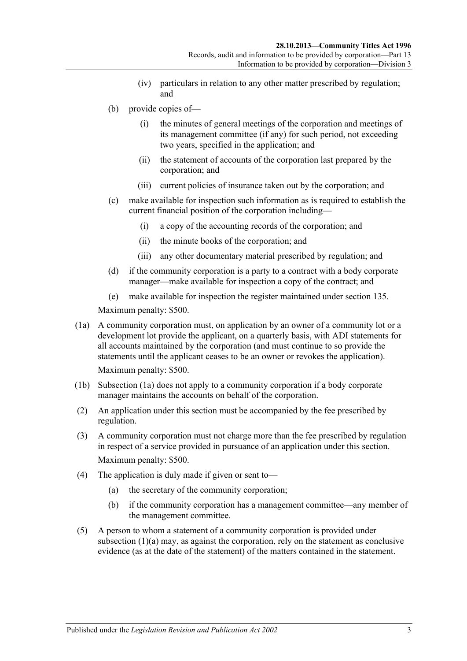- (iv) particulars in relation to any other matter prescribed by regulation; and
- (b) provide copies of—
	- (i) the minutes of general meetings of the corporation and meetings of its management committee (if any) for such period, not exceeding two years, specified in the application; and
	- (ii) the statement of accounts of the corporation last prepared by the corporation; and
	- (iii) current policies of insurance taken out by the corporation; and
- (c) make available for inspection such information as is required to establish the current financial position of the corporation including—
	- (i) a copy of the accounting records of the corporation; and
	- (ii) the minute books of the corporation; and
	- (iii) any other documentary material prescribed by regulation; and
- (d) if the community corporation is a party to a contract with a body corporate manager—make available for inspection a copy of the contract; and
- (e) make available for inspection the register maintained under [section](#page-108-4) 135.

Maximum penalty: \$500.

<span id="page-110-0"></span>(1a) A community corporation must, on application by an owner of a community lot or a development lot provide the applicant, on a quarterly basis, with ADI statements for all accounts maintained by the corporation (and must continue to so provide the statements until the applicant ceases to be an owner or revokes the application).

Maximum penalty: \$500.

- (1b) [Subsection](#page-110-0) (1a) does not apply to a community corporation if a body corporate manager maintains the accounts on behalf of the corporation.
- (2) An application under this section must be accompanied by the fee prescribed by regulation.
- (3) A community corporation must not charge more than the fee prescribed by regulation in respect of a service provided in pursuance of an application under this section. Maximum penalty: \$500.
- (4) The application is duly made if given or sent to—
	- (a) the secretary of the community corporation;
	- (b) if the community corporation has a management committee—any member of the management committee.
- (5) A person to whom a statement of a community corporation is provided under [subsection](#page-109-1) (1)(a) may, as against the corporation, rely on the statement as conclusive evidence (as at the date of the statement) of the matters contained in the statement.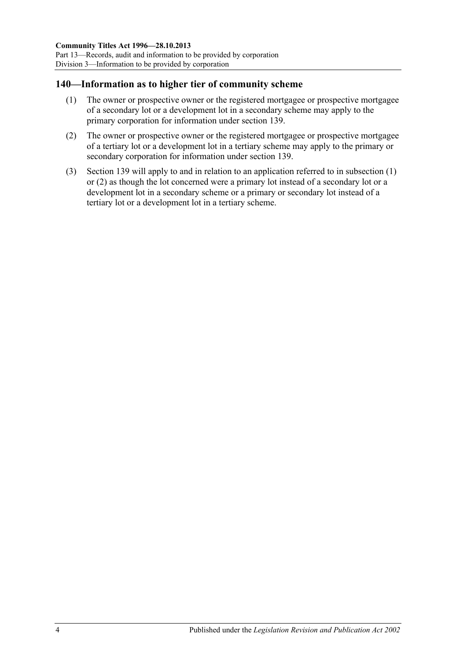### <span id="page-111-0"></span>**140—Information as to higher tier of community scheme**

- (1) The owner or prospective owner or the registered mortgagee or prospective mortgagee of a secondary lot or a development lot in a secondary scheme may apply to the primary corporation for information under [section](#page-109-2) 139.
- <span id="page-111-1"></span>(2) The owner or prospective owner or the registered mortgagee or prospective mortgagee of a tertiary lot or a development lot in a tertiary scheme may apply to the primary or secondary corporation for information under [section](#page-109-2) 139.
- (3) [Section](#page-109-2) 139 will apply to and in relation to an application referred to in [subsection](#page-111-0) (1) or [\(2\)](#page-111-1) as though the lot concerned were a primary lot instead of a secondary lot or a development lot in a secondary scheme or a primary or secondary lot instead of a tertiary lot or a development lot in a tertiary scheme.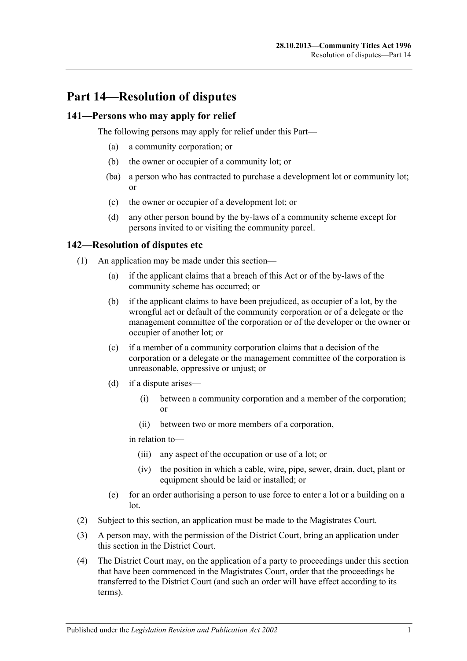## **Part 14—Resolution of disputes**

#### **141—Persons who may apply for relief**

The following persons may apply for relief under this Part—

- (a) a community corporation; or
- (b) the owner or occupier of a community lot; or
- (ba) a person who has contracted to purchase a development lot or community lot; or
- (c) the owner or occupier of a development lot; or
- (d) any other person bound by the by-laws of a community scheme except for persons invited to or visiting the community parcel.

#### <span id="page-112-2"></span>**142—Resolution of disputes etc**

- (1) An application may be made under this section—
	- (a) if the applicant claims that a breach of this Act or of the by-laws of the community scheme has occurred; or
	- (b) if the applicant claims to have been prejudiced, as occupier of a lot, by the wrongful act or default of the community corporation or of a delegate or the management committee of the corporation or of the developer or the owner or occupier of another lot; or
	- (c) if a member of a community corporation claims that a decision of the corporation or a delegate or the management committee of the corporation is unreasonable, oppressive or unjust; or
	- (d) if a dispute arises—
		- (i) between a community corporation and a member of the corporation; or
		- (ii) between two or more members of a corporation,

in relation to—

- (iii) any aspect of the occupation or use of a lot; or
- (iv) the position in which a cable, wire, pipe, sewer, drain, duct, plant or equipment should be laid or installed; or
- (e) for an order authorising a person to use force to enter a lot or a building on a lot.
- (2) Subject to this section, an application must be made to the Magistrates Court.
- <span id="page-112-0"></span>(3) A person may, with the permission of the District Court, bring an application under this section in the District Court.
- <span id="page-112-1"></span>(4) The District Court may, on the application of a party to proceedings under this section that have been commenced in the Magistrates Court, order that the proceedings be transferred to the District Court (and such an order will have effect according to its terms).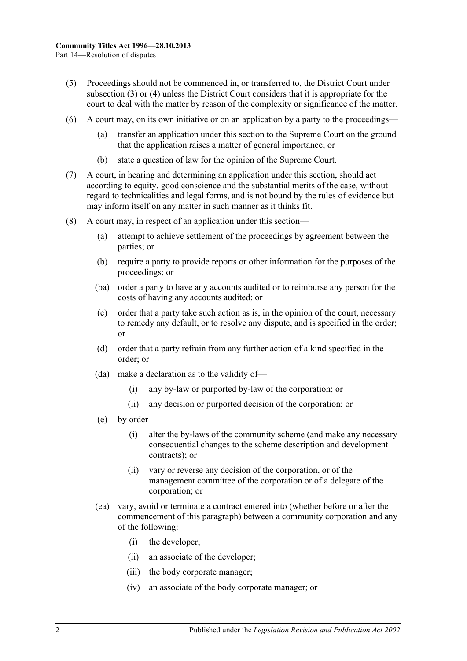- (5) Proceedings should not be commenced in, or transferred to, the District Court under [subsection](#page-112-0) (3) or [\(4\)](#page-112-1) unless the District Court considers that it is appropriate for the court to deal with the matter by reason of the complexity or significance of the matter.
- (6) A court may, on its own initiative or on an application by a party to the proceedings
	- transfer an application under this section to the Supreme Court on the ground that the application raises a matter of general importance; or
	- (b) state a question of law for the opinion of the Supreme Court.
- (7) A court, in hearing and determining an application under this section, should act according to equity, good conscience and the substantial merits of the case, without regard to technicalities and legal forms, and is not bound by the rules of evidence but may inform itself on any matter in such manner as it thinks fit.
- (8) A court may, in respect of an application under this section—
	- (a) attempt to achieve settlement of the proceedings by agreement between the parties; or
	- (b) require a party to provide reports or other information for the purposes of the proceedings; or
	- (ba) order a party to have any accounts audited or to reimburse any person for the costs of having any accounts audited; or
	- (c) order that a party take such action as is, in the opinion of the court, necessary to remedy any default, or to resolve any dispute, and is specified in the order; or
	- (d) order that a party refrain from any further action of a kind specified in the order; or
	- (da) make a declaration as to the validity of—
		- (i) any by-law or purported by-law of the corporation; or
		- (ii) any decision or purported decision of the corporation; or
	- (e) by order—
		- (i) alter the by-laws of the community scheme (and make any necessary consequential changes to the scheme description and development contracts); or
		- (ii) vary or reverse any decision of the corporation, or of the management committee of the corporation or of a delegate of the corporation; or
	- (ea) vary, avoid or terminate a contract entered into (whether before or after the commencement of this paragraph) between a community corporation and any of the following:
		- (i) the developer;
		- (ii) an associate of the developer;
		- (iii) the body corporate manager;
		- (iv) an associate of the body corporate manager; or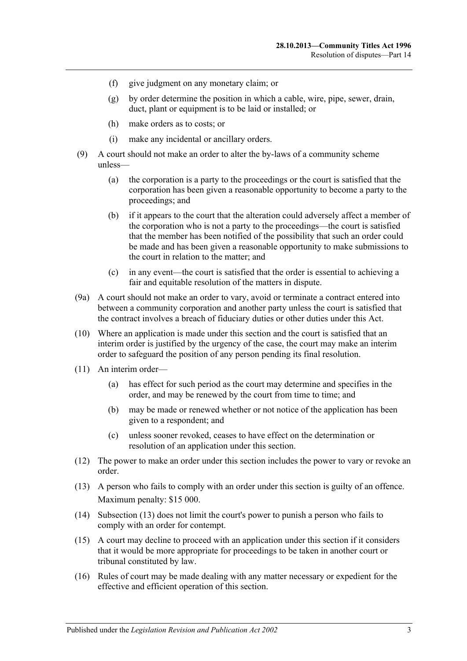- (f) give judgment on any monetary claim; or
- (g) by order determine the position in which a cable, wire, pipe, sewer, drain, duct, plant or equipment is to be laid or installed; or
- (h) make orders as to costs; or
- (i) make any incidental or ancillary orders.
- (9) A court should not make an order to alter the by-laws of a community scheme unless—
	- (a) the corporation is a party to the proceedings or the court is satisfied that the corporation has been given a reasonable opportunity to become a party to the proceedings; and
	- (b) if it appears to the court that the alteration could adversely affect a member of the corporation who is not a party to the proceedings—the court is satisfied that the member has been notified of the possibility that such an order could be made and has been given a reasonable opportunity to make submissions to the court in relation to the matter; and
	- (c) in any event—the court is satisfied that the order is essential to achieving a fair and equitable resolution of the matters in dispute.
- (9a) A court should not make an order to vary, avoid or terminate a contract entered into between a community corporation and another party unless the court is satisfied that the contract involves a breach of fiduciary duties or other duties under this Act.
- (10) Where an application is made under this section and the court is satisfied that an interim order is justified by the urgency of the case, the court may make an interim order to safeguard the position of any person pending its final resolution.
- (11) An interim order—
	- (a) has effect for such period as the court may determine and specifies in the order, and may be renewed by the court from time to time; and
	- (b) may be made or renewed whether or not notice of the application has been given to a respondent; and
	- (c) unless sooner revoked, ceases to have effect on the determination or resolution of an application under this section.
- (12) The power to make an order under this section includes the power to vary or revoke an order.
- <span id="page-114-0"></span>(13) A person who fails to comply with an order under this section is guilty of an offence. Maximum penalty: \$15 000.
- (14) [Subsection](#page-114-0) (13) does not limit the court's power to punish a person who fails to comply with an order for contempt.
- (15) A court may decline to proceed with an application under this section if it considers that it would be more appropriate for proceedings to be taken in another court or tribunal constituted by law.
- (16) Rules of court may be made dealing with any matter necessary or expedient for the effective and efficient operation of this section.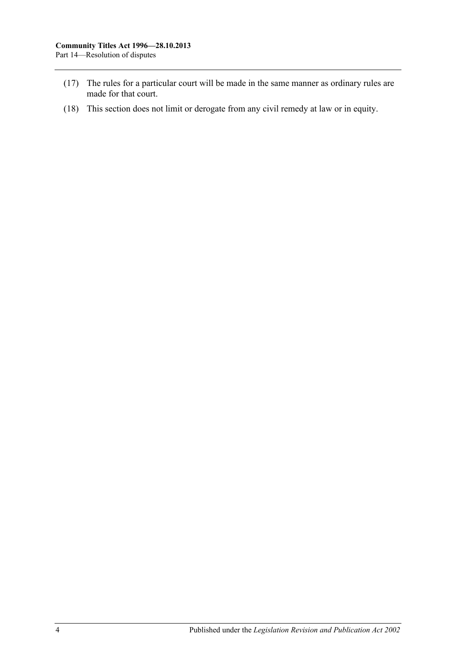- (17) The rules for a particular court will be made in the same manner as ordinary rules are made for that court.
- (18) This section does not limit or derogate from any civil remedy at law or in equity.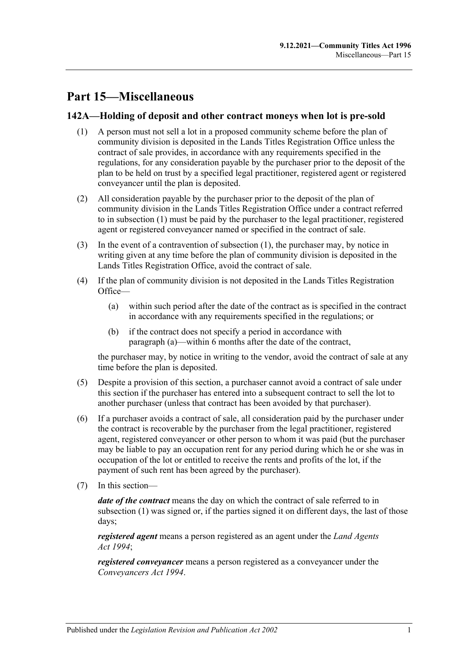# **Part 15—Miscellaneous**

### <span id="page-116-0"></span>**142A—Holding of deposit and other contract moneys when lot is pre-sold**

- (1) A person must not sell a lot in a proposed community scheme before the plan of community division is deposited in the Lands Titles Registration Office unless the contract of sale provides, in accordance with any requirements specified in the regulations, for any consideration payable by the purchaser prior to the deposit of the plan to be held on trust by a specified legal practitioner, registered agent or registered conveyancer until the plan is deposited.
- (2) All consideration payable by the purchaser prior to the deposit of the plan of community division in the Lands Titles Registration Office under a contract referred to in [subsection](#page-116-0) (1) must be paid by the purchaser to the legal practitioner, registered agent or registered conveyancer named or specified in the contract of sale.
- (3) In the event of a contravention of [subsection](#page-116-0) (1), the purchaser may, by notice in writing given at any time before the plan of community division is deposited in the Lands Titles Registration Office, avoid the contract of sale.
- <span id="page-116-1"></span>(4) If the plan of community division is not deposited in the Lands Titles Registration Office—
	- (a) within such period after the date of the contract as is specified in the contract in accordance with any requirements specified in the regulations; or
	- (b) if the contract does not specify a period in accordance with [paragraph](#page-116-1) (a)—within 6 months after the date of the contract,

the purchaser may, by notice in writing to the vendor, avoid the contract of sale at any time before the plan is deposited.

- (5) Despite a provision of this section, a purchaser cannot avoid a contract of sale under this section if the purchaser has entered into a subsequent contract to sell the lot to another purchaser (unless that contract has been avoided by that purchaser).
- (6) If a purchaser avoids a contract of sale, all consideration paid by the purchaser under the contract is recoverable by the purchaser from the legal practitioner, registered agent, registered conveyancer or other person to whom it was paid (but the purchaser may be liable to pay an occupation rent for any period during which he or she was in occupation of the lot or entitled to receive the rents and profits of the lot, if the payment of such rent has been agreed by the purchaser).
- (7) In this section—

*date of the contract* means the day on which the contract of sale referred to in [subsection](#page-116-0) (1) was signed or, if the parties signed it on different days, the last of those days;

*registered agent* means a person registered as an agent under the *[Land Agents](http://www.legislation.sa.gov.au/index.aspx?action=legref&type=act&legtitle=Land%20Agents%20Act%201994)  Act [1994](http://www.legislation.sa.gov.au/index.aspx?action=legref&type=act&legtitle=Land%20Agents%20Act%201994)*;

*registered conveyancer* means a person registered as a conveyancer under the *[Conveyancers Act](http://www.legislation.sa.gov.au/index.aspx?action=legref&type=act&legtitle=Conveyancers%20Act%201994) 1994*.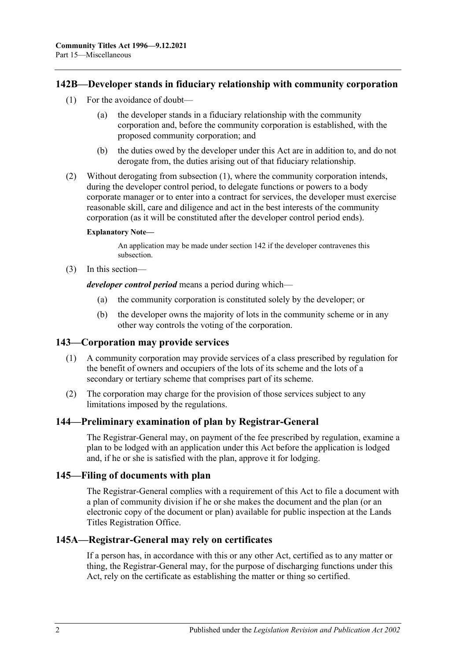#### <span id="page-117-0"></span>**142B—Developer stands in fiduciary relationship with community corporation**

- (1) For the avoidance of doubt
	- the developer stands in a fiduciary relationship with the community corporation and, before the community corporation is established, with the proposed community corporation; and
	- (b) the duties owed by the developer under this Act are in addition to, and do not derogate from, the duties arising out of that fiduciary relationship.
- (2) Without derogating from [subsection](#page-117-0) (1), where the community corporation intends, during the developer control period, to delegate functions or powers to a body corporate manager or to enter into a contract for services, the developer must exercise reasonable skill, care and diligence and act in the best interests of the community corporation (as it will be constituted after the developer control period ends).

#### **Explanatory Note—**

An application may be made under [section](#page-112-2) 142 if the developer contravenes this subsection.

(3) In this section—

*developer control period* means a period during which—

- (a) the community corporation is constituted solely by the developer; or
- (b) the developer owns the majority of lots in the community scheme or in any other way controls the voting of the corporation.

#### **143—Corporation may provide services**

- (1) A community corporation may provide services of a class prescribed by regulation for the benefit of owners and occupiers of the lots of its scheme and the lots of a secondary or tertiary scheme that comprises part of its scheme.
- (2) The corporation may charge for the provision of those services subject to any limitations imposed by the regulations.

#### **144—Preliminary examination of plan by Registrar-General**

The Registrar-General may, on payment of the fee prescribed by regulation, examine a plan to be lodged with an application under this Act before the application is lodged and, if he or she is satisfied with the plan, approve it for lodging.

#### **145—Filing of documents with plan**

The Registrar-General complies with a requirement of this Act to file a document with a plan of community division if he or she makes the document and the plan (or an electronic copy of the document or plan) available for public inspection at the Lands Titles Registration Office.

#### **145A—Registrar-General may rely on certificates**

If a person has, in accordance with this or any other Act, certified as to any matter or thing, the Registrar-General may, for the purpose of discharging functions under this Act, rely on the certificate as establishing the matter or thing so certified.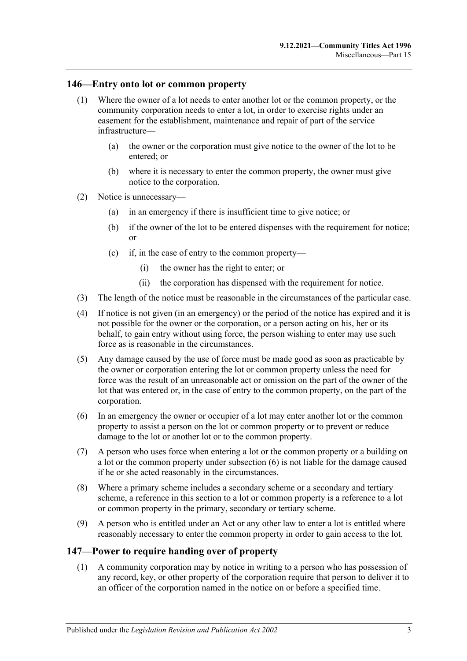#### **146—Entry onto lot or common property**

- (1) Where the owner of a lot needs to enter another lot or the common property, or the community corporation needs to enter a lot, in order to exercise rights under an easement for the establishment, maintenance and repair of part of the service infrastructure—
	- (a) the owner or the corporation must give notice to the owner of the lot to be entered; or
	- (b) where it is necessary to enter the common property, the owner must give notice to the corporation.
- (2) Notice is unnecessary—
	- (a) in an emergency if there is insufficient time to give notice; or
	- (b) if the owner of the lot to be entered dispenses with the requirement for notice; or
	- (c) if, in the case of entry to the common property—
		- (i) the owner has the right to enter; or
		- (ii) the corporation has dispensed with the requirement for notice.
- (3) The length of the notice must be reasonable in the circumstances of the particular case.
- (4) If notice is not given (in an emergency) or the period of the notice has expired and it is not possible for the owner or the corporation, or a person acting on his, her or its behalf, to gain entry without using force, the person wishing to enter may use such force as is reasonable in the circumstances.
- (5) Any damage caused by the use of force must be made good as soon as practicable by the owner or corporation entering the lot or common property unless the need for force was the result of an unreasonable act or omission on the part of the owner of the lot that was entered or, in the case of entry to the common property, on the part of the corporation.
- <span id="page-118-0"></span>(6) In an emergency the owner or occupier of a lot may enter another lot or the common property to assist a person on the lot or common property or to prevent or reduce damage to the lot or another lot or to the common property.
- (7) A person who uses force when entering a lot or the common property or a building on a lot or the common property under [subsection](#page-118-0) (6) is not liable for the damage caused if he or she acted reasonably in the circumstances.
- (8) Where a primary scheme includes a secondary scheme or a secondary and tertiary scheme, a reference in this section to a lot or common property is a reference to a lot or common property in the primary, secondary or tertiary scheme.
- (9) A person who is entitled under an Act or any other law to enter a lot is entitled where reasonably necessary to enter the common property in order to gain access to the lot.

#### <span id="page-118-1"></span>**147—Power to require handing over of property**

(1) A community corporation may by notice in writing to a person who has possession of any record, key, or other property of the corporation require that person to deliver it to an officer of the corporation named in the notice on or before a specified time.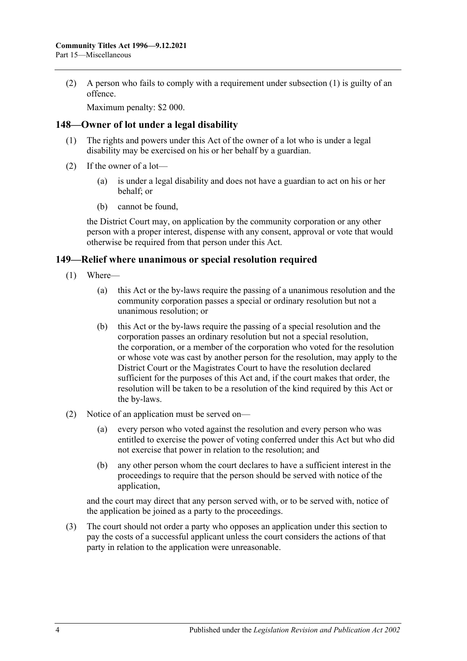(2) A person who fails to comply with a requirement under [subsection](#page-118-1) (1) is guilty of an offence.

Maximum penalty: \$2 000.

#### **148—Owner of lot under a legal disability**

- (1) The rights and powers under this Act of the owner of a lot who is under a legal disability may be exercised on his or her behalf by a guardian.
- (2) If the owner of a lot—
	- (a) is under a legal disability and does not have a guardian to act on his or her behalf; or
	- (b) cannot be found,

the District Court may, on application by the community corporation or any other person with a proper interest, dispense with any consent, approval or vote that would otherwise be required from that person under this Act.

#### **149—Relief where unanimous or special resolution required**

- (1) Where—
	- (a) this Act or the by-laws require the passing of a unanimous resolution and the community corporation passes a special or ordinary resolution but not a unanimous resolution; or
	- (b) this Act or the by-laws require the passing of a special resolution and the corporation passes an ordinary resolution but not a special resolution, the corporation, or a member of the corporation who voted for the resolution or whose vote was cast by another person for the resolution, may apply to the District Court or the Magistrates Court to have the resolution declared sufficient for the purposes of this Act and, if the court makes that order, the resolution will be taken to be a resolution of the kind required by this Act or the by-laws.
- (2) Notice of an application must be served on—
	- (a) every person who voted against the resolution and every person who was entitled to exercise the power of voting conferred under this Act but who did not exercise that power in relation to the resolution; and
	- (b) any other person whom the court declares to have a sufficient interest in the proceedings to require that the person should be served with notice of the application,

and the court may direct that any person served with, or to be served with, notice of the application be joined as a party to the proceedings.

(3) The court should not order a party who opposes an application under this section to pay the costs of a successful applicant unless the court considers the actions of that party in relation to the application were unreasonable.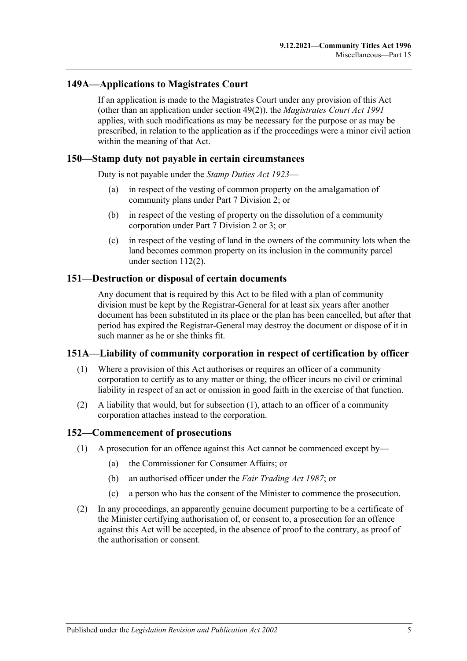### **149A—Applications to Magistrates Court**

If an application is made to the Magistrates Court under any provision of this Act (other than an application under [section](#page-46-0) 49(2)), the *[Magistrates Court Act](http://www.legislation.sa.gov.au/index.aspx?action=legref&type=act&legtitle=Magistrates%20Court%20Act%201991) 1991* applies, with such modifications as may be necessary for the purpose or as may be prescribed, in relation to the application as if the proceedings were a minor civil action within the meaning of that Act.

#### **150—Stamp duty not payable in certain circumstances**

Duty is not payable under the *[Stamp Duties Act](http://www.legislation.sa.gov.au/index.aspx?action=legref&type=act&legtitle=Stamp%20Duties%20Act%201923) 1923*—

- (a) in respect of the vesting of common property on the amalgamation of community plans under [Part 7 Division 2;](#page-57-0) or
- (b) in respect of the vesting of property on the dissolution of a community corporation under [Part 7 Division 2](#page-57-0) or [3;](#page-61-0) or
- (c) in respect of the vesting of land in the owners of the community lots when the land becomes common property on its inclusion in the community parcel under [section](#page-96-0) 112(2).

#### **151—Destruction or disposal of certain documents**

Any document that is required by this Act to be filed with a plan of community division must be kept by the Registrar-General for at least six years after another document has been substituted in its place or the plan has been cancelled, but after that period has expired the Registrar-General may destroy the document or dispose of it in such manner as he or she thinks fit.

#### <span id="page-120-0"></span>**151A—Liability of community corporation in respect of certification by officer**

- (1) Where a provision of this Act authorises or requires an officer of a community corporation to certify as to any matter or thing, the officer incurs no civil or criminal liability in respect of an act or omission in good faith in the exercise of that function.
- (2) A liability that would, but for [subsection](#page-120-0) (1), attach to an officer of a community corporation attaches instead to the corporation.

#### **152—Commencement of prosecutions**

- (1) A prosecution for an offence against this Act cannot be commenced except by—
	- (a) the Commissioner for Consumer Affairs; or
	- (b) an authorised officer under the *[Fair Trading Act](http://www.legislation.sa.gov.au/index.aspx?action=legref&type=act&legtitle=Fair%20Trading%20Act%201987) 1987*; or
	- (c) a person who has the consent of the Minister to commence the prosecution.
- (2) In any proceedings, an apparently genuine document purporting to be a certificate of the Minister certifying authorisation of, or consent to, a prosecution for an offence against this Act will be accepted, in the absence of proof to the contrary, as proof of the authorisation or consent.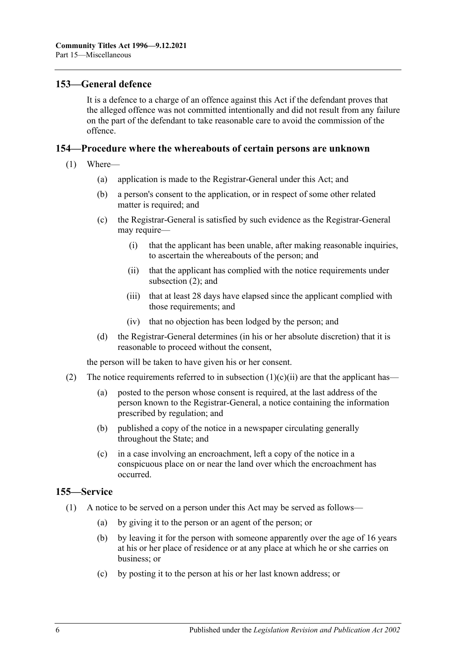#### **153—General defence**

It is a defence to a charge of an offence against this Act if the defendant proves that the alleged offence was not committed intentionally and did not result from any failure on the part of the defendant to take reasonable care to avoid the commission of the offence.

#### **154—Procedure where the whereabouts of certain persons are unknown**

- <span id="page-121-1"></span>(1) Where—
	- (a) application is made to the Registrar-General under this Act; and
	- (b) a person's consent to the application, or in respect of some other related matter is required; and
	- (c) the Registrar-General is satisfied by such evidence as the Registrar-General may require—
		- (i) that the applicant has been unable, after making reasonable inquiries, to ascertain the whereabouts of the person; and
		- (ii) that the applicant has complied with the notice requirements under [subsection](#page-121-0) (2); and
		- (iii) that at least 28 days have elapsed since the applicant complied with those requirements; and
		- (iv) that no objection has been lodged by the person; and
	- (d) the Registrar-General determines (in his or her absolute discretion) that it is reasonable to proceed without the consent,

the person will be taken to have given his or her consent.

- <span id="page-121-0"></span>(2) The notice requirements referred to in [subsection](#page-121-1)  $(1)(c)(ii)$  are that the applicant has—
	- (a) posted to the person whose consent is required, at the last address of the person known to the Registrar-General, a notice containing the information prescribed by regulation; and
	- (b) published a copy of the notice in a newspaper circulating generally throughout the State; and
	- (c) in a case involving an encroachment, left a copy of the notice in a conspicuous place on or near the land over which the encroachment has occurred.

#### **155—Service**

- (1) A notice to be served on a person under this Act may be served as follows—
	- (a) by giving it to the person or an agent of the person; or
	- (b) by leaving it for the person with someone apparently over the age of 16 years at his or her place of residence or at any place at which he or she carries on business; or
	- (c) by posting it to the person at his or her last known address; or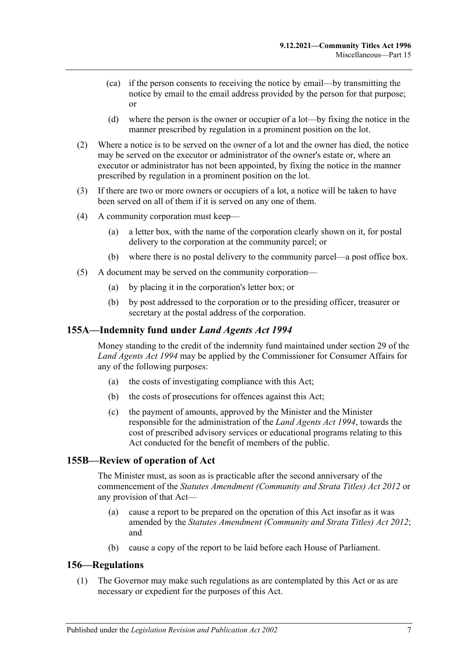- (ca) if the person consents to receiving the notice by email—by transmitting the notice by email to the email address provided by the person for that purpose; or
- (d) where the person is the owner or occupier of a lot—by fixing the notice in the manner prescribed by regulation in a prominent position on the lot.
- (2) Where a notice is to be served on the owner of a lot and the owner has died, the notice may be served on the executor or administrator of the owner's estate or, where an executor or administrator has not been appointed, by fixing the notice in the manner prescribed by regulation in a prominent position on the lot.
- (3) If there are two or more owners or occupiers of a lot, a notice will be taken to have been served on all of them if it is served on any one of them.
- (4) A community corporation must keep—
	- (a) a letter box, with the name of the corporation clearly shown on it, for postal delivery to the corporation at the community parcel; or
	- (b) where there is no postal delivery to the community parcel—a post office box.
- (5) A document may be served on the community corporation—
	- (a) by placing it in the corporation's letter box; or
	- (b) by post addressed to the corporation or to the presiding officer, treasurer or secretary at the postal address of the corporation.

#### **155A—Indemnity fund under** *Land Agents Act 1994*

Money standing to the credit of the indemnity fund maintained under section 29 of the *[Land Agents Act](http://www.legislation.sa.gov.au/index.aspx?action=legref&type=act&legtitle=Land%20Agents%20Act%201994) 1994* may be applied by the Commissioner for Consumer Affairs for any of the following purposes:

- (a) the costs of investigating compliance with this Act;
- (b) the costs of prosecutions for offences against this Act;
- (c) the payment of amounts, approved by the Minister and the Minister responsible for the administration of the *[Land Agents Act](http://www.legislation.sa.gov.au/index.aspx?action=legref&type=act&legtitle=Land%20Agents%20Act%201994) 1994*, towards the cost of prescribed advisory services or educational programs relating to this Act conducted for the benefit of members of the public.

#### **155B—Review of operation of Act**

The Minister must, as soon as is practicable after the second anniversary of the commencement of the *[Statutes Amendment \(Community and Strata Titles\) Act](http://www.legislation.sa.gov.au/index.aspx?action=legref&type=act&legtitle=Statutes%20Amendment%20(Community%20and%20Strata%20Titles)%20Act%202012) 2012* or any provision of that Act—

- (a) cause a report to be prepared on the operation of this Act insofar as it was amended by the *[Statutes Amendment \(Community and Strata Titles\) Act](http://www.legislation.sa.gov.au/index.aspx?action=legref&type=act&legtitle=Statutes%20Amendment%20(Community%20and%20Strata%20Titles)%20Act%202012) 2012*; and
- (b) cause a copy of the report to be laid before each House of Parliament.

#### <span id="page-122-0"></span>**156—Regulations**

(1) The Governor may make such regulations as are contemplated by this Act or as are necessary or expedient for the purposes of this Act.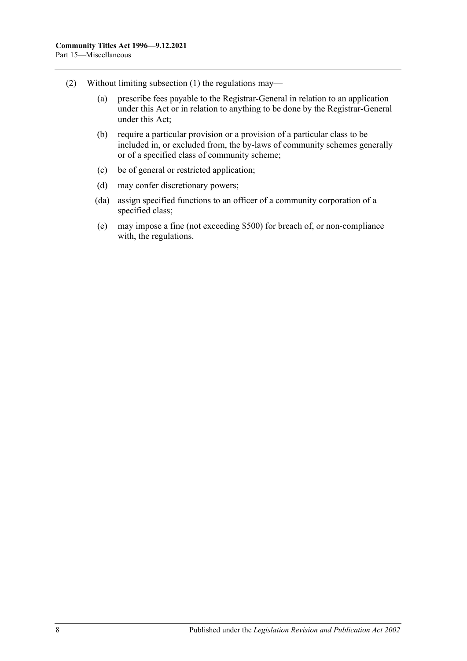- (2) Without limiting [subsection](#page-122-0) (1) the regulations may—
	- (a) prescribe fees payable to the Registrar-General in relation to an application under this Act or in relation to anything to be done by the Registrar-General under this Act;
	- (b) require a particular provision or a provision of a particular class to be included in, or excluded from, the by-laws of community schemes generally or of a specified class of community scheme;
	- (c) be of general or restricted application;
	- (d) may confer discretionary powers;
	- (da) assign specified functions to an officer of a community corporation of a specified class;
	- (e) may impose a fine (not exceeding \$500) for breach of, or non-compliance with, the regulations.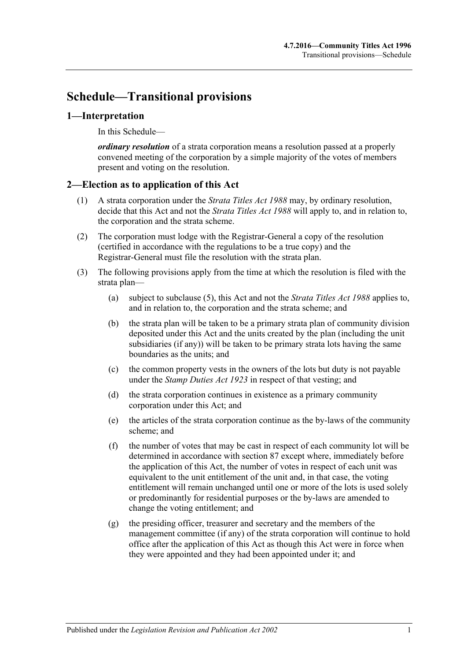# **Schedule—Transitional provisions**

### **1—Interpretation**

In this Schedule—

*ordinary resolution* of a strata corporation means a resolution passed at a properly convened meeting of the corporation by a simple majority of the votes of members present and voting on the resolution.

### **2—Election as to application of this Act**

- (1) A strata corporation under the *[Strata Titles Act](http://www.legislation.sa.gov.au/index.aspx?action=legref&type=act&legtitle=Strata%20Titles%20Act%201988) 1988* may, by ordinary resolution, decide that this Act and not the *[Strata Titles Act](http://www.legislation.sa.gov.au/index.aspx?action=legref&type=act&legtitle=Strata%20Titles%20Act%201988) 1988* will apply to, and in relation to, the corporation and the strata scheme.
- (2) The corporation must lodge with the Registrar-General a copy of the resolution (certified in accordance with the regulations to be a true copy) and the Registrar-General must file the resolution with the strata plan.
- (3) The following provisions apply from the time at which the resolution is filed with the strata plan—
	- (a) subject to [subclause](#page-125-0) (5), this Act and not the *[Strata Titles Act](http://www.legislation.sa.gov.au/index.aspx?action=legref&type=act&legtitle=Strata%20Titles%20Act%201988) 1988* applies to, and in relation to, the corporation and the strata scheme; and
	- (b) the strata plan will be taken to be a primary strata plan of community division deposited under this Act and the units created by the plan (including the unit subsidiaries (if any)) will be taken to be primary strata lots having the same boundaries as the units; and
	- (c) the common property vests in the owners of the lots but duty is not payable under the *[Stamp Duties Act](http://www.legislation.sa.gov.au/index.aspx?action=legref&type=act&legtitle=Stamp%20Duties%20Act%201923) 1923* in respect of that vesting; and
	- (d) the strata corporation continues in existence as a primary community corporation under this Act; and
	- (e) the articles of the strata corporation continue as the by-laws of the community scheme; and
	- (f) the number of votes that may be cast in respect of each community lot will be determined in accordance with [section](#page-82-0) 87 except where, immediately before the application of this Act, the number of votes in respect of each unit was equivalent to the unit entitlement of the unit and, in that case, the voting entitlement will remain unchanged until one or more of the lots is used solely or predominantly for residential purposes or the by-laws are amended to change the voting entitlement; and
	- (g) the presiding officer, treasurer and secretary and the members of the management committee (if any) of the strata corporation will continue to hold office after the application of this Act as though this Act were in force when they were appointed and they had been appointed under it; and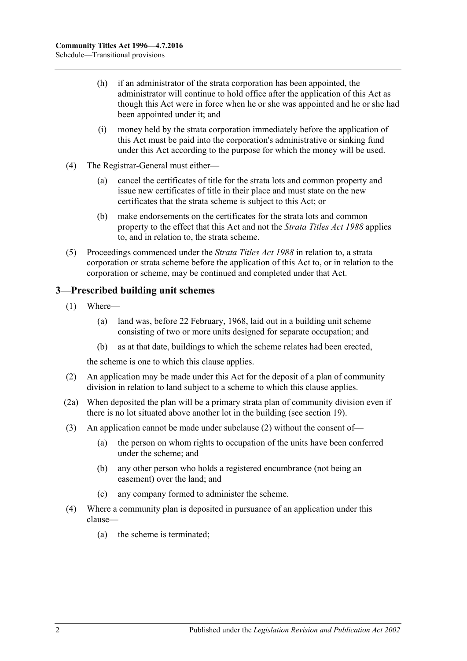- (h) if an administrator of the strata corporation has been appointed, the administrator will continue to hold office after the application of this Act as though this Act were in force when he or she was appointed and he or she had been appointed under it; and
- (i) money held by the strata corporation immediately before the application of this Act must be paid into the corporation's administrative or sinking fund under this Act according to the purpose for which the money will be used.
- (4) The Registrar-General must either—
	- (a) cancel the certificates of title for the strata lots and common property and issue new certificates of title in their place and must state on the new certificates that the strata scheme is subject to this Act; or
	- (b) make endorsements on the certificates for the strata lots and common property to the effect that this Act and not the *[Strata Titles Act](http://www.legislation.sa.gov.au/index.aspx?action=legref&type=act&legtitle=Strata%20Titles%20Act%201988) 1988* applies to, and in relation to, the strata scheme.
- <span id="page-125-0"></span>(5) Proceedings commenced under the *[Strata Titles Act](http://www.legislation.sa.gov.au/index.aspx?action=legref&type=act&legtitle=Strata%20Titles%20Act%201988) 1988* in relation to, a strata corporation or strata scheme before the application of this Act to, or in relation to the corporation or scheme, may be continued and completed under that Act.

### **3—Prescribed building unit schemes**

- (1) Where—
	- (a) land was, before 22 February, 1968, laid out in a building unit scheme consisting of two or more units designed for separate occupation; and
	- (b) as at that date, buildings to which the scheme relates had been erected,

the scheme is one to which this clause applies.

- <span id="page-125-1"></span>(2) An application may be made under this Act for the deposit of a plan of community division in relation to land subject to a scheme to which this clause applies.
- (2a) When deposited the plan will be a primary strata plan of community division even if there is no lot situated above another lot in the building (see [section](#page-21-0) 19).
- (3) An application cannot be made under [subclause](#page-125-1) (2) without the consent of—
	- (a) the person on whom rights to occupation of the units have been conferred under the scheme; and
	- (b) any other person who holds a registered encumbrance (not being an easement) over the land; and
	- (c) any company formed to administer the scheme.
- (4) Where a community plan is deposited in pursuance of an application under this clause—
	- (a) the scheme is terminated;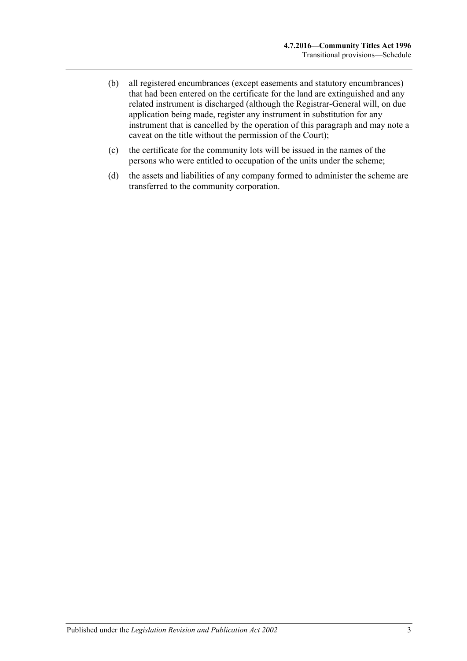- (b) all registered encumbrances (except easements and statutory encumbrances) that had been entered on the certificate for the land are extinguished and any related instrument is discharged (although the Registrar-General will, on due application being made, register any instrument in substitution for any instrument that is cancelled by the operation of this paragraph and may note a caveat on the title without the permission of the Court);
- (c) the certificate for the community lots will be issued in the names of the persons who were entitled to occupation of the units under the scheme;
- (d) the assets and liabilities of any company formed to administer the scheme are transferred to the community corporation.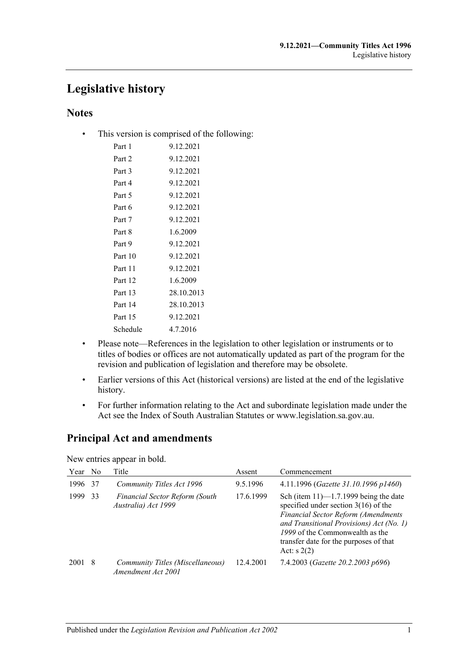## **Legislative history**

## **Notes**

• This version is comprised of the following:

| Part 1   | 9.12.2021  |
|----------|------------|
| Part 2   | 9.12.2021  |
| Part 3   | 9.12.2021  |
| Part 4   | 9.12.2021  |
| Part 5   | 9.12.2021  |
| Part 6   | 9.12.2021  |
| Part 7   | 9.12.2021  |
| Part 8   | 1.6.2009   |
| Part 9   | 9.12.2021  |
| Part 10  | 9.12.2021  |
| Part 11  | 9.12.2021  |
| Part 12  | 1.6.2009   |
| Part 13  | 28.10.2013 |
| Part 14  | 28.10.2013 |
| Part 15  | 9.12.2021  |
| Schedule | 4.7.2016   |

- Please note—References in the legislation to other legislation or instruments or to titles of bodies or offices are not automatically updated as part of the program for the revision and publication of legislation and therefore may be obsolete.
- Earlier versions of this Act (historical versions) are listed at the end of the legislative history.
- For further information relating to the Act and subordinate legislation made under the Act see the Index of South Australian Statutes or www.legislation.sa.gov.au.

## **Principal Act and amendments**

New entries appear in bold.

| Year | N <sub>0</sub> | Title                                                        | Assent    | Commencement                                                                                                                                                                                                                                                                |
|------|----------------|--------------------------------------------------------------|-----------|-----------------------------------------------------------------------------------------------------------------------------------------------------------------------------------------------------------------------------------------------------------------------------|
| 1996 | 37             | Community Titles Act 1996                                    | 9.5.1996  | 4.11.1996 (Gazette 31.10.1996 p1460)                                                                                                                                                                                                                                        |
| 1999 | 33             | <b>Financial Sector Reform (South</b><br>Australia) Act 1999 | 17.6.1999 | Sch (item $11$ )— $1.7.1999$ being the date<br>specified under section $3(16)$ of the<br><b>Financial Sector Reform (Amendments</b><br>and Transitional Provisions) Act (No. 1)<br>1999 of the Commonwealth as the<br>transfer date for the purposes of that<br>Act: $s(2)$ |
| 2001 | -8             | Community Titles (Miscellaneous)<br>Amendment Act 2001       | 12.4.2001 | 7.4.2003 (Gazette 20.2.2003 p696)                                                                                                                                                                                                                                           |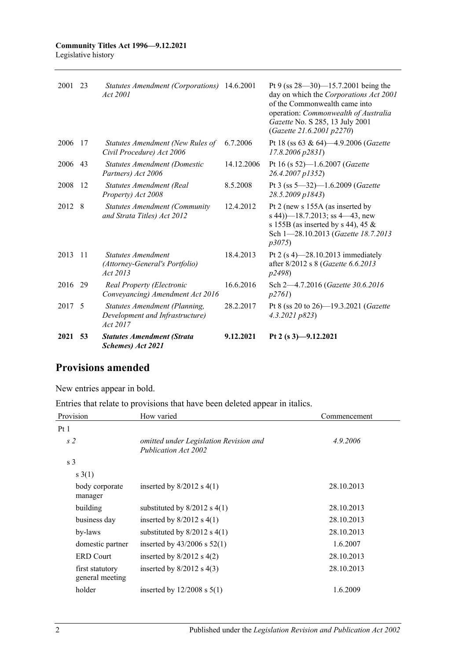| 2021    | 53  | <b>Statutes Amendment (Strata</b><br>Schemes) Act 2021                       | 9.12.2021  | Pt 2 (s $3$ )-9.12.2021                                                                                                                                                                                                      |
|---------|-----|------------------------------------------------------------------------------|------------|------------------------------------------------------------------------------------------------------------------------------------------------------------------------------------------------------------------------------|
| 2017    | -5  | Statutes Amendment (Planning,<br>Development and Infrastructure)<br>Act 2017 | 28.2.2017  | Pt 8 (ss 20 to 26)—19.3.2021 (Gazette<br>4.3.2021 p823                                                                                                                                                                       |
| 2016 29 |     | Real Property (Electronic<br>Conveyancing) Amendment Act 2016                | 16.6.2016  | Sch 2-4.7.2016 (Gazette 30.6.2016)<br>p2761                                                                                                                                                                                  |
| 2013    | 11  | <b>Statutes Amendment</b><br>(Attorney-General's Portfolio)<br>Act 2013      | 18.4.2013  | Pt 2 $(s 4)$ -28.10.2013 immediately<br>after 8/2012 s 8 (Gazette 6.6.2013<br><i>p</i> 2498)                                                                                                                                 |
| 2012    | 8   | <b>Statutes Amendment (Community</b><br>and Strata Titles) Act 2012          | 12.4.2012  | Pt 2 (new s 155A (as inserted by<br>s 44) $-18.7.2013$ ; ss 4 $-43$ , new<br>s 155B (as inserted by s 44), 45 $\&$<br>Sch 1-28.10.2013 (Gazette 18.7.2013<br>p3075                                                           |
| 2008    | 12  | Statutes Amendment (Real<br>Property) Act 2008                               | 8.5.2008   | Pt 3 (ss 5-32)-1.6.2009 (Gazette<br>28.5.2009 p1843)                                                                                                                                                                         |
| 2006    | 43  | <b>Statutes Amendment (Domestic</b><br>Partners) Act 2006                    | 14.12.2006 | Pt 16 (s 52)-1.6.2007 (Gazette<br>26.4.2007 p1352)                                                                                                                                                                           |
| 2006    | -17 | Statutes Amendment (New Rules of<br>Civil Procedure) Act 2006                | 6.7.2006   | Pt 18 (ss 63 & 64)-4.9.2006 (Gazette<br>17.8.2006 p2831)                                                                                                                                                                     |
| 2001 23 |     | Statutes Amendment (Corporations) 14.6.2001<br>Act 2001                      |            | Pt 9 (ss $28 - 30$ ) -15.7.2001 being the<br>day on which the Corporations Act 2001<br>of the Commonwealth came into<br>operation: Commonwealth of Australia<br>Gazette No. S 285, 13 July 2001<br>(Gazette 21.6.2001 p2270) |
|         |     |                                                                              |            |                                                                                                                                                                                                                              |

## **Provisions amended**

New entries appear in bold.

Entries that relate to provisions that have been deleted appear in italics.

| Provision                          | How varied                                                     | Commencement |
|------------------------------------|----------------------------------------------------------------|--------------|
| Pt1                                |                                                                |              |
| s <sub>2</sub>                     | omitted under Legislation Revision and<br>Publication Act 2002 | 4.9.2006     |
| s <sub>3</sub>                     |                                                                |              |
| s(1)                               |                                                                |              |
| body corporate<br>manager          | inserted by $8/2012$ s $4(1)$                                  | 28.10.2013   |
| building                           | substituted by $8/2012$ s $4(1)$                               | 28.10.2013   |
| business day                       | inserted by $8/2012$ s $4(1)$                                  | 28.10.2013   |
| by-laws                            | substituted by $8/2012$ s $4(1)$                               | 28.10.2013   |
| domestic partner                   | inserted by $43/2006$ s $52(1)$                                | 1.6.2007     |
| <b>ERD</b> Court                   | inserted by $8/2012$ s $4(2)$                                  | 28.10.2013   |
| first statutory<br>general meeting | inserted by $8/2012$ s $4(3)$                                  | 28.10.2013   |
| holder                             | inserted by $12/2008$ s $5(1)$                                 | 1.6.2009     |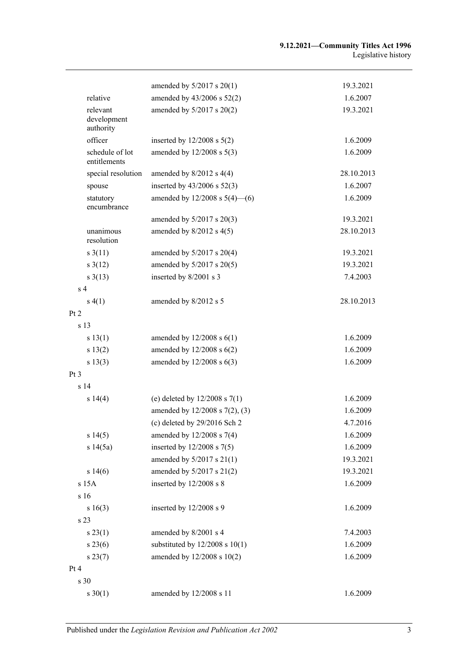|                                      | amended by $5/2017$ s $20(1)$      | 19.3.2021  |
|--------------------------------------|------------------------------------|------------|
| relative                             | amended by 43/2006 s 52(2)         | 1.6.2007   |
| relevant<br>development<br>authority | amended by 5/2017 s 20(2)          | 19.3.2021  |
| officer                              | inserted by $12/2008$ s $5(2)$     | 1.6.2009   |
| schedule of lot<br>entitlements      | amended by 12/2008 s 5(3)          | 1.6.2009   |
| special resolution                   | amended by $8/2012$ s $4(4)$       | 28.10.2013 |
| spouse                               | inserted by $43/2006$ s $52(3)$    | 1.6.2007   |
| statutory<br>encumbrance             | amended by $12/2008$ s $5(4)$ —(6) | 1.6.2009   |
|                                      | amended by 5/2017 s 20(3)          | 19.3.2021  |
| unanimous<br>resolution              | amended by $8/2012$ s $4(5)$       | 28.10.2013 |
| $s \frac{3(11)}{2}$                  | amended by $5/2017$ s $20(4)$      | 19.3.2021  |
| $s \frac{3(12)}{2}$                  | amended by 5/2017 s 20(5)          | 19.3.2021  |
| $s \frac{3(13)}{2}$                  | inserted by 8/2001 s 3             | 7.4.2003   |
| s <sub>4</sub>                       |                                    |            |
| s(4(1))                              | amended by 8/2012 s 5              | 28.10.2013 |
| Pt <sub>2</sub>                      |                                    |            |
| s 13                                 |                                    |            |
| s 13(1)                              | amended by $12/2008$ s $6(1)$      | 1.6.2009   |
| s 13(2)                              | amended by $12/2008$ s $6(2)$      | 1.6.2009   |
| s 13(3)                              | amended by $12/2008$ s $6(3)$      | 1.6.2009   |
| Pt <sub>3</sub>                      |                                    |            |
| s 14                                 |                                    |            |
| s 14(4)                              | (e) deleted by $12/2008$ s $7(1)$  | 1.6.2009   |
|                                      | amended by 12/2008 s 7(2), (3)     | 1.6.2009   |
|                                      | (c) deleted by $29/2016$ Sch 2     | 4.7.2016   |
| s 14(5)                              | amended by 12/2008 s 7(4)          | 1.6.2009   |
| s 14(5a)                             | inserted by $12/2008$ s $7(5)$     | 1.6.2009   |
|                                      | amended by $5/2017$ s $21(1)$      | 19.3.2021  |
| s 14(6)                              | amended by 5/2017 s 21(2)          | 19.3.2021  |
| s 15A                                | inserted by 12/2008 s 8            | 1.6.2009   |
| s 16                                 |                                    |            |
| s 16(3)                              | inserted by 12/2008 s 9            | 1.6.2009   |
| s 23                                 |                                    |            |
| s 23(1)                              | amended by 8/2001 s 4              | 7.4.2003   |
| $s\,23(6)$                           | substituted by $12/2008$ s $10(1)$ | 1.6.2009   |
| s 23(7)                              | amended by 12/2008 s 10(2)         | 1.6.2009   |
| Pt 4                                 |                                    |            |
| s 30                                 |                                    |            |
| $s \ 30(1)$                          | amended by 12/2008 s 11            | 1.6.2009   |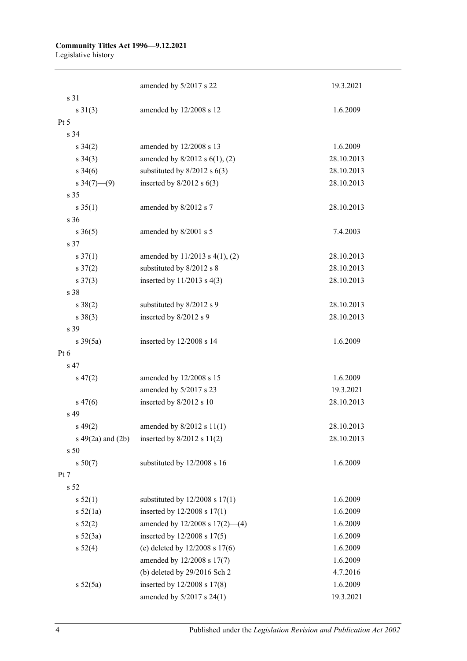# **Community Titles Act 1996—9.12.2021**

Legislative history

|                        | amended by 5/2017 s 22              | 19.3.2021  |
|------------------------|-------------------------------------|------------|
| s 31                   |                                     |            |
| $s \ 31(3)$            | amended by 12/2008 s 12             | 1.6.2009   |
| Pt 5                   |                                     |            |
| s <sub>34</sub>        |                                     |            |
| $s \; 34(2)$           | amended by 12/2008 s 13             | 1.6.2009   |
| $s \; 34(3)$           | amended by $8/2012$ s $6(1)$ , (2)  | 28.10.2013 |
| $s \; 34(6)$           | substituted by $8/2012$ s $6(3)$    | 28.10.2013 |
| s $34(7)$ (9)          | inserted by $8/2012$ s $6(3)$       | 28.10.2013 |
| s 35                   |                                     |            |
| $s \; 35(1)$           | amended by 8/2012 s 7               | 28.10.2013 |
| s 36                   |                                     |            |
| $s \; 36(5)$           | amended by 8/2001 s 5               | 7.4.2003   |
| s 37                   |                                     |            |
| $s \frac{37(1)}{2}$    | amended by 11/2013 s 4(1), (2)      | 28.10.2013 |
| $s \frac{37(2)}{2}$    | substituted by 8/2012 s 8           | 28.10.2013 |
| $s \frac{37(3)}{2}$    | inserted by $11/2013$ s 4(3)        | 28.10.2013 |
| s 38                   |                                     |            |
| $s \ 38(2)$            | substituted by 8/2012 s 9           | 28.10.2013 |
| $s \ 38(3)$            | inserted by 8/2012 s 9              | 28.10.2013 |
| s 39                   |                                     |            |
| $s \frac{39(5a)}{2}$   | inserted by 12/2008 s 14            | 1.6.2009   |
| Pt 6                   |                                     |            |
| s 47                   |                                     |            |
| $s\,47(2)$             | amended by 12/2008 s 15             | 1.6.2009   |
|                        | amended by 5/2017 s 23              | 19.3.2021  |
| $s\,47(6)$             | inserted by 8/2012 s 10             | 28.10.2013 |
| s 49                   |                                     |            |
| $s\,49(2)$             | amended by $8/2012$ s $11(1)$       | 28.10.2013 |
| $s\ 49(2a)$ and $(2b)$ | inserted by $8/2012$ s $11(2)$      | 28.10.2013 |
| s 50                   |                                     |            |
| s 50(7)                | substituted by 12/2008 s 16         | 1.6.2009   |
| Pt 7                   |                                     |            |
| s <sub>52</sub>        |                                     |            |
| s 52(1)                | substituted by $12/2008$ s $17(1)$  | 1.6.2009   |
| s 52(1a)               | inserted by 12/2008 s 17(1)         | 1.6.2009   |
| $s\,52(2)$             | amended by $12/2008$ s $17(2)$ —(4) | 1.6.2009   |
| $s\ 52(3a)$            | inserted by 12/2008 s 17(5)         | 1.6.2009   |
| s 52(4)                | (e) deleted by $12/2008$ s $17(6)$  | 1.6.2009   |
|                        | amended by 12/2008 s 17(7)          | 1.6.2009   |
|                        | (b) deleted by $29/2016$ Sch 2      | 4.7.2016   |
| s 52(5a)               | inserted by 12/2008 s 17(8)         | 1.6.2009   |
|                        | amended by 5/2017 s 24(1)           | 19.3.2021  |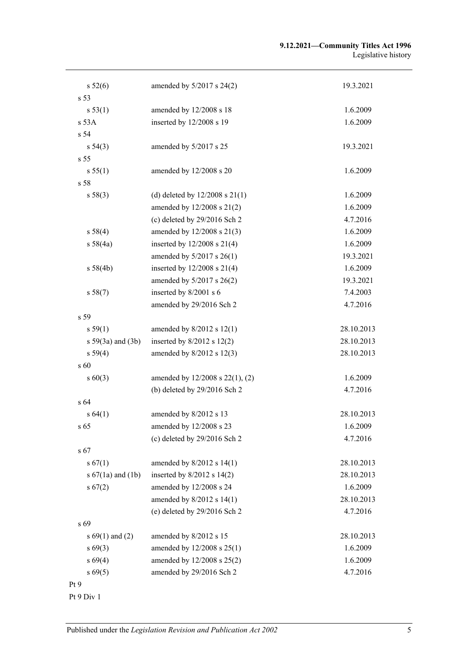#### **9.12.2021—Community Titles Act 1996** Legislative history

| s 52(6)               | amended by $5/2017$ s $24(2)$        | 19.3.2021  |
|-----------------------|--------------------------------------|------------|
| s 53                  |                                      |            |
| s 53(1)               | amended by 12/2008 s 18              | 1.6.2009   |
| $s$ 53 $A$            | inserted by 12/2008 s 19             | 1.6.2009   |
| s <sub>54</sub>       |                                      |            |
| s 54(3)               | amended by 5/2017 s 25               | 19.3.2021  |
| s 55                  |                                      |            |
| s 55(1)               | amended by 12/2008 s 20              | 1.6.2009   |
| s 58                  |                                      |            |
| s 58(3)               | (d) deleted by $12/2008$ s $21(1)$   | 1.6.2009   |
|                       | amended by 12/2008 s 21(2)           | 1.6.2009   |
|                       | (c) deleted by $29/2016$ Sch 2       | 4.7.2016   |
| s 58(4)               | amended by 12/2008 s 21(3)           | 1.6.2009   |
| s 58(4a)              | inserted by $12/2008$ s $21(4)$      | 1.6.2009   |
|                       | amended by 5/2017 s 26(1)            | 19.3.2021  |
| s 58(4b)              | inserted by 12/2008 s 21(4)          | 1.6.2009   |
|                       | amended by 5/2017 s 26(2)            | 19.3.2021  |
| s 58(7)               | inserted by 8/2001 s 6               | 7.4.2003   |
|                       | amended by 29/2016 Sch 2             | 4.7.2016   |
| s 59                  |                                      |            |
| s 59(1)               | amended by $8/2012$ s $12(1)$        | 28.10.2013 |
| $s 59(3a)$ and $(3b)$ | inserted by $8/2012$ s 12(2)         | 28.10.2013 |
| s 59(4)               | amended by 8/2012 s 12(3)            | 28.10.2013 |
| s 60                  |                                      |            |
| $s\ 60(3)$            | amended by $12/2008$ s $22(1)$ , (2) | 1.6.2009   |
|                       | (b) deleted by $29/2016$ Sch 2       | 4.7.2016   |
| s 64                  |                                      |            |
| s 64(1)               | amended by 8/2012 s 13               | 28.10.2013 |
| s 65                  | amended by 12/2008 s 23              | 1.6.2009   |
|                       | (c) deleted by $29/2016$ Sch 2       | 4.7.2016   |
| s 67                  |                                      |            |
| s 67(1)               | amended by 8/2012 s 14(1)            | 28.10.2013 |
| s $67(1a)$ and $(1b)$ | inserted by $8/2012$ s $14(2)$       | 28.10.2013 |
| s 67(2)               | amended by 12/2008 s 24              | 1.6.2009   |
|                       | amended by 8/2012 s 14(1)            | 28.10.2013 |
|                       | (e) deleted by 29/2016 Sch 2         | 4.7.2016   |
| s 69                  |                                      |            |
| s $69(1)$ and $(2)$   | amended by 8/2012 s 15               | 28.10.2013 |
| $s\,69(3)$            | amended by 12/2008 s 25(1)           | 1.6.2009   |
| s 69(4)               | amended by 12/2008 s 25(2)           | 1.6.2009   |
| $s\,69(5)$            | amended by 29/2016 Sch 2             | 4.7.2016   |
| Pt 9                  |                                      |            |

Pt 9 Div 1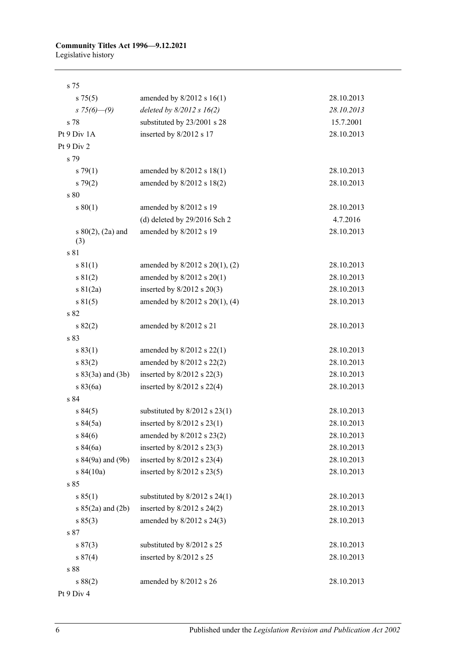## **Community Titles Act 1996—9.12.2021**

Legislative history

| s 75                          |                                     |            |
|-------------------------------|-------------------------------------|------------|
| s 75(5)                       | amended by $8/2012$ s 16(1)         | 28.10.2013 |
| $s75(6) - (9)$                | deleted by $8/2012$ s $16(2)$       | 28.10.2013 |
| s 78                          | substituted by 23/2001 s 28         | 15.7.2001  |
| Pt 9 Div 1A                   | inserted by 8/2012 s 17             | 28.10.2013 |
| Pt 9 Div 2                    |                                     |            |
| s 79                          |                                     |            |
| $s \, 79(1)$                  | amended by $8/2012$ s $18(1)$       | 28.10.2013 |
| $s \ 79(2)$                   | amended by $8/2012$ s $18(2)$       | 28.10.2013 |
| s 80                          |                                     |            |
| s 80(1)                       | amended by 8/2012 s 19              | 28.10.2013 |
|                               | (d) deleted by 29/2016 Sch 2        | 4.7.2016   |
| s $80(2)$ , $(2a)$ and<br>(3) | amended by 8/2012 s 19              | 28.10.2013 |
| s 81                          |                                     |            |
| s 81(1)                       | amended by $8/2012$ s $20(1)$ , (2) | 28.10.2013 |
| s 81(2)                       | amended by $8/2012$ s $20(1)$       | 28.10.2013 |
| $s \ 81(2a)$                  | inserted by $8/2012$ s $20(3)$      | 28.10.2013 |
| s 81(5)                       | amended by $8/2012$ s $20(1)$ , (4) | 28.10.2013 |
| s 82                          |                                     |            |
| $s\,82(2)$                    | amended by 8/2012 s 21              | 28.10.2013 |
| s 83                          |                                     |            |
| s 83(1)                       | amended by $8/2012$ s $22(1)$       | 28.10.2013 |
| s 83(2)                       | amended by $8/2012$ s $22(2)$       | 28.10.2013 |
| $s 83(3a)$ and $(3b)$         | inserted by $8/2012$ s $22(3)$      | 28.10.2013 |
| s 83(6a)                      | inserted by 8/2012 s 22(4)          | 28.10.2013 |
| s 84                          |                                     |            |
| s 84(5)                       | substituted by $8/2012$ s $23(1)$   | 28.10.2013 |
| s 84(5a)                      | inserted by $8/2012$ s $23(1)$      | 28.10.2013 |
| s 84(6)                       | amended by 8/2012 s 23(2)           | 28.10.2013 |
| s 84(6a)                      | inserted by $8/2012$ s $23(3)$      | 28.10.2013 |
| s 84(9a) and (9b)             | inserted by $8/2012$ s $23(4)$      | 28.10.2013 |
| s 84(10a)                     | inserted by $8/2012$ s $23(5)$      | 28.10.2013 |
| s 85                          |                                     |            |
| s 85(1)                       | substituted by $8/2012$ s $24(1)$   | 28.10.2013 |
| s $85(2a)$ and $(2b)$         | inserted by $8/2012$ s $24(2)$      | 28.10.2013 |
| s 85(3)                       | amended by 8/2012 s 24(3)           | 28.10.2013 |
| s 87                          |                                     |            |
| s 87(3)                       | substituted by 8/2012 s 25          | 28.10.2013 |
| s 87(4)                       | inserted by 8/2012 s 25             | 28.10.2013 |
| s 88                          |                                     |            |
| s 88(2)                       | amended by 8/2012 s 26              | 28.10.2013 |
| Pt 9 Div 4                    |                                     |            |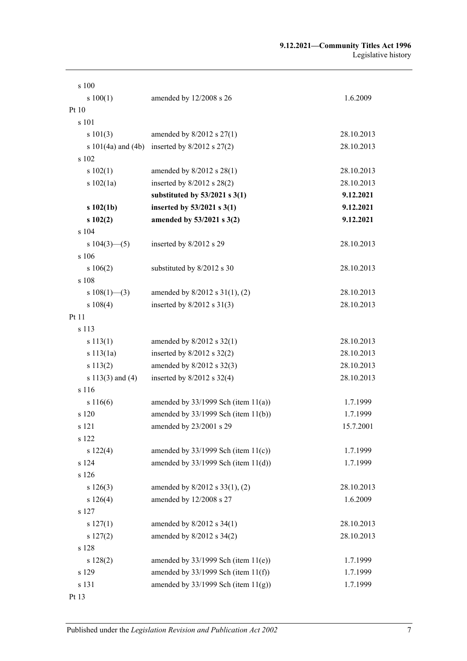#### **9.12.2021—Community Titles Act 1996** Legislative history

| s 100                |                                                 |            |
|----------------------|-------------------------------------------------|------------|
| s 100(1)             | amended by 12/2008 s 26                         | 1.6.2009   |
| Pt10                 |                                                 |            |
| s 101                |                                                 |            |
| s 101(3)             | amended by $8/2012$ s $27(1)$                   | 28.10.2013 |
|                      | s 101(4a) and (4b) inserted by $8/2012$ s 27(2) | 28.10.2013 |
| s 102                |                                                 |            |
| s 102(1)             | amended by $8/2012$ s $28(1)$                   | 28.10.2013 |
| s 102(1a)            | inserted by $8/2012$ s $28(2)$                  | 28.10.2013 |
|                      | substituted by $53/2021$ s 3(1)                 | 9.12.2021  |
| $s\ 102(1b)$         | inserted by $53/2021$ s $3(1)$                  | 9.12.2021  |
| s102(2)              | amended by 53/2021 s 3(2)                       | 9.12.2021  |
| s 104                |                                                 |            |
| s $104(3)$ (5)       | inserted by 8/2012 s 29                         | 28.10.2013 |
| s 106                |                                                 |            |
| s 106(2)             | substituted by 8/2012 s 30                      | 28.10.2013 |
| s 108                |                                                 |            |
| s $108(1)$ —(3)      | amended by 8/2012 s 31(1), (2)                  | 28.10.2013 |
| s 108(4)             | inserted by $8/2012$ s $31(3)$                  | 28.10.2013 |
| Pt 11                |                                                 |            |
| s 113                |                                                 |            |
| s 113(1)             | amended by $8/2012$ s $32(1)$                   | 28.10.2013 |
| s 113(1a)            | inserted by $8/2012$ s $32(2)$                  | 28.10.2013 |
| s 113(2)             | amended by 8/2012 s 32(3)                       | 28.10.2013 |
| s $113(3)$ and $(4)$ | inserted by $8/2012$ s $32(4)$                  | 28.10.2013 |
| s 116                |                                                 |            |
| s 116(6)             | amended by $33/1999$ Sch (item $11(a)$ )        | 1.7.1999   |
| s 120                | amended by $33/1999$ Sch (item $11(b)$ )        | 1.7.1999   |
| s 121                | amended by 23/2001 s 29                         | 15.7.2001  |
| s 122                |                                                 |            |
| s 122(4)             | amended by $33/1999$ Sch (item $11(c)$ )        | 1.7.1999   |
| s 124                | amended by $33/1999$ Sch (item $11(d)$ )        | 1.7.1999   |
| s 126                |                                                 |            |
| s 126(3)             | amended by 8/2012 s 33(1), (2)                  | 28.10.2013 |
| s 126(4)             | amended by 12/2008 s 27                         | 1.6.2009   |
| s 127                |                                                 |            |
| s 127(1)             | amended by 8/2012 s 34(1)                       | 28.10.2013 |
| s 127(2)             | amended by 8/2012 s 34(2)                       | 28.10.2013 |
| s 128                |                                                 |            |
| s 128(2)             | amended by $33/1999$ Sch (item $11(e)$ )        | 1.7.1999   |
| s 129                | amended by $33/1999$ Sch (item $11(f)$ )        | 1.7.1999   |
| s 131                | amended by $33/1999$ Sch (item $11(g)$ )        | 1.7.1999   |
| Pt 13                |                                                 |            |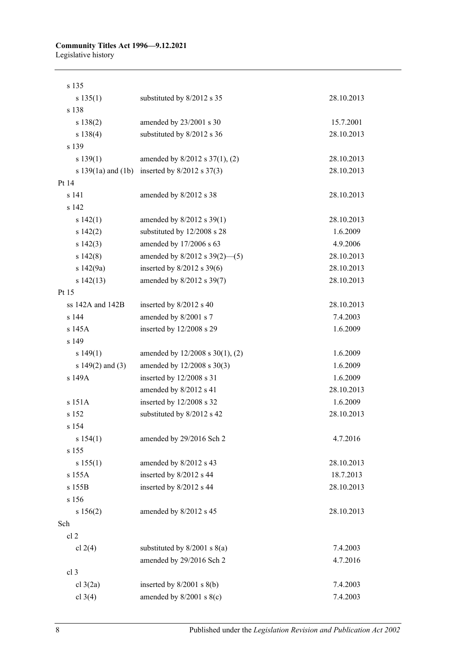### **Community Titles Act 1996—9.12.2021**

Legislative history

| s 135                  |                                    |            |
|------------------------|------------------------------------|------------|
| s 135(1)               | substituted by 8/2012 s 35         | 28.10.2013 |
| s 138                  |                                    |            |
| s 138(2)               | amended by 23/2001 s 30            | 15.7.2001  |
| s 138(4)               | substituted by 8/2012 s 36         | 28.10.2013 |
| s 139                  |                                    |            |
| s 139(1)               | amended by 8/2012 s 37(1), (2)     | 28.10.2013 |
| s $139(1a)$ and $(1b)$ | inserted by $8/2012$ s $37(3)$     | 28.10.2013 |
| Pt 14                  |                                    |            |
| s 141                  | amended by 8/2012 s 38             | 28.10.2013 |
| s 142                  |                                    |            |
| s 142(1)               | amended by $8/2012$ s 39(1)        | 28.10.2013 |
| s 142(2)               | substituted by 12/2008 s 28        | 1.6.2009   |
| s 142(3)               | amended by 17/2006 s 63            | 4.9.2006   |
| s 142(8)               | amended by $8/2012$ s $39(2)$ —(5) | 28.10.2013 |
| s $142(9a)$            | inserted by $8/2012$ s 39(6)       | 28.10.2013 |
| s 142(13)              | amended by 8/2012 s 39(7)          | 28.10.2013 |
| Pt 15                  |                                    |            |
| ss 142A and 142B       | inserted by 8/2012 s 40            | 28.10.2013 |
| s 144                  | amended by 8/2001 s 7              | 7.4.2003   |
| s 145A                 | inserted by 12/2008 s 29           | 1.6.2009   |
| s 149                  |                                    |            |
| s 149(1)               | amended by 12/2008 s 30(1), (2)    | 1.6.2009   |
| s $149(2)$ and $(3)$   | amended by 12/2008 s 30(3)         | 1.6.2009   |
| s 149A                 | inserted by 12/2008 s 31           | 1.6.2009   |
|                        | amended by 8/2012 s 41             | 28.10.2013 |
| s 151A                 | inserted by 12/2008 s 32           | 1.6.2009   |
| s 152                  | substituted by 8/2012 s 42         | 28.10.2013 |
| s 154                  |                                    |            |
| s 154(1)               | amended by 29/2016 Sch 2           | 4.7.2016   |
| s 155                  |                                    |            |
| s 155(1)               | amended by 8/2012 s 43             | 28.10.2013 |
| s 155A                 | inserted by 8/2012 s 44            | 18.7.2013  |
| s 155B                 | inserted by 8/2012 s 44            | 28.10.2013 |
| s 156                  |                                    |            |
| s 156(2)               | amended by 8/2012 s 45             | 28.10.2013 |
| Sch                    |                                    |            |
| cl <sub>2</sub>        |                                    |            |
| cl $2(4)$              | substituted by $8/2001$ s $8(a)$   | 7.4.2003   |
|                        | amended by 29/2016 Sch 2           | 4.7.2016   |
| cl 3                   |                                    |            |
| cl $3(2a)$             | inserted by $8/2001$ s $8(b)$      | 7.4.2003   |
| cl $3(4)$              | amended by $8/2001$ s $8(c)$       | 7.4.2003   |